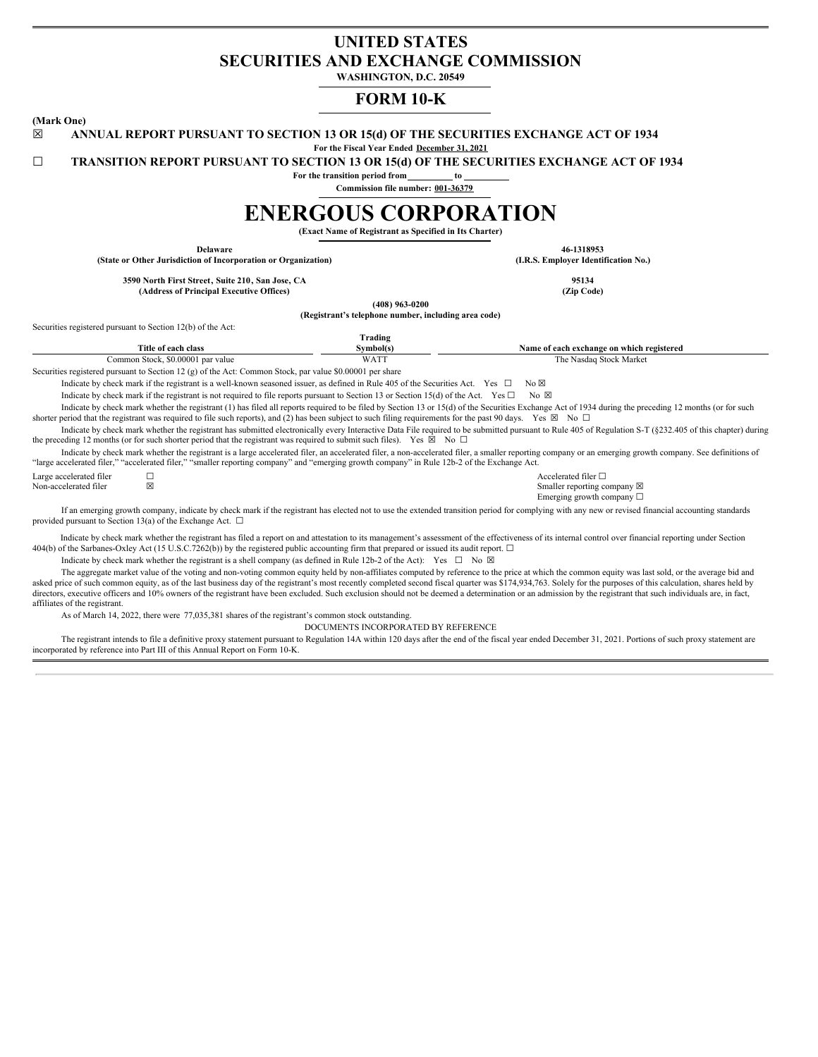# **UNITED STATES SECURITIES AND EXCHANGE COMMISSION**

**WASHINGTON, D.C. 20549**

# **FORM 10-K**

**(Mark One)**

# ☒ **ANNUAL REPORT PURSUANT TO SECTION 13 OR 15(d) OF THE SECURITIES EXCHANGE ACT OF 1934 For the Fiscal Year Ended December 31, 2021**

☐ **TRANSITION REPORT PURSUANT TO SECTION 13 OR 15(d) OF THE SECURITIES EXCHANGE ACT OF 1934**

**For the transition period from to Commission file number: 001-36379**

**ENERGOUS CORPORATION**

**(Exact Name of Registrant as Specified in Its Charter)**

**Delaware 46-1318953**

**(State or Other Jurisdiction of Incorporation or Organization) (I.R.S. Employer Identification No.)**

**3590 North First Street, Suite 210, San Jose, CA 95134 (Address of Principal Executive Offices) (Zip Code)**

**(408) 963-0200 (Registrant's telephone number, including area code)**

Securities registered pursuant to Section 12(b) of the Act:

|                                                                                                                                                                             | Trading   |                                                                                                                                                                                                                                                                                                                                                                                                                                                                                                                                                                                                                                     |
|-----------------------------------------------------------------------------------------------------------------------------------------------------------------------------|-----------|-------------------------------------------------------------------------------------------------------------------------------------------------------------------------------------------------------------------------------------------------------------------------------------------------------------------------------------------------------------------------------------------------------------------------------------------------------------------------------------------------------------------------------------------------------------------------------------------------------------------------------------|
| Title of each class                                                                                                                                                         | Symbol(s) | Name of each exchange on which registered                                                                                                                                                                                                                                                                                                                                                                                                                                                                                                                                                                                           |
| Common Stock, \$0.00001 par value                                                                                                                                           | WATT      | The Nasdaq Stock Market                                                                                                                                                                                                                                                                                                                                                                                                                                                                                                                                                                                                             |
| Securities registered pursuant to Section 12 (g) of the Act: Common Stock, par value \$0.00001 per share                                                                    |           |                                                                                                                                                                                                                                                                                                                                                                                                                                                                                                                                                                                                                                     |
| Indicate by check mark if the registrant is a well-known seasoned issuer, as defined in Rule 405 of the Securities Act. Yes $\Box$                                          |           | $No \boxtimes$                                                                                                                                                                                                                                                                                                                                                                                                                                                                                                                                                                                                                      |
| Indicate by check mark if the registrant is not required to file reports pursuant to Section 13 or Section 15(d) of the Act. Yes $\Box$                                     |           | $No \times$                                                                                                                                                                                                                                                                                                                                                                                                                                                                                                                                                                                                                         |
| shorter period that the registrant was required to file such reports), and (2) has been subject to such filing requirements for the past 90 days. Yes $\boxtimes$ No $\Box$ |           | Indicate by check mark whether the registrant (1) has filed all reports required to be filed by Section 13 or 15(d) of the Securities Exchange Act of 1934 during the preceding 12 months (or for such                                                                                                                                                                                                                                                                                                                                                                                                                              |
| the preceding 12 months (or for such shorter period that the registrant was required to submit such files). Yes $\boxtimes$ No $\Box$                                       |           | Indicate by check mark whether the registrant has submitted electronically every Interactive Data File required to be submitted pursuant to Rule 405 of Regulation S-T (§232.405 of this chapter) during                                                                                                                                                                                                                                                                                                                                                                                                                            |
| "large accelerated filer," "accelerated filer," "smaller reporting company" and "emerging growth company" in Rule 12b-2 of the Exchange Act.                                |           | Indicate by check mark whether the registrant is a large accelerated filer, an accelerated filer, a non-accelerated filer, a smaller reporting company or an emerging growth company. See definitions of                                                                                                                                                                                                                                                                                                                                                                                                                            |
| Large accelerated filer<br>⊔<br>図<br>Non-accelerated filer                                                                                                                  |           | Accelerated filer $\Box$<br>Smaller reporting company $\boxtimes$<br>Emerging growth company $\Box$                                                                                                                                                                                                                                                                                                                                                                                                                                                                                                                                 |
| provided pursuant to Section 13(a) of the Exchange Act. $\Box$                                                                                                              |           | If an emerging growth company, indicate by check mark if the registrant has elected not to use the extended transition period for complying with any new or revised financial accounting standards                                                                                                                                                                                                                                                                                                                                                                                                                                  |
| 404(b) of the Sarbanes-Oxley Act (15 U.S.C.7262(b)) by the registered public accounting firm that prepared or issued its audit report. $\Box$                               |           | Indicate by check mark whether the registrant has filed a report on and attestation to its management's assessment of the effectiveness of its internal control over financial reporting under Section                                                                                                                                                                                                                                                                                                                                                                                                                              |
| Indicate by check mark whether the registrant is a shell company (as defined in Rule 12b-2 of the Act): Yes $\square$ No $\boxtimes$                                        |           |                                                                                                                                                                                                                                                                                                                                                                                                                                                                                                                                                                                                                                     |
| affiliates of the registrant.                                                                                                                                               |           | The aggregate market value of the voting and non-voting common equity held by non-affiliates computed by reference to the price at which the common equity was last sold, or the average bid and<br>asked price of such common equity, as of the last business day of the registrant's most recently completed second fiscal quarter was \$174,934,763. Solely for the purposes of this calculation, shares held by<br>directors, executive officers and 10% owners of the registrant have been excluded. Such exclusion should not be deemed a determination or an admission by the registrant that such individuals are, in fact, |
| As of March 14, 2022, there were 77,035,381 shares of the registrant's common stock outstanding.                                                                            |           |                                                                                                                                                                                                                                                                                                                                                                                                                                                                                                                                                                                                                                     |

DOCUMENTS INCORPORATED BY REFERENCE

The registrant intends to file a definitive proxy statement pursuant to Regulation 14A within 120 days after the end of the fiscal year ended December 31, 2021. Portions of such proxy statement are incorporated by referenc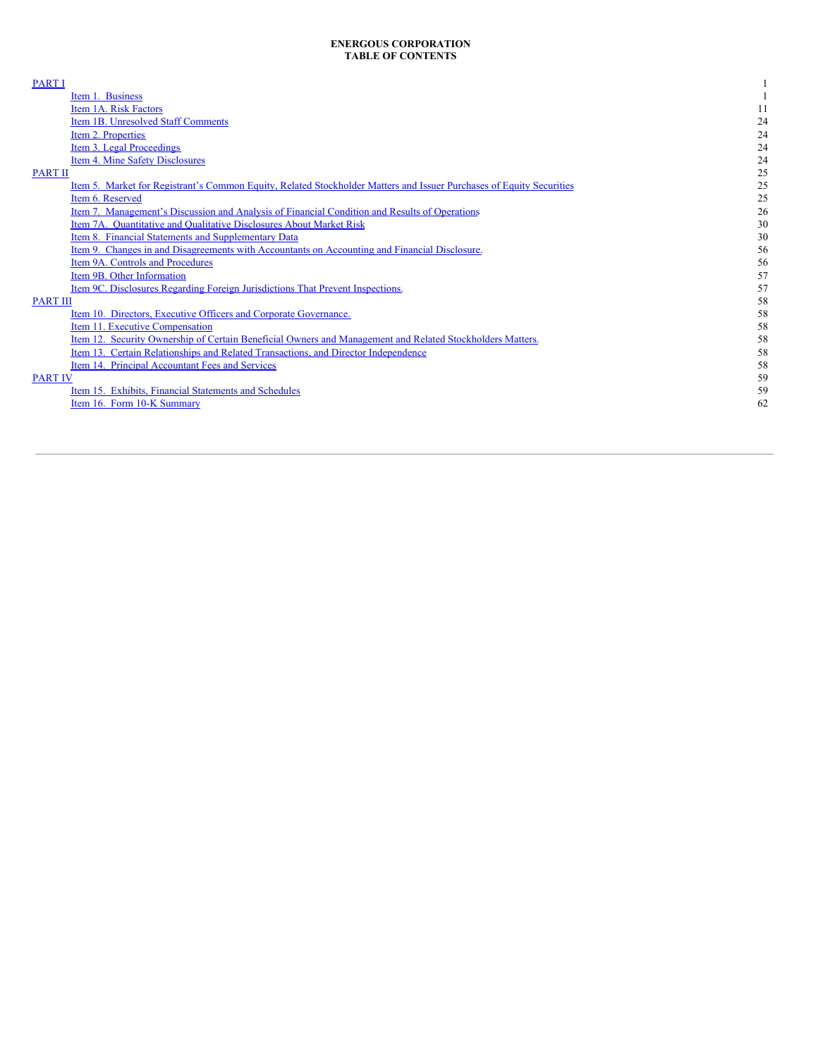#### **ENERGOUS CORPORATION TABLE OF CONTENTS**

| <b>PARTI</b>                                                                                                         |    |
|----------------------------------------------------------------------------------------------------------------------|----|
| Item 1. Business                                                                                                     |    |
| Item 1A. Risk Factors                                                                                                | 11 |
| <b>Item 1B. Unresolved Staff Comments</b>                                                                            | 24 |
| Item 2. Properties                                                                                                   | 24 |
| Item 3. Legal Proceedings                                                                                            | 24 |
| Item 4. Mine Safety Disclosures                                                                                      | 24 |
| PART II                                                                                                              | 25 |
| Item 5. Market for Registrant's Common Equity, Related Stockholder Matters and Issuer Purchases of Equity Securities | 25 |
| Item 6. Reserved                                                                                                     | 25 |
| <u>Item 7. Management's Discussion and Analysis of Financial Condition and Results of Operations</u>                 | 26 |
| Item 7A. Quantitative and Qualitative Disclosures About Market Risk                                                  | 30 |
| Item 8. Financial Statements and Supplementary Data                                                                  | 30 |
| Item 9. Changes in and Disagreements with Accountants on Accounting and Financial Disclosure.                        | 56 |
| Item 9A. Controls and Procedures                                                                                     | 56 |
| Item 9B. Other Information                                                                                           | 57 |
| Item 9C. Disclosures Regarding Foreign Jurisdictions That Prevent Inspections.                                       | 57 |
| PART III                                                                                                             | 58 |
| Item 10. Directors, Executive Officers and Corporate Governance.                                                     | 58 |
| Item 11. Executive Compensation                                                                                      | 58 |
| Item 12. Security Ownership of Certain Beneficial Owners and Management and Related Stockholders Matters.            | 58 |
| Item 13. Certain Relationships and Related Transactions, and Director Independence                                   | 58 |
| Item 14. Principal Accountant Fees and Services                                                                      | 58 |
| PART IV                                                                                                              | 59 |
| Item 15. Exhibits, Financial Statements and Schedules                                                                | 59 |
| Item 16. Form 10-K Summary                                                                                           | 62 |
|                                                                                                                      |    |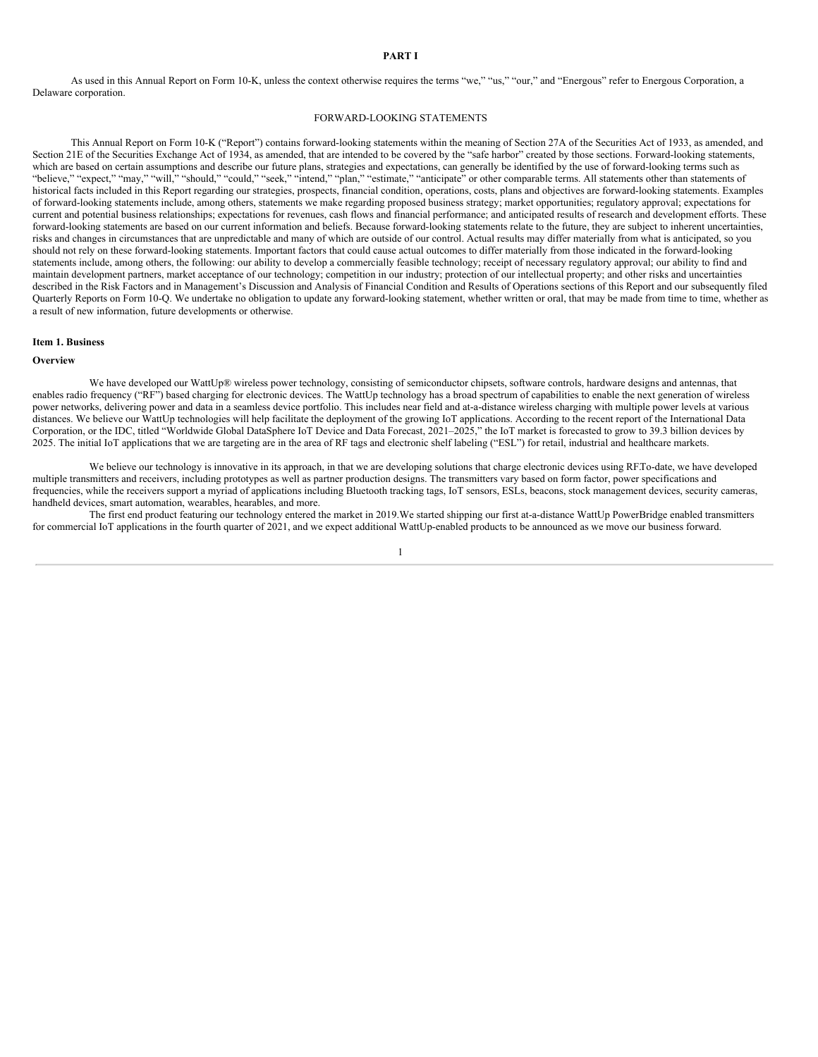## **PART I**

<span id="page-2-0"></span>As used in this Annual Report on Form 10-K, unless the context otherwise requires the terms "we," "us," "our," and "Energous" refer to Energous Corporation, a Delaware corporation.

# FORWARD-LOOKING STATEMENTS

This Annual Report on Form 10-K ("Report") contains forward-looking statements within the meaning of Section 27A of the Securities Act of 1933, as amended, and Section 21E of the Securities Exchange Act of 1934, as amended, that are intended to be covered by the "safe harbor" created by those sections. Forward-looking statements, which are based on certain assumptions and describe our future plans, strategies and expectations, can generally be identified by the use of forward-looking terms such as "believe," "expect," "may," "will," "should," "could," "seek," "intend," "plan," "estimate," "anticipate" or other comparable terms. All statements other than statements of historical facts included in this Report regarding our strategies, prospects, financial condition, operations, costs, plans and objectives are forward-looking statements. Examples of forward-looking statements include, among others, statements we make regarding proposed business strategy; market opportunities; regulatory approval; expectations for current and potential business relationships; expectations for revenues, cash flows and financial performance; and anticipated results of research and development efforts. These forward-looking statements are based on our current information and beliefs. Because forward-looking statements relate to the future, they are subject to inherent uncertainties, risks and changes in circumstances that are unpredictable and many of which are outside of our control. Actual results may differ materially from what is anticipated, so you should not rely on these forward-looking statements. Important factors that could cause actual outcomes to differ materially from those indicated in the forward-looking statements include, among others, the following: our ability to develop a commercially feasible technology; receipt of necessary regulatory approval; our ability to find and maintain development partners, market acceptance of our technology; competition in our industry; protection of our intellectual property; and other risks and uncertainties described in the Risk Factors and in Management's Discussion and Analysis of Financial Condition and Results of Operations sections of this Report and our subsequently filed Quarterly Reports on Form 10-Q. We undertake no obligation to update any forward-looking statement, whether written or oral, that may be made from time to time, whether as a result of new information, future developments or otherwise.

## <span id="page-2-1"></span>**Item 1. Business**

#### **Overview**

We have developed our WattUp® wireless power technology, consisting of semiconductor chipsets, software controls, hardware designs and antennas, that enables radio frequency ("RF") based charging for electronic devices. The WattUp technology has a broad spectrum of capabilities to enable the next generation of wireless power networks, delivering power and data in a seamless device portfolio. This includes near field and at-a-distance wireless charging with multiple power levels at various distances. We believe our WattUp technologies will help facilitate the deployment of the growing IoT applications. According to the recent report of the International Data Corporation, or the IDC, titled "Worldwide Global DataSphere IoT Device and Data Forecast, 2021–2025," the IoT market is forecasted to grow to 39.3 billion devices by 2025. The initial IoT applications that we are targeting are in the area of RF tags and electronic shelf labeling ("ESL") for retail, industrial and healthcare markets.

We believe our technology is innovative in its approach, in that we are developing solutions that charge electronic devices using RF.To-date, we have developed multiple transmitters and receivers, including prototypes as well as partner production designs. The transmitters vary based on form factor, power specifications and frequencies, while the receivers support a myriad of applications including Bluetooth tracking tags, IoT sensors, ESLs, beacons, stock management devices, security cameras, handheld devices, smart automation, wearables, hearables, and more.

The first end product featuring our technology entered the market in 2019.We started shipping our first at-a-distance WattUp PowerBridge enabled transmitters for commercial IoT applications in the fourth quarter of 2021, and we expect additional WattUp-enabled products to be announced as we move our business forward.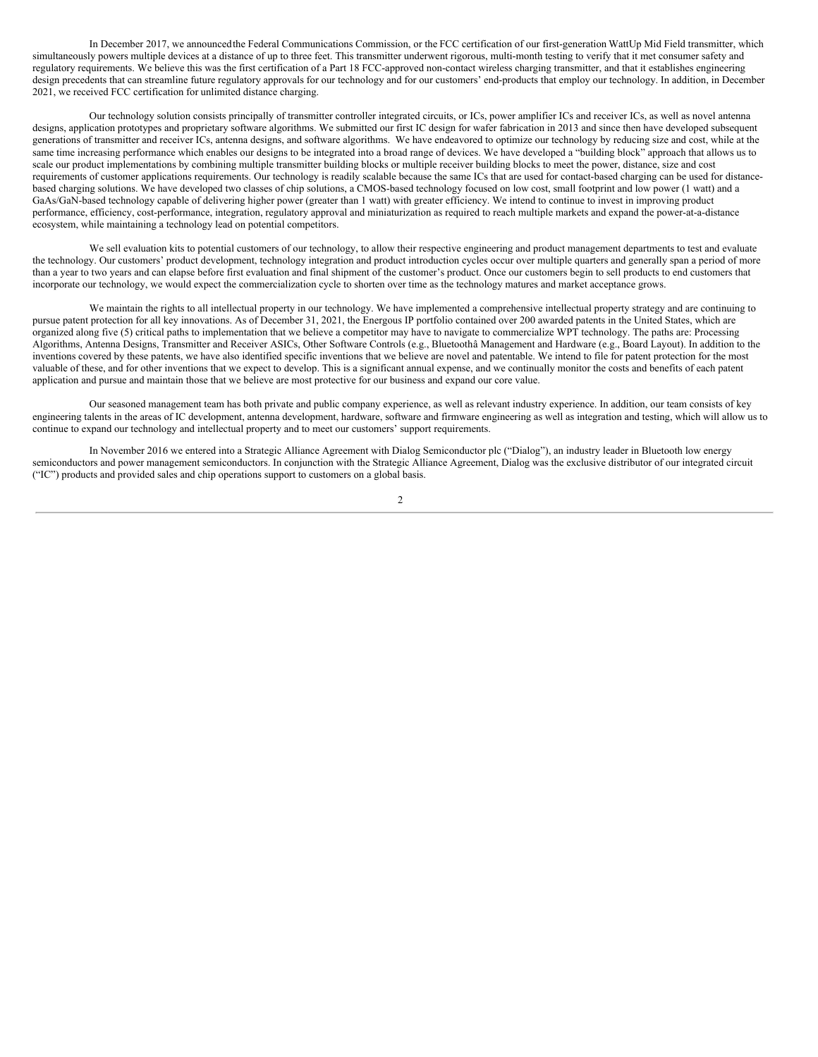In December 2017, we announcedthe Federal Communications Commission, or the FCC certification of our first-generation WattUp Mid Field transmitter, which simultaneously powers multiple devices at a distance of up to three feet. This transmitter underwent rigorous, multi-month testing to verify that it met consumer safety and regulatory requirements. We believe this was the first certification of a Part 18 FCC-approved non-contact wireless charging transmitter, and that it establishes engineering design precedents that can streamline future regulatory approvals for our technology and for our customers' end-products that employ our technology. In addition, in December 2021, we received FCC certification for unlimited distance charging.

Our technology solution consists principally of transmitter controller integrated circuits, or ICs, power amplifier ICs and receiver ICs, as well as novel antenna designs, application prototypes and proprietary software algorithms. We submitted our first IC design for wafer fabrication in 2013 and since then have developed subsequent generations of transmitter and receiver ICs, antenna designs, and software algorithms. We have endeavored to optimize our technology by reducing size and cost, while at the same time increasing performance which enables our designs to be integrated into a broad range of devices. We have developed a "building block" approach that allows us to scale our product implementations by combining multiple transmitter building blocks or multiple receiver building blocks to meet the power, distance, size and cost requirements of customer applications requirements. Our technology is readily scalable because the same ICs that are used for contact-based charging can be used for distancebased charging solutions. We have developed two classes of chip solutions, a CMOS-based technology focused on low cost, small footprint and low power (1 watt) and a GaAs/GaN-based technology capable of delivering higher power (greater than 1 watt) with greater efficiency. We intend to continue to invest in improving product performance, efficiency, cost-performance, integration, regulatory approval and miniaturization as required to reach multiple markets and expand the power-at-a-distance ecosystem, while maintaining a technology lead on potential competitors.

We sell evaluation kits to potential customers of our technology, to allow their respective engineering and product management departments to test and evaluate the technology. Our customers' product development, technology integration and product introduction cycles occur over multiple quarters and generally span a period of more than a year to two years and can elapse before first evaluation and final shipment of the customer's product. Once our customers begin to sell products to end customers that incorporate our technology, we would expect the commercialization cycle to shorten over time as the technology matures and market acceptance grows.

We maintain the rights to all intellectual property in our technology. We have implemented a comprehensive intellectual property strategy and are continuing to pursue patent protection for all key innovations. As of December 31, 2021, the Energous IP portfolio contained over 200 awarded patents in the United States, which are organized along five (5) critical paths to implementation that we believe a competitor may have to navigate to commercialize WPT technology. The paths are: Processing Algorithms, Antenna Designs, Transmitter and Receiver ASICs, Other Software Controls (e.g., Bluetoothâ Management and Hardware (e.g., Board Layout). In addition to the inventions covered by these patents, we have also identified specific inventions that we believe are novel and patentable. We intend to file for patent protection for the most valuable of these, and for other inventions that we expect to develop. This is a significant annual expense, and we continually monitor the costs and benefits of each patent application and pursue and maintain those that we believe are most protective for our business and expand our core value.

Our seasoned management team has both private and public company experience, as well as relevant industry experience. In addition, our team consists of key engineering talents in the areas of IC development, antenna development, hardware, software and firmware engineering as well as integration and testing, which will allow us to continue to expand our technology and intellectual property and to meet our customers' support requirements.

In November 2016 we entered into a Strategic Alliance Agreement with Dialog Semiconductor plc ("Dialog"), an industry leader in Bluetooth low energy semiconductors and power management semiconductors. In conjunction with the Strategic Alliance Agreement, Dialog was the exclusive distributor of our integrated circuit ("IC") products and provided sales and chip operations support to customers on a global basis.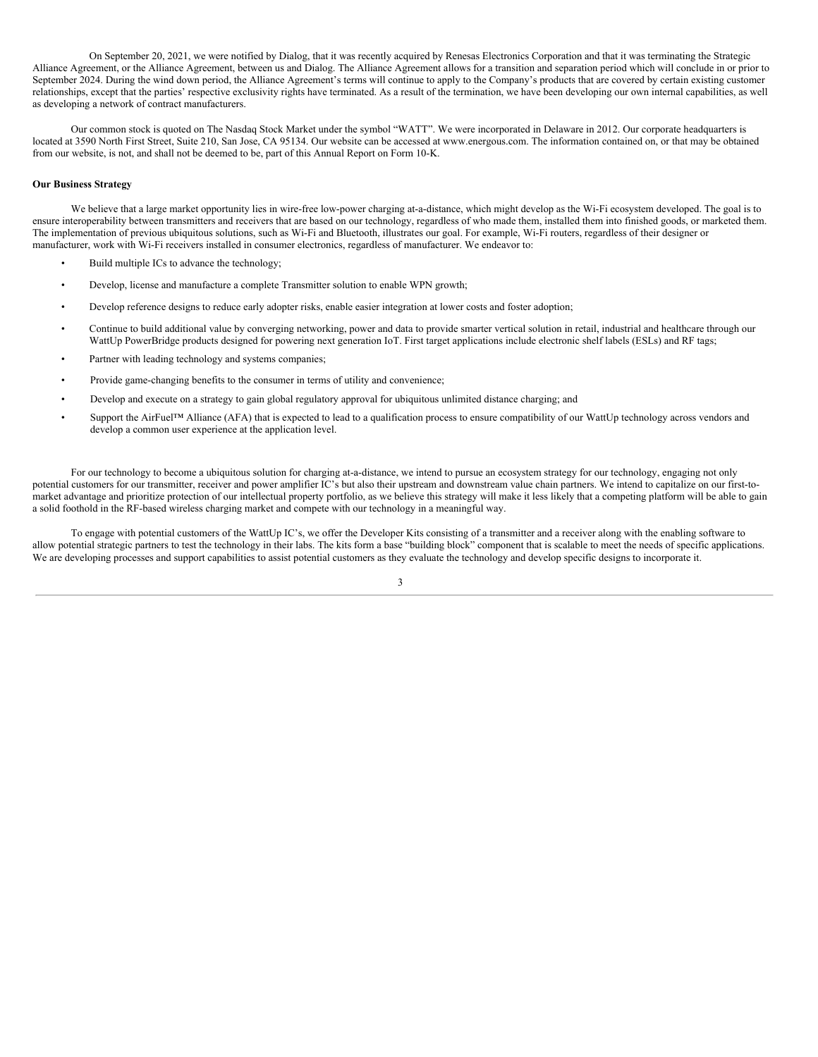On September 20, 2021, we were notified by Dialog, that it was recently acquired by Renesas Electronics Corporation and that it was terminating the Strategic Alliance Agreement, or the Alliance Agreement, between us and Dialog. The Alliance Agreement allows for a transition and separation period which will conclude in or prior to September 2024. During the wind down period, the Alliance Agreement's terms will continue to apply to the Company's products that are covered by certain existing customer relationships, except that the parties' respective exclusivity rights have terminated. As a result of the termination, we have been developing our own internal capabilities, as well as developing a network of contract manufacturers.

Our common stock is quoted on The Nasdaq Stock Market under the symbol "WATT". We were incorporated in Delaware in 2012. Our corporate headquarters is located at 3590 North First Street, Suite 210, San Jose, CA 95134. Our website can be accessed at www.energous.com. The information contained on, or that may be obtained from our website, is not, and shall not be deemed to be, part of this Annual Report on Form 10-K.

## **Our Business Strategy**

We believe that a large market opportunity lies in wire-free low-power charging at-a-distance, which might develop as the Wi-Fi ecosystem developed. The goal is to ensure interoperability between transmitters and receivers that are based on our technology, regardless of who made them, installed them into finished goods, or marketed them. The implementation of previous ubiquitous solutions, such as Wi-Fi and Bluetooth, illustrates our goal. For example, Wi-Fi routers, regardless of their designer or manufacturer, work with Wi-Fi receivers installed in consumer electronics, regardless of manufacturer. We endeavor to:

- Build multiple ICs to advance the technology;
- Develop, license and manufacture a complete Transmitter solution to enable WPN growth;
- Develop reference designs to reduce early adopter risks, enable easier integration at lower costs and foster adoption;
- Continue to build additional value by converging networking, power and data to provide smarter vertical solution in retail, industrial and healthcare through our WattUp PowerBridge products designed for powering next generation IoT. First target applications include electronic shelf labels (ESLs) and RF tags;
- Partner with leading technology and systems companies;
- Provide game-changing benefits to the consumer in terms of utility and convenience;
- Develop and execute on a strategy to gain global regulatory approval for ubiquitous unlimited distance charging; and
- Support the AirFuel™ Alliance (AFA) that is expected to lead to a qualification process to ensure compatibility of our WattUp technology across vendors and develop a common user experience at the application level.

For our technology to become a ubiquitous solution for charging at-a-distance, we intend to pursue an ecosystem strategy for our technology, engaging not only potential customers for our transmitter, receiver and power amplifier IC's but also their upstream and downstream value chain partners. We intend to capitalize on our first-tomarket advantage and prioritize protection of our intellectual property portfolio, as we believe this strategy will make it less likely that a competing platform will be able to gain a solid foothold in the RF-based wireless charging market and compete with our technology in a meaningful way.

To engage with potential customers of the WattUp IC's, we offer the Developer Kits consisting of a transmitter and a receiver along with the enabling software to allow potential strategic partners to test the technology in their labs. The kits form a base "building block" component that is scalable to meet the needs of specific applications. We are developing processes and support capabilities to assist potential customers as they evaluate the technology and develop specific designs to incorporate it.

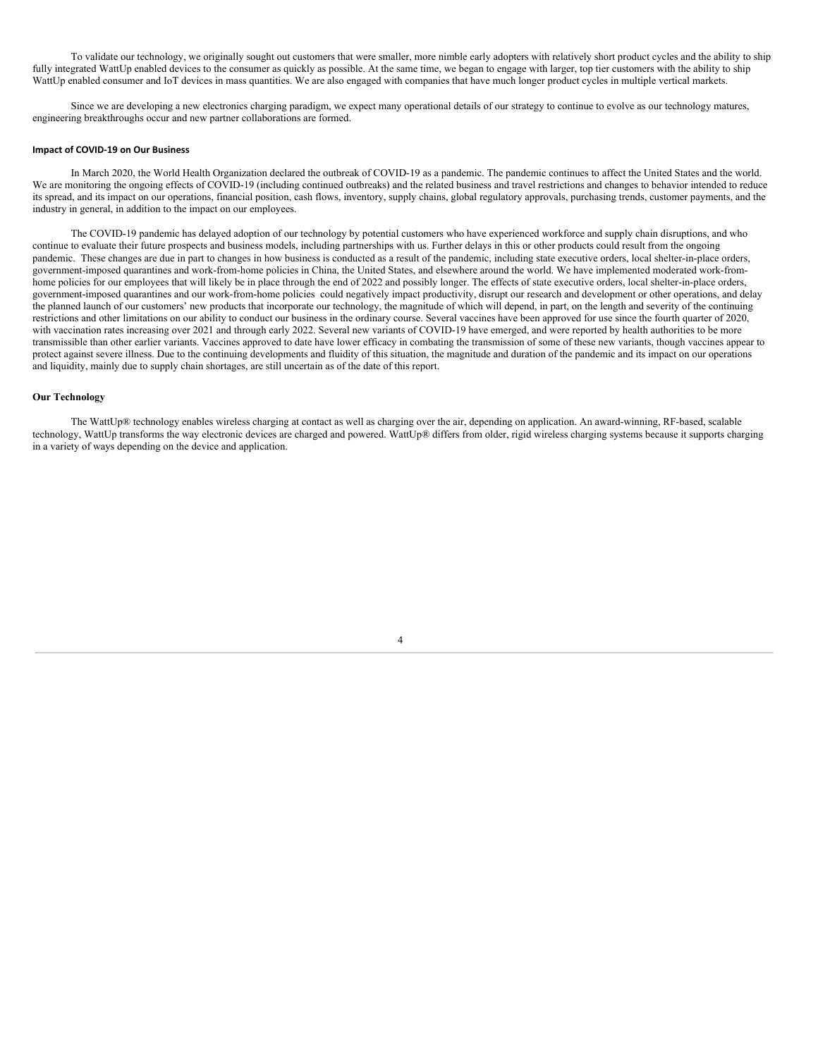To validate our technology, we originally sought out customers that were smaller, more nimble early adopters with relatively short product cycles and the ability to ship fully integrated WattUp enabled devices to the consumer as quickly as possible. At the same time, we began to engage with larger, top tier customers with the ability to ship WattUp enabled consumer and IoT devices in mass quantities. We are also engaged with companies that have much longer product cycles in multiple vertical markets.

Since we are developing a new electronics charging paradigm, we expect many operational details of our strategy to continue to evolve as our technology matures, engineering breakthroughs occur and new partner collaborations are formed.

#### **Impact of COVID-19 on Our Business**

In March 2020, the World Health Organization declared the outbreak of COVID-19 as a pandemic. The pandemic continues to affect the United States and the world. We are monitoring the ongoing effects of COVID-19 (including continued outbreaks) and the related business and travel restrictions and changes to behavior intended to reduce its spread, and its impact on our operations, financial position, cash flows, inventory, supply chains, global regulatory approvals, purchasing trends, customer payments, and the industry in general, in addition to the impact on our employees.

The COVID-19 pandemic has delayed adoption of our technology by potential customers who have experienced workforce and supply chain disruptions, and who continue to evaluate their future prospects and business models, including partnerships with us. Further delays in this or other products could result from the ongoing pandemic. These changes are due in part to changes in how business is conducted as a result of the pandemic, including state executive orders, local shelter-in-place orders, government-imposed quarantines and work-from-home policies in China, the United States, and elsewhere around the world. We have implemented moderated work-fromhome policies for our employees that will likely be in place through the end of 2022 and possibly longer. The effects of state executive orders, local shelter-in-place orders, government-imposed quarantines and our work-from-home policies could negatively impact productivity, disrupt our research and development or other operations, and delay the planned launch of our customers' new products that incorporate our technology, the magnitude of which will depend, in part, on the length and severity of the continuing restrictions and other limitations on our ability to conduct our business in the ordinary course. Several vaccines have been approved for use since the fourth quarter of 2020, with vaccination rates increasing over 2021 and through early 2022. Several new variants of COVID-19 have emerged, and were reported by health authorities to be more transmissible than other earlier variants. Vaccines approved to date have lower efficacy in combating the transmission of some of these new variants, though vaccines appear to protect against severe illness. Due to the continuing developments and fluidity of this situation, the magnitude and duration of the pandemic and its impact on our operations and liquidity, mainly due to supply chain shortages, are still uncertain as of the date of this report.

#### **Our Technology**

The WattUp® technology enables wireless charging at contact as well as charging over the air, depending on application. An award-winning, RF-based, scalable technology, WattUp transforms the way electronic devices are charged and powered. WattUp® differs from older, rigid wireless charging systems because it supports charging in a variety of ways depending on the device and application.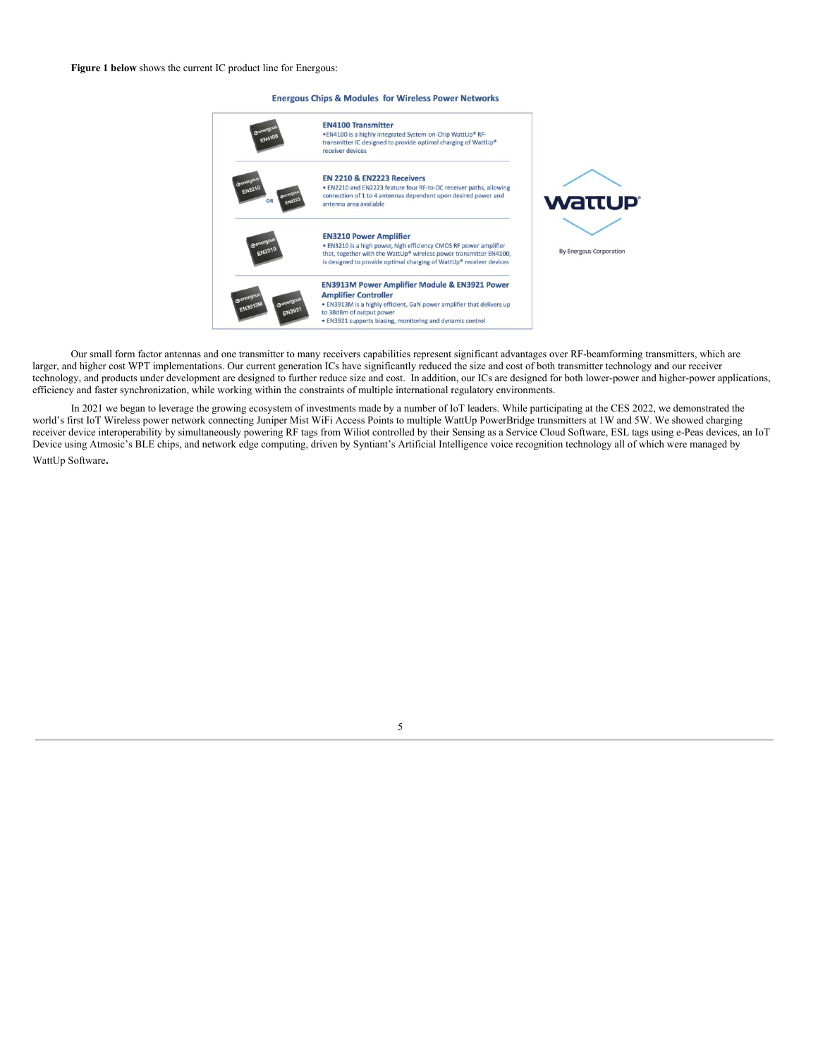**Figure 1 below** shows the current IC product line for Energous:

#### **Energous Chips & Modules for Wireless Power Networks**



Our small form factor antennas and one transmitter to many receivers capabilities represent significant advantages over RF-beamforming transmitters, which are larger, and higher cost WPT implementations. Our current generation ICs have significantly reduced the size and cost of both transmitter technology and our receiver technology, and products under development are designed to further reduce size and cost. In addition, our ICs are designed for both lower-power and higher-power applications, efficiency and faster synchronization, while working within the constraints of multiple international regulatory environments.

In 2021 we began to leverage the growing ecosystem of investments made by a number of IoT leaders. While participating at the CES 2022, we demonstrated the world's first IoT Wireless power network connecting Juniper Mist WiFi Access Points to multiple WattUp PowerBridge transmitters at 1W and 5W. We showed charging receiver device interoperability by simultaneously powering RF tags from Wiliot controlled by their Sensing as a Service Cloud Software, ESL tags using e-Peas devices, an IoT Device using Atmosic's BLE chips, and network edge computing, driven by Syntiant's Artificial Intelligence voice recognition technology all of which were managed by WattUp Software.

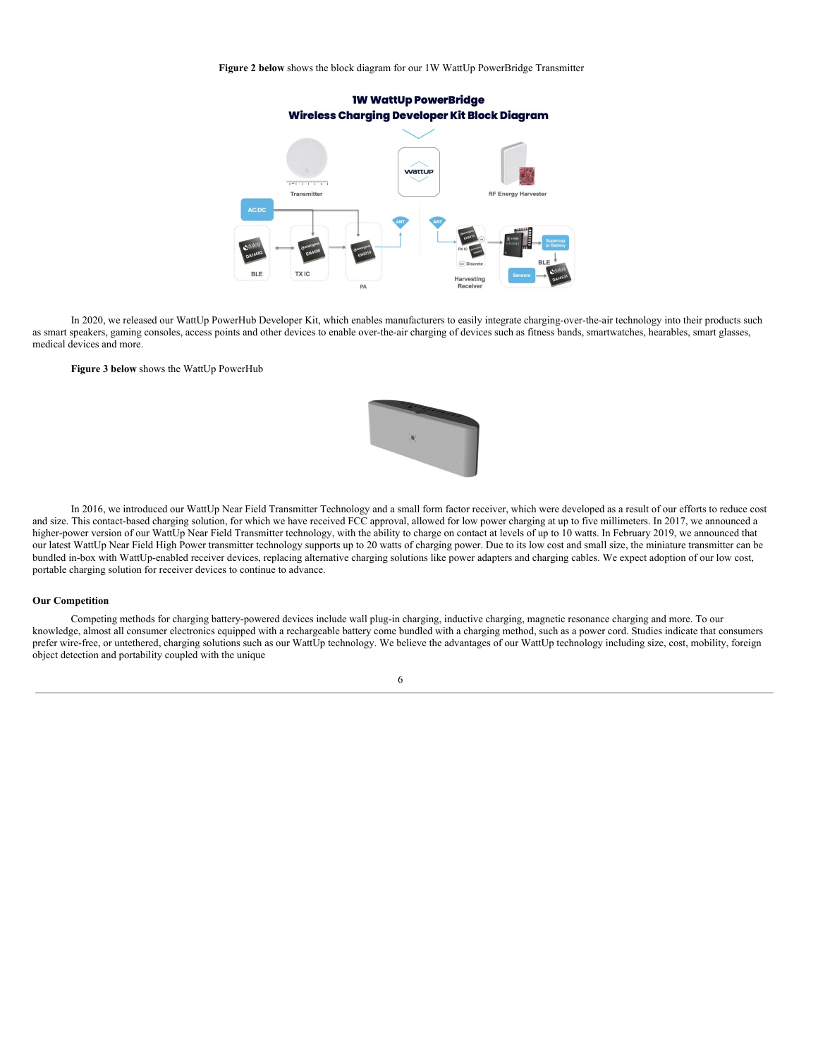**Figure 2 below** shows the block diagram for our 1W WattUp PowerBridge Transmitter



In 2020, we released our WattUp PowerHub Developer Kit, which enables manufacturers to easily integrate charging-over-the-air technology into their products such as smart speakers, gaming consoles, access points and other devices to enable over-the-air charging of devices such as fitness bands, smartwatches, hearables, smart glasses, medical devices and more.

**Figure 3 below** shows the WattUp PowerHub



In 2016, we introduced our WattUp Near Field Transmitter Technology and a small form factor receiver, which were developed as a result of our efforts to reduce cost and size. This contact-based charging solution, for which we have received FCC approval, allowed for low power charging at up to five millimeters. In 2017, we announced a higher-power version of our WattUp Near Field Transmitter technology, with the ability to charge on contact at levels of up to 10 watts. In February 2019, we announced that our latest WattUp Near Field High Power transmitter technology supports up to 20 watts of charging power. Due to its low cost and small size, the miniature transmitter can be bundled in-box with WattUp-enabled receiver devices, replacing alternative charging solutions like power adapters and charging cables. We expect adoption of our low cost, portable charging solution for receiver devices to continue to advance.

#### **Our Competition**

Competing methods for charging battery-powered devices include wall plug-in charging, inductive charging, magnetic resonance charging and more. To our knowledge, almost all consumer electronics equipped with a rechargeable battery come bundled with a charging method, such as a power cord. Studies indicate that consumers prefer wire-free, or untethered, charging solutions such as our WattUp technology. We believe the advantages of our WattUp technology including size, cost, mobility, foreign object detection and portability coupled with the unique

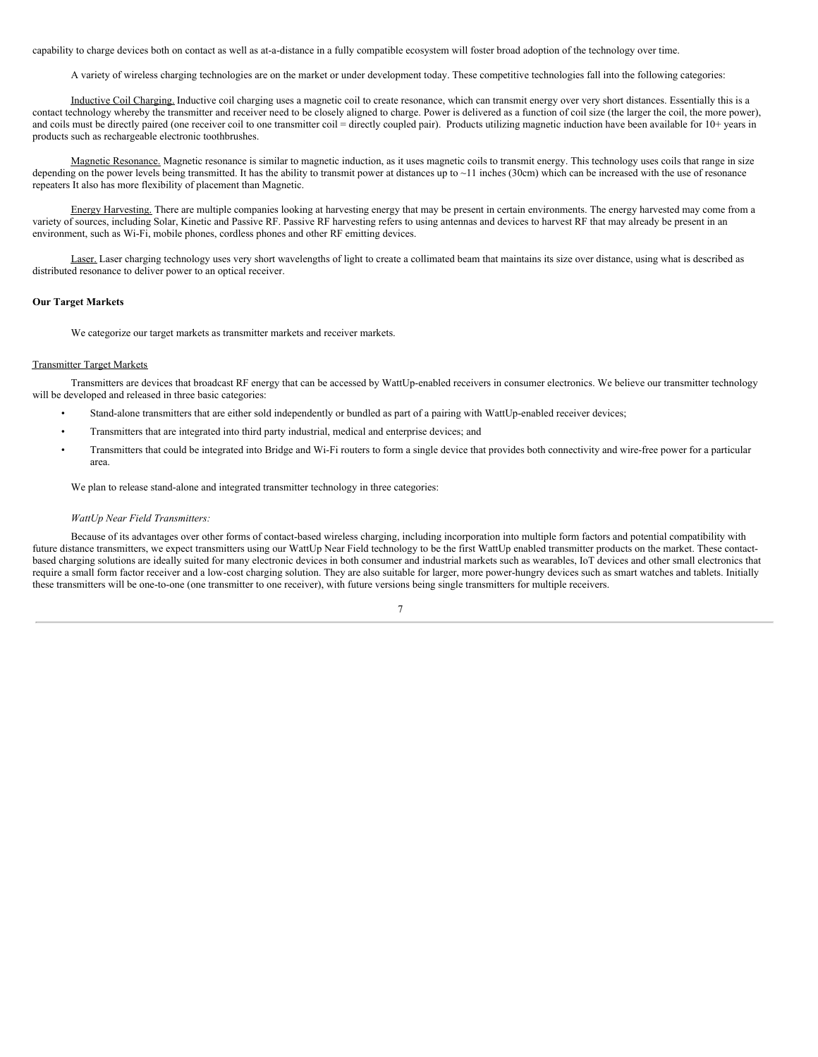capability to charge devices both on contact as well as at-a-distance in a fully compatible ecosystem will foster broad adoption of the technology over time.

A variety of wireless charging technologies are on the market or under development today. These competitive technologies fall into the following categories:

Inductive Coil Charging. Inductive coil charging uses a magnetic coil to create resonance, which can transmit energy over very short distances. Essentially this is a contact technology whereby the transmitter and receiver need to be closely aligned to charge. Power is delivered as a function of coil size (the larger the coil, the more power), and coils must be directly paired (one receiver coil to one transmitter coil = directly coupled pair). Products utilizing magnetic induction have been available for 10+ years in products such as rechargeable electronic toothbrushes.

Magnetic Resonance. Magnetic resonance is similar to magnetic induction, as it uses magnetic coils to transmit energy. This technology uses coils that range in size depending on the power levels being transmitted. It has the ability to transmit power at distances up to  $\sim$ 11 inches (30cm) which can be increased with the use of resonance repeaters It also has more flexibility of placement than Magnetic.

Energy Harvesting. There are multiple companies looking at harvesting energy that may be present in certain environments. The energy harvested may come from a variety of sources, including Solar, Kinetic and Passive RF. Passive RF harvesting refers to using antennas and devices to harvest RF that may already be present in an environment, such as Wi-Fi, mobile phones, cordless phones and other RF emitting devices.

Laser. Laser charging technology uses very short wavelengths of light to create a collimated beam that maintains its size over distance, using what is described as distributed resonance to deliver power to an optical receiver.

#### **Our Target Markets**

We categorize our target markets as transmitter markets and receiver markets.

#### Transmitter Target Markets

Transmitters are devices that broadcast RF energy that can be accessed by WattUp-enabled receivers in consumer electronics. We believe our transmitter technology will be developed and released in three basic categories:

- Stand-alone transmitters that are either sold independently or bundled as part of a pairing with WattUp-enabled receiver devices;
- Transmitters that are integrated into third party industrial, medical and enterprise devices; and
- Transmitters that could be integrated into Bridge and Wi-Fi routers to form a single device that provides both connectivity and wire-free power for a particular area.

We plan to release stand-alone and integrated transmitter technology in three categories:

#### *WattUp Near Field Transmitters:*

Because of its advantages over other forms of contact-based wireless charging, including incorporation into multiple form factors and potential compatibility with future distance transmitters, we expect transmitters using our WattUp Near Field technology to be the first WattUp enabled transmitter products on the market. These contactbased charging solutions are ideally suited for many electronic devices in both consumer and industrial markets such as wearables, IoT devices and other small electronics that require a small form factor receiver and a low-cost charging solution. They are also suitable for larger, more power-hungry devices such as smart watches and tablets. Initially these transmitters will be one-to-one (one transmitter to one receiver), with future versions being single transmitters for multiple receivers.

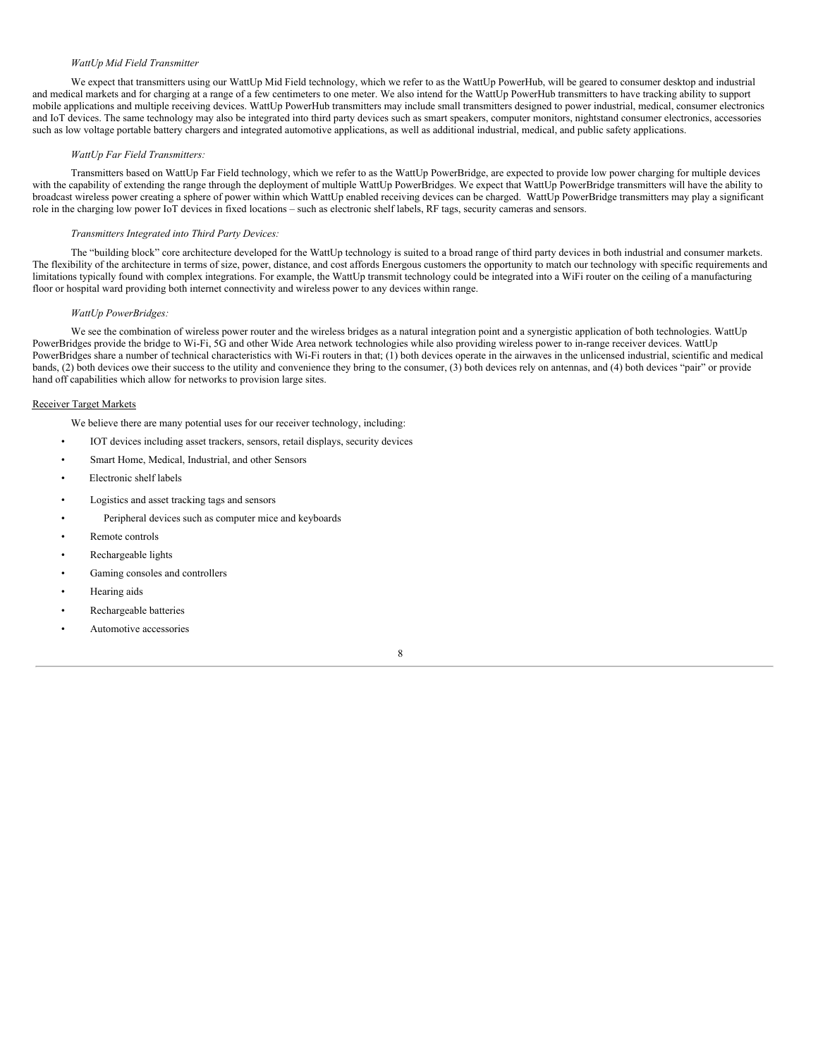## *WattUp Mid Field Transmitter*

We expect that transmitters using our WattUp Mid Field technology, which we refer to as the WattUp PowerHub, will be geared to consumer desktop and industrial and medical markets and for charging at a range of a few centimeters to one meter. We also intend for the WattUp PowerHub transmitters to have tracking ability to support mobile applications and multiple receiving devices. WattUp PowerHub transmitters may include small transmitters designed to power industrial, medical, consumer electronics and IoT devices. The same technology may also be integrated into third party devices such as smart speakers, computer monitors, nightstand consumer electronics, accessories such as low voltage portable battery chargers and integrated automotive applications, as well as additional industrial, medical, and public safety applications.

#### *WattUp Far Field Transmitters:*

Transmitters based on WattUp Far Field technology, which we refer to as the WattUp PowerBridge, are expected to provide low power charging for multiple devices with the capability of extending the range through the deployment of multiple WattUp PowerBridges. We expect that WattUp PowerBridge transmitters will have the ability to broadcast wireless power creating a sphere of power within which WattUp enabled receiving devices can be charged. WattUp PowerBridge transmitters may play a significant role in the charging low power IoT devices in fixed locations – such as electronic shelf labels, RF tags, security cameras and sensors.

#### *Transmitters Integrated into Third Party Devices:*

The "building block" core architecture developed for the WattUp technology is suited to a broad range of third party devices in both industrial and consumer markets. The flexibility of the architecture in terms of size, power, distance, and cost affords Energous customers the opportunity to match our technology with specific requirements and limitations typically found with complex integrations. For example, the WattUp transmit technology could be integrated into a WiFi router on the ceiling of a manufacturing floor or hospital ward providing both internet connectivity and wireless power to any devices within range.

#### *WattUp PowerBridges:*

We see the combination of wireless power router and the wireless bridges as a natural integration point and a synergistic application of both technologies. WattUp PowerBridges provide the bridge to Wi-Fi, 5G and other Wide Area network technologies while also providing wireless power to in-range receiver devices. WattUp PowerBridges share a number of technical characteristics with Wi-Fi routers in that; (1) both devices operate in the airwaves in the unlicensed industrial, scientific and medical bands, (2) both devices owe their success to the utility and convenience they bring to the consumer, (3) both devices rely on antennas, and (4) both devices "pair" or provide hand off capabilities which allow for networks to provision large sites.

## Receiver Target Markets

We believe there are many potential uses for our receiver technology, including:

- IOT devices including asset trackers, sensors, retail displays, security devices
- Smart Home, Medical, Industrial, and other Sensors
- Electronic shelf labels
- Logistics and asset tracking tags and sensors
- Peripheral devices such as computer mice and keyboards
- Remote controls
- Rechargeable lights
- Gaming consoles and controllers
- Hearing aids
- Rechargeable batteries
- Automotive accessories

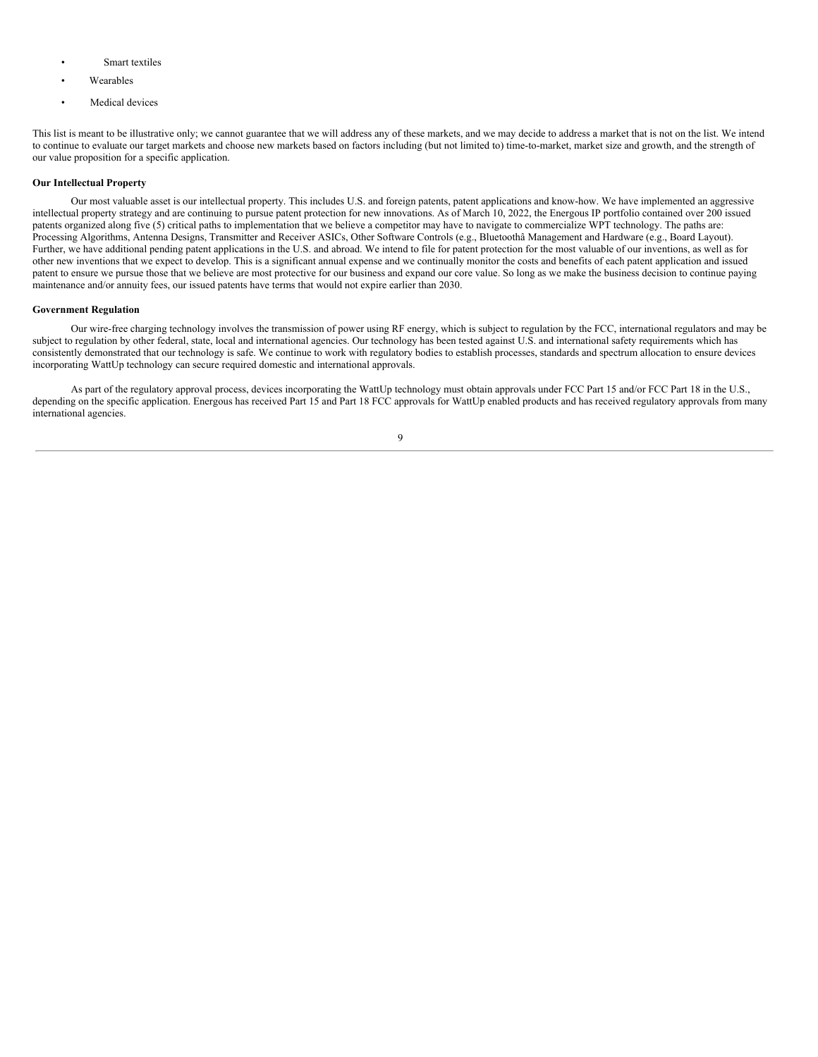- Smart textiles
- **Wearables**
- Medical devices

This list is meant to be illustrative only; we cannot guarantee that we will address any of these markets, and we may decide to address a market that is not on the list. We intend to continue to evaluate our target markets and choose new markets based on factors including (but not limited to) time-to-market, market size and growth, and the strength of our value proposition for a specific application.

### **Our Intellectual Property**

Our most valuable asset is our intellectual property. This includes U.S. and foreign patents, patent applications and know-how. We have implemented an aggressive intellectual property strategy and are continuing to pursue patent protection for new innovations. As of March 10, 2022, the Energous IP portfolio contained over 200 issued patents organized along five (5) critical paths to implementation that we believe a competitor may have to navigate to commercialize WPT technology. The paths are: Processing Algorithms, Antenna Designs, Transmitter and Receiver ASICs, Other Software Controls (e.g., Bluetoothâ Management and Hardware (e.g., Board Layout). Further, we have additional pending patent applications in the U.S. and abroad. We intend to file for patent protection for the most valuable of our inventions, as well as for other new inventions that we expect to develop. This is a significant annual expense and we continually monitor the costs and benefits of each patent application and issued patent to ensure we pursue those that we believe are most protective for our business and expand our core value. So long as we make the business decision to continue paying maintenance and/or annuity fees, our issued patents have terms that would not expire earlier than 2030.

#### **Government Regulation**

Our wire-free charging technology involves the transmission of power using RF energy, which is subject to regulation by the FCC, international regulators and may be subject to regulation by other federal, state, local and international agencies. Our technology has been tested against U.S. and international safety requirements which has consistently demonstrated that our technology is safe. We continue to work with regulatory bodies to establish processes, standards and spectrum allocation to ensure devices incorporating WattUp technology can secure required domestic and international approvals.

As part of the regulatory approval process, devices incorporating the WattUp technology must obtain approvals under FCC Part 15 and/or FCC Part 18 in the U.S., depending on the specific application. Energous has received Part 15 and Part 18 FCC approvals for WattUp enabled products and has received regulatory approvals from many international agencies.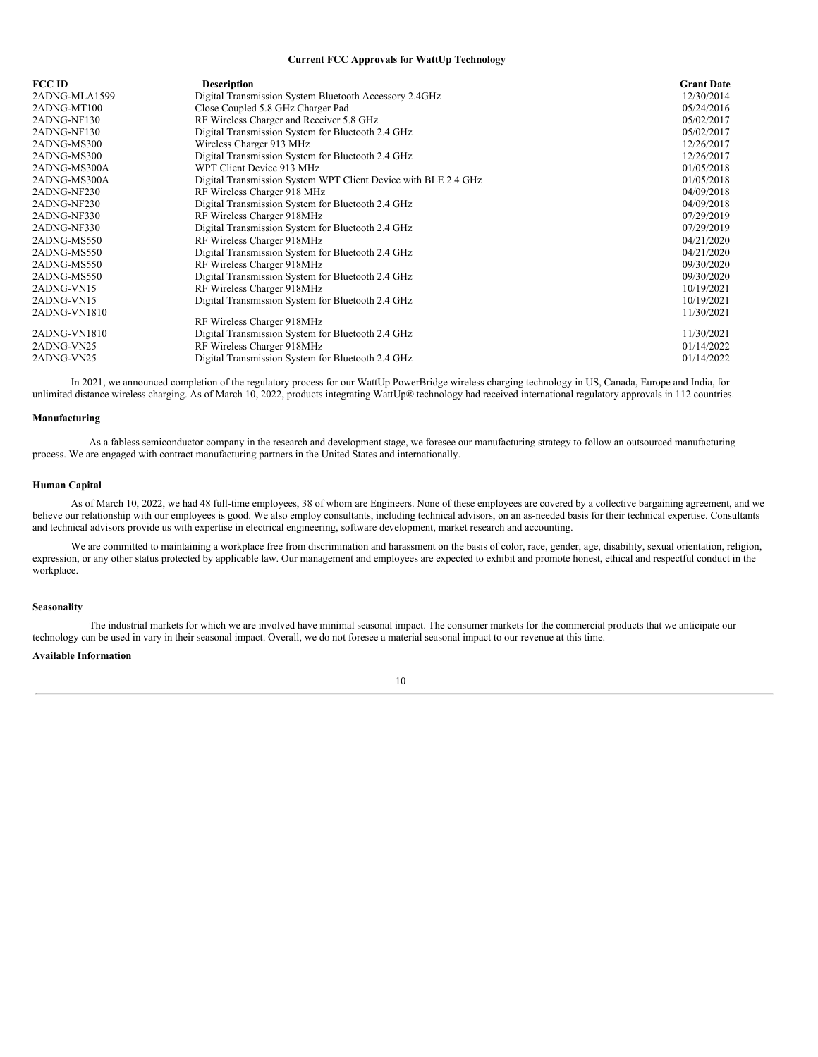### **Current FCC Approvals for WattUp Technology**

| <b>FCC ID</b> | <b>Description</b>                                             | <b>Grant Date</b> |
|---------------|----------------------------------------------------------------|-------------------|
| 2ADNG-MLA1599 | Digital Transmission System Bluetooth Accessory 2.4GHz         | 12/30/2014        |
| 2ADNG-MT100   | Close Coupled 5.8 GHz Charger Pad                              | 05/24/2016        |
| 2ADNG-NF130   | RF Wireless Charger and Receiver 5.8 GHz                       | 05/02/2017        |
| 2ADNG-NF130   | Digital Transmission System for Bluetooth 2.4 GHz              | 05/02/2017        |
| 2ADNG-MS300   | Wireless Charger 913 MHz                                       | 12/26/2017        |
| 2ADNG-MS300   | Digital Transmission System for Bluetooth 2.4 GHz              | 12/26/2017        |
| 2ADNG-MS300A  | WPT Client Device 913 MHz                                      | 01/05/2018        |
| 2ADNG-MS300A  | Digital Transmission System WPT Client Device with BLE 2.4 GHz | 01/05/2018        |
| 2ADNG-NF230   | RF Wireless Charger 918 MHz                                    | 04/09/2018        |
| 2ADNG-NF230   | Digital Transmission System for Bluetooth 2.4 GHz              | 04/09/2018        |
| 2ADNG-NF330   | RF Wireless Charger 918MHz                                     | 07/29/2019        |
| 2ADNG-NF330   | Digital Transmission System for Bluetooth 2.4 GHz              | 07/29/2019        |
| 2ADNG-MS550   | RF Wireless Charger 918MHz                                     | 04/21/2020        |
| 2ADNG-MS550   | Digital Transmission System for Bluetooth 2.4 GHz              | 04/21/2020        |
| 2ADNG-MS550   | RF Wireless Charger 918MHz                                     | 09/30/2020        |
| 2ADNG-MS550   | Digital Transmission System for Bluetooth 2.4 GHz              | 09/30/2020        |
| 2ADNG-VN15    | RF Wireless Charger 918MHz                                     | 10/19/2021        |
| 2ADNG-VN15    | Digital Transmission System for Bluetooth 2.4 GHz              | 10/19/2021        |
| 2ADNG-VN1810  |                                                                | 11/30/2021        |
|               | RF Wireless Charger 918MHz                                     |                   |
| 2ADNG-VN1810  | Digital Transmission System for Bluetooth 2.4 GHz              | 11/30/2021        |
| 2ADNG-VN25    | RF Wireless Charger 918MHz                                     | 01/14/2022        |
| 2ADNG-VN25    | Digital Transmission System for Bluetooth 2.4 GHz              | 01/14/2022        |

In 2021, we announced completion of the regulatory process for our WattUp PowerBridge wireless charging technology in US, Canada, Europe and India, for unlimited distance wireless charging. As of March 10, 2022, products integrating WattUp® technology had received international regulatory approvals in 112 countries.

## **Manufacturing**

As a fabless semiconductor company in the research and development stage, we foresee our manufacturing strategy to follow an outsourced manufacturing process. We are engaged with contract manufacturing partners in the United States and internationally.

#### **Human Capital**

As of March 10, 2022, we had 48 full-time employees, 38 of whom are Engineers. None of these employees are covered by a collective bargaining agreement, and we believe our relationship with our employees is good. We also employ consultants, including technical advisors, on an as-needed basis for their technical expertise. Consultants and technical advisors provide us with expertise in electrical engineering, software development, market research and accounting.

We are committed to maintaining a workplace free from discrimination and harassment on the basis of color, race, gender, age, disability, sexual orientation, religion, expression, or any other status protected by applicable law. Our management and employees are expected to exhibit and promote honest, ethical and respectful conduct in the workplace.

#### **Seasonality**

The industrial markets for which we are involved have minimal seasonal impact. The consumer markets for the commercial products that we anticipate our technology can be used in vary in their seasonal impact. Overall, we do not foresee a material seasonal impact to our revenue at this time.

#### **Available Information**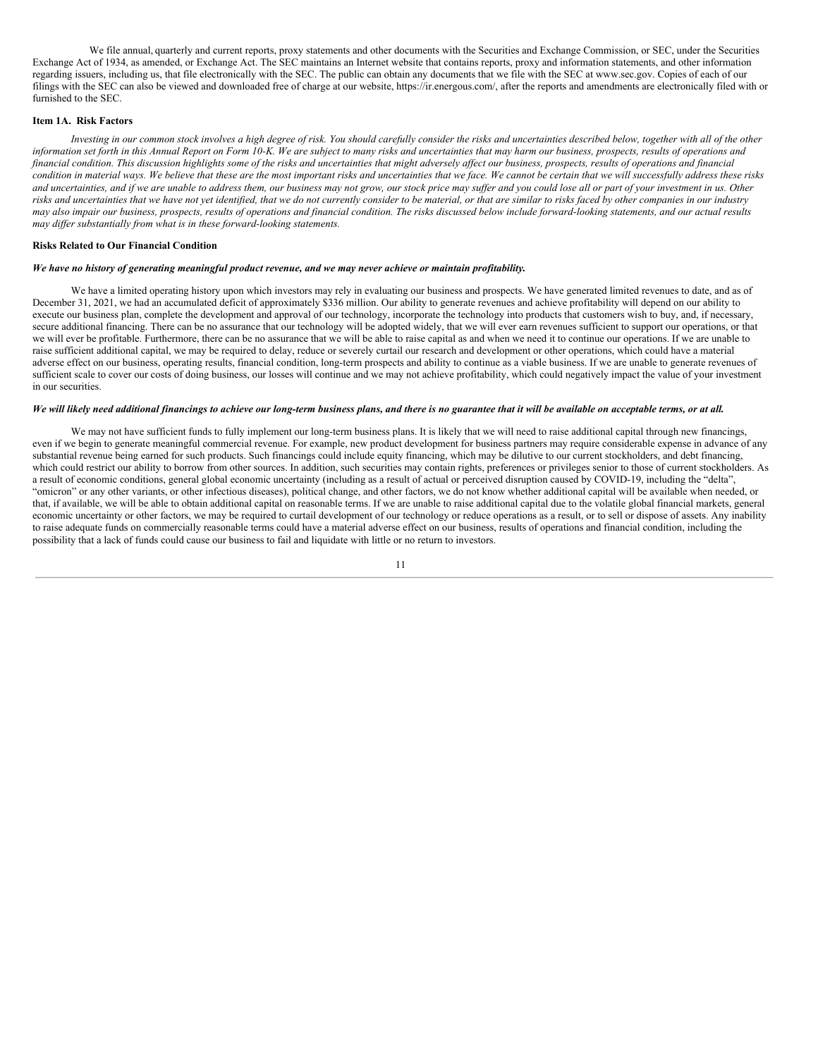We file annual, quarterly and current reports, proxy statements and other documents with the Securities and Exchange Commission, or SEC, under the Securities Exchange Act of 1934, as amended, or Exchange Act. The SEC maintains an Internet website that contains reports, proxy and information statements, and other information regarding issuers, including us, that file electronically with the SEC. The public can obtain any documents that we file with the SEC at www.sec.gov. Copies of each of our filings with the SEC can also be viewed and downloaded free of charge at our website, https://ir.energous.com/, after the reports and amendments are electronically filed with or furnished to the SEC.

#### <span id="page-12-0"></span>**Item 1A. Risk Factors**

Investing in our common stock involves a high degree of risk. You should carefully consider the risks and uncertainties described below, together with all of the other information set forth in this Annual Report on Form 10-K. We are subject to many risks and uncertainties that may harm our business, prospects, results of operations and financial condition. This discussion highlights some of the risks and uncertainties that might adversely affect our business, prospects, results of operations and financial condition in material ways. We believe that these are the most important risks and uncertainties that we face. We cannot be certain that we will successfully address these risks and uncertainties, and if we are unable to address them, our business may not grow, our stock price may suffer and you could lose all or part of your investment in us. Other risks and uncertainties that we have not yet identified, that we do not currently consider to be material, or that are similar to risks faced by other companies in our industry may also impair our business, prospects, results of operations and financial condition. The risks discussed below include forward-looking statements, and our actual results *may dif er substantially from what is in these forward-looking statements.*

#### **Risks Related to Our Financial Condition**

#### We have no history of generating meaningful product revenue, and we may never achieve or maintain profitability.

We have a limited operating history upon which investors may rely in evaluating our business and prospects. We have generated limited revenues to date, and as of December 31, 2021, we had an accumulated deficit of approximately \$336 million. Our ability to generate revenues and achieve profitability will depend on our ability to execute our business plan, complete the development and approval of our technology, incorporate the technology into products that customers wish to buy, and, if necessary, secure additional financing. There can be no assurance that our technology will be adopted widely, that we will ever earn revenues sufficient to support our operations, or that we will ever be profitable. Furthermore, there can be no assurance that we will be able to raise capital as and when we need it to continue our operations. If we are unable to raise sufficient additional capital, we may be required to delay, reduce or severely curtail our research and development or other operations, which could have a material adverse effect on our business, operating results, financial condition, long-term prospects and ability to continue as a viable business. If we are unable to generate revenues of sufficient scale to cover our costs of doing business, our losses will continue and we may not achieve profitability, which could negatively impact the value of your investment in our securities.

## We will likely need additional financings to achieve our long-term business plans, and there is no guarantee that it will be available on acceptable terms, or at all.

We may not have sufficient funds to fully implement our long-term business plans. It is likely that we will need to raise additional capital through new financings, even if we begin to generate meaningful commercial revenue. For example, new product development for business partners may require considerable expense in advance of any substantial revenue being earned for such products. Such financings could include equity financing, which may be dilutive to our current stockholders, and debt financing, which could restrict our ability to borrow from other sources. In addition, such securities may contain rights, preferences or privileges senior to those of current stockholders. As a result of economic conditions, general global economic uncertainty (including as a result of actual or perceived disruption caused by COVID-19, including the "delta", "omicron" or any other variants, or other infectious diseases), political change, and other factors, we do not know whether additional capital will be available when needed, or that, if available, we will be able to obtain additional capital on reasonable terms. If we are unable to raise additional capital due to the volatile global financial markets, general economic uncertainty or other factors, we may be required to curtail development of our technology or reduce operations as a result, or to sell or dispose of assets. Any inability to raise adequate funds on commercially reasonable terms could have a material adverse effect on our business, results of operations and financial condition, including the possibility that a lack of funds could cause our business to fail and liquidate with little or no return to investors.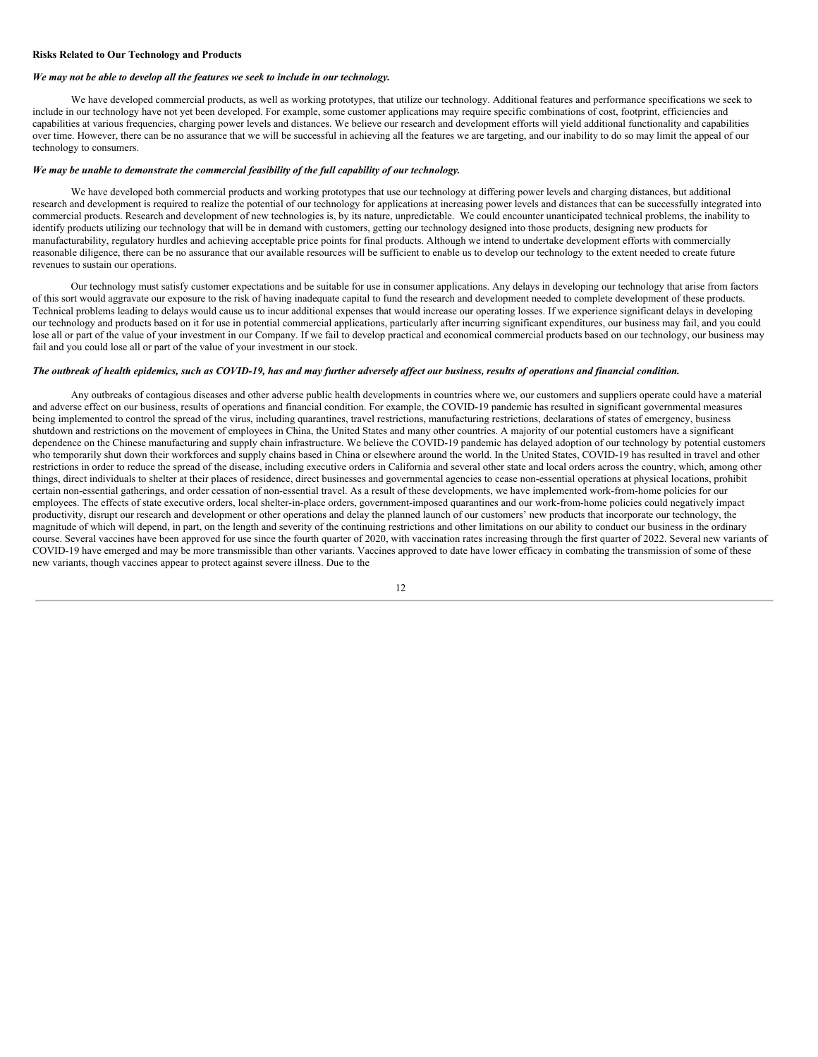#### **Risks Related to Our Technology and Products**

#### *We may not be able to develop all the features we seek to include in our technology.*

We have developed commercial products, as well as working prototypes, that utilize our technology. Additional features and performance specifications we seek to include in our technology have not yet been developed. For example, some customer applications may require specific combinations of cost, footprint, efficiencies and capabilities at various frequencies, charging power levels and distances. We believe our research and development efforts will yield additional functionality and capabilities over time. However, there can be no assurance that we will be successful in achieving all the features we are targeting, and our inability to do so may limit the appeal of our technology to consumers.

#### *We may be unable to demonstrate the commercial feasibility of the full capability of our technology.*

We have developed both commercial products and working prototypes that use our technology at differing power levels and charging distances, but additional research and development is required to realize the potential of our technology for applications at increasing power levels and distances that can be successfully integrated into commercial products. Research and development of new technologies is, by its nature, unpredictable. We could encounter unanticipated technical problems, the inability to identify products utilizing our technology that will be in demand with customers, getting our technology designed into those products, designing new products for manufacturability, regulatory hurdles and achieving acceptable price points for final products. Although we intend to undertake development efforts with commercially reasonable diligence, there can be no assurance that our available resources will be sufficient to enable us to develop our technology to the extent needed to create future revenues to sustain our operations.

Our technology must satisfy customer expectations and be suitable for use in consumer applications. Any delays in developing our technology that arise from factors of this sort would aggravate our exposure to the risk of having inadequate capital to fund the research and development needed to complete development of these products. Technical problems leading to delays would cause us to incur additional expenses that would increase our operating losses. If we experience significant delays in developing our technology and products based on it for use in potential commercial applications, particularly after incurring significant expenditures, our business may fail, and you could lose all or part of the value of your investment in our Company. If we fail to develop practical and economical commercial products based on our technology, our business may fail and you could lose all or part of the value of your investment in our stock.

## The outbreak of health epidemics, such as COVID-19, has and may further adversely affect our business, results of operations and financial condition.

Any outbreaks of contagious diseases and other adverse public health developments in countries where we, our customers and suppliers operate could have a material and adverse effect on our business, results of operations and financial condition. For example, the COVID-19 pandemic has resulted in significant governmental measures being implemented to control the spread of the virus, including quarantines, travel restrictions, manufacturing restrictions, declarations of states of emergency, business shutdown and restrictions on the movement of employees in China, the United States and many other countries. A majority of our potential customers have a significant dependence on the Chinese manufacturing and supply chain infrastructure. We believe the COVID-19 pandemic has delayed adoption of our technology by potential customers who temporarily shut down their workforces and supply chains based in China or elsewhere around the world. In the United States, COVID-19 has resulted in travel and other restrictions in order to reduce the spread of the disease, including executive orders in California and several other state and local orders across the country, which, among other things, direct individuals to shelter at their places of residence, direct businesses and governmental agencies to cease non-essential operations at physical locations, prohibit certain non-essential gatherings, and order cessation of non-essential travel. As a result of these developments, we have implemented work-from-home policies for our employees. The effects of state executive orders, local shelter-in-place orders, government-imposed quarantines and our work-from-home policies could negatively impact productivity, disrupt our research and development or other operations and delay the planned launch of our customers' new products that incorporate our technology, the magnitude of which will depend, in part, on the length and severity of the continuing restrictions and other limitations on our ability to conduct our business in the ordinary course. Several vaccines have been approved for use since the fourth quarter of 2020, with vaccination rates increasing through the first quarter of 2022. Several new variants of COVID-19 have emerged and may be more transmissible than other variants. Vaccines approved to date have lower efficacy in combating the transmission of some of these new variants, though vaccines appear to protect against severe illness. Due to the

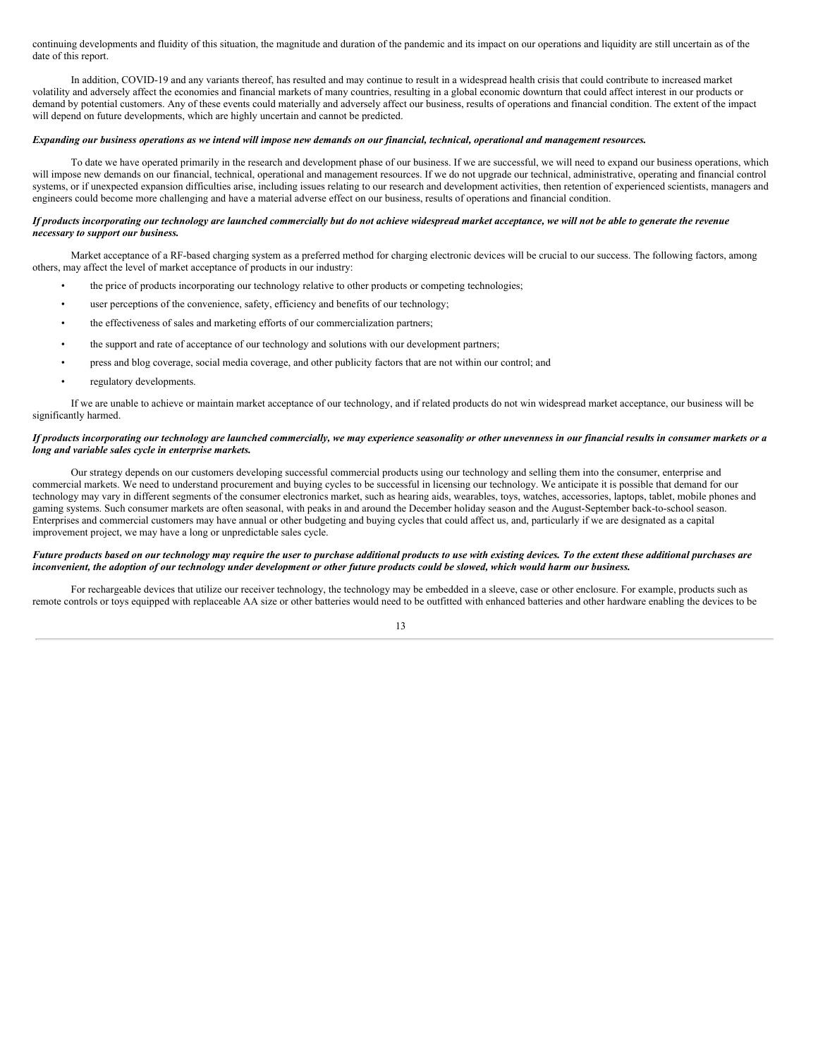continuing developments and fluidity of this situation, the magnitude and duration of the pandemic and its impact on our operations and liquidity are still uncertain as of the date of this report.

In addition, COVID-19 and any variants thereof, has resulted and may continue to result in a widespread health crisis that could contribute to increased market volatility and adversely affect the economies and financial markets of many countries, resulting in a global economic downturn that could affect interest in our products or demand by potential customers. Any of these events could materially and adversely affect our business, results of operations and financial condition. The extent of the impact will depend on future developments, which are highly uncertain and cannot be predicted.

## Expanding our business operations as we intend will impose new demands on our financial, technical, operational and management resources.

To date we have operated primarily in the research and development phase of our business. If we are successful, we will need to expand our business operations, which will impose new demands on our financial, technical, operational and management resources. If we do not upgrade our technical, administrative, operating and financial control systems, or if unexpected expansion difficulties arise, including issues relating to our research and development activities, then retention of experienced scientists, managers and engineers could become more challenging and have a material adverse effect on our business, results of operations and financial condition.

## If products incorporating our technology are launched commercially but do not achieve widespread market acceptance, we will not be able to generate the revenue *necessary to support our business.*

Market acceptance of a RF-based charging system as a preferred method for charging electronic devices will be crucial to our success. The following factors, among others, may affect the level of market acceptance of products in our industry:

- the price of products incorporating our technology relative to other products or competing technologies;
- user perceptions of the convenience, safety, efficiency and benefits of our technology;
- the effectiveness of sales and marketing efforts of our commercialization partners;
- the support and rate of acceptance of our technology and solutions with our development partners;
- press and blog coverage, social media coverage, and other publicity factors that are not within our control; and
- regulatory developments.

If we are unable to achieve or maintain market acceptance of our technology, and if related products do not win widespread market acceptance, our business will be significantly harmed.

## If products incorporating our technology are launched commercially, we may experience seasonality or other unevenness in our financial results in consumer markets or a *long and variable sales cycle in enterprise markets.*

Our strategy depends on our customers developing successful commercial products using our technology and selling them into the consumer, enterprise and commercial markets. We need to understand procurement and buying cycles to be successful in licensing our technology. We anticipate it is possible that demand for our technology may vary in different segments of the consumer electronics market, such as hearing aids, wearables, toys, watches, accessories, laptops, tablet, mobile phones and gaming systems. Such consumer markets are often seasonal, with peaks in and around the December holiday season and the August-September back-to-school season. Enterprises and commercial customers may have annual or other budgeting and buying cycles that could affect us, and, particularly if we are designated as a capital improvement project, we may have a long or unpredictable sales cycle.

## Future products based on our technology may require the user to purchase additional products to use with existing devices. To the extent these additional purchases are inconvenient, the adoption of our technology under development or other future products could be slowed, which would harm our business.

For rechargeable devices that utilize our receiver technology, the technology may be embedded in a sleeve, case or other enclosure. For example, products such as remote controls or toys equipped with replaceable AA size or other batteries would need to be outfitted with enhanced batteries and other hardware enabling the devices to be

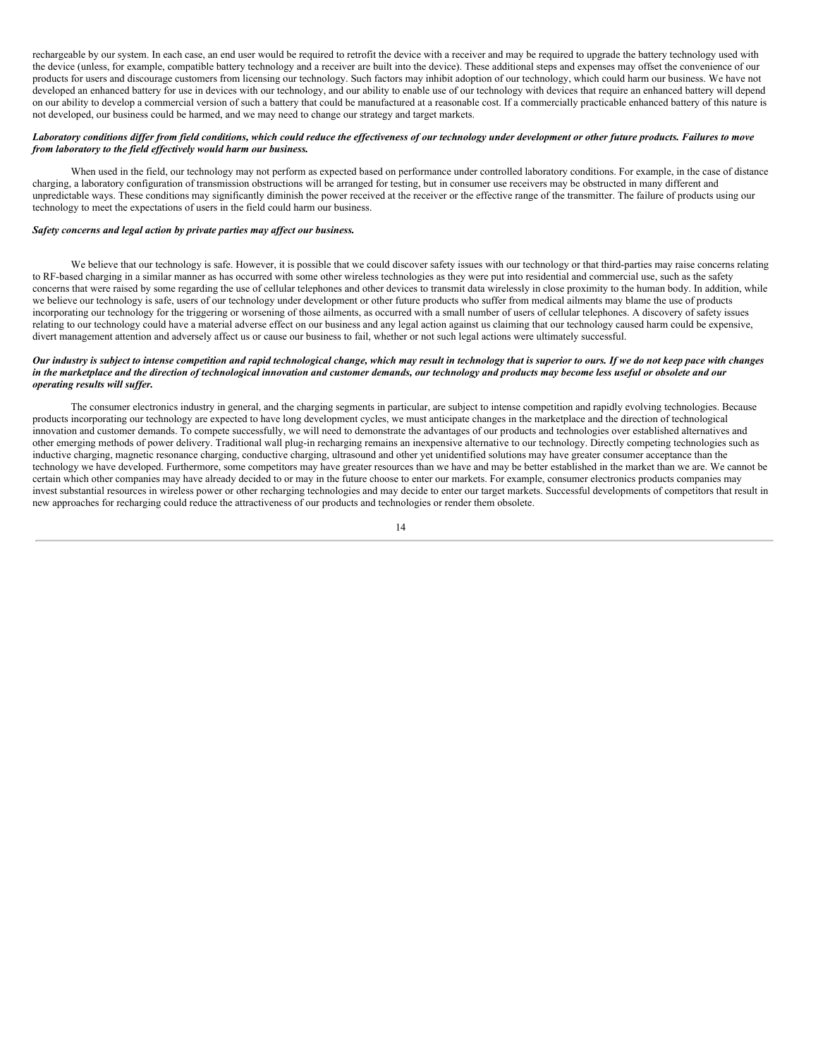rechargeable by our system. In each case, an end user would be required to retrofit the device with a receiver and may be required to upgrade the battery technology used with the device (unless, for example, compatible battery technology and a receiver are built into the device). These additional steps and expenses may offset the convenience of our products for users and discourage customers from licensing our technology. Such factors may inhibit adoption of our technology, which could harm our business. We have not developed an enhanced battery for use in devices with our technology, and our ability to enable use of our technology with devices that require an enhanced battery will depend on our ability to develop a commercial version of such a battery that could be manufactured at a reasonable cost. If a commercially practicable enhanced battery of this nature is not developed, our business could be harmed, and we may need to change our strategy and target markets.

#### Laboratory conditions differ from field conditions, which could reduce the effectiveness of our technology under development or other future products. Failures to move *from laboratory to the field ef ectively would harm our business.*

When used in the field, our technology may not perform as expected based on performance under controlled laboratory conditions. For example, in the case of distance charging, a laboratory configuration of transmission obstructions will be arranged for testing, but in consumer use receivers may be obstructed in many different and unpredictable ways. These conditions may significantly diminish the power received at the receiver or the effective range of the transmitter. The failure of products using our technology to meet the expectations of users in the field could harm our business.

## *Safety concerns and legal action by private parties may af ect our business.*

We believe that our technology is safe. However, it is possible that we could discover safety issues with our technology or that third-parties may raise concerns relating to RF-based charging in a similar manner as has occurred with some other wireless technologies as they were put into residential and commercial use, such as the safety concerns that were raised by some regarding the use of cellular telephones and other devices to transmit data wirelessly in close proximity to the human body. In addition, while we believe our technology is safe, users of our technology under development or other future products who suffer from medical ailments may blame the use of products incorporating our technology for the triggering or worsening of those ailments, as occurred with a small number of users of cellular telephones. A discovery of safety issues relating to our technology could have a material adverse effect on our business and any legal action against us claiming that our technology caused harm could be expensive, divert management attention and adversely affect us or cause our business to fail, whether or not such legal actions were ultimately successful.

#### Our industry is subject to intense competition and rapid technological change, which may result in technology that is superior to ours. If we do not keep pace with changes in the marketplace and the direction of technological innovation and customer demands, our technology and products may become less useful or obsolete and our  $\omega$ *operating results* will *suffer.*

The consumer electronics industry in general, and the charging segments in particular, are subject to intense competition and rapidly evolving technologies. Because products incorporating our technology are expected to have long development cycles, we must anticipate changes in the marketplace and the direction of technological innovation and customer demands. To compete successfully, we will need to demonstrate the advantages of our products and technologies over established alternatives and other emerging methods of power delivery. Traditional wall plug-in recharging remains an inexpensive alternative to our technology. Directly competing technologies such as inductive charging, magnetic resonance charging, conductive charging, ultrasound and other yet unidentified solutions may have greater consumer acceptance than the technology we have developed. Furthermore, some competitors may have greater resources than we have and may be better established in the market than we are. We cannot be certain which other companies may have already decided to or may in the future choose to enter our markets. For example, consumer electronics products companies may invest substantial resources in wireless power or other recharging technologies and may decide to enter our target markets. Successful developments of competitors that result in new approaches for recharging could reduce the attractiveness of our products and technologies or render them obsolete.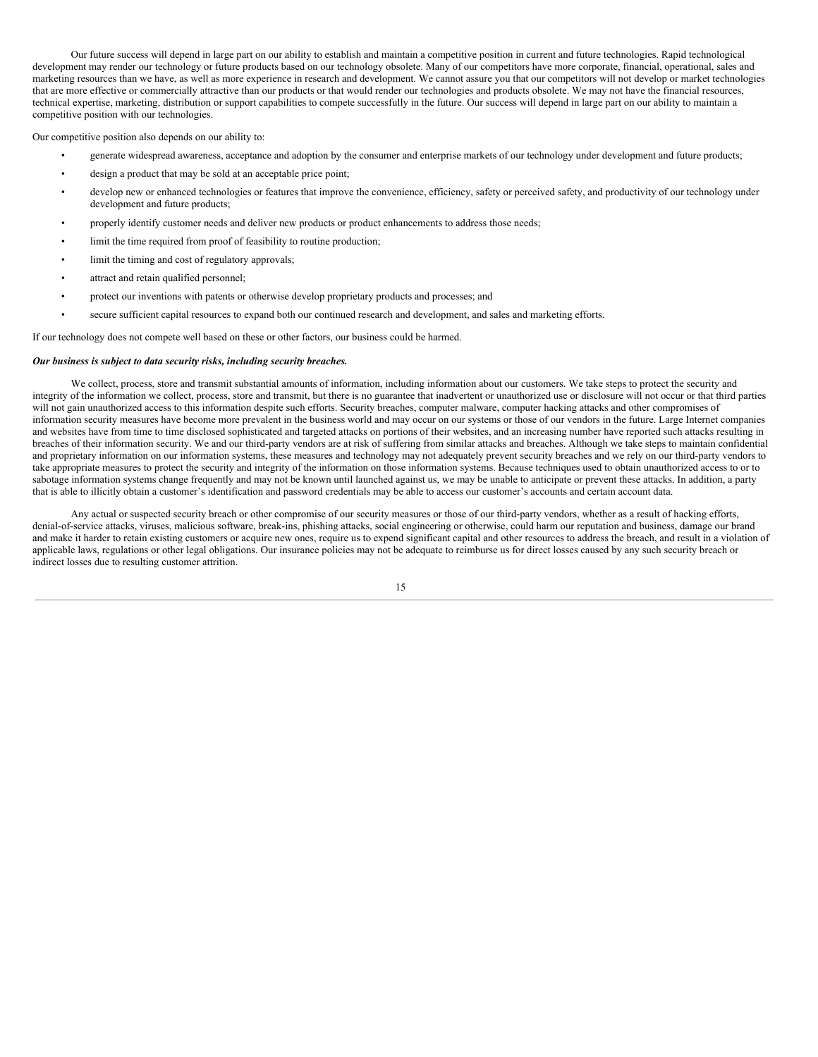Our future success will depend in large part on our ability to establish and maintain a competitive position in current and future technologies. Rapid technological development may render our technology or future products based on our technology obsolete. Many of our competitors have more corporate, financial, operational, sales and marketing resources than we have, as well as more experience in research and development. We cannot assure you that our competitors will not develop or market technologies that are more effective or commercially attractive than our products or that would render our technologies and products obsolete. We may not have the financial resources, technical expertise, marketing, distribution or support capabilities to compete successfully in the future. Our success will depend in large part on our ability to maintain a competitive position with our technologies.

Our competitive position also depends on our ability to:

- generate widespread awareness, acceptance and adoption by the consumer and enterprise markets of our technology under development and future products;
- design a product that may be sold at an acceptable price point;
- develop new or enhanced technologies or features that improve the convenience, efficiency, safety or perceived safety, and productivity of our technology under development and future products;
- properly identify customer needs and deliver new products or product enhancements to address those needs;
- limit the time required from proof of feasibility to routine production;
- limit the timing and cost of regulatory approvals;
- attract and retain qualified personnel;
- protect our inventions with patents or otherwise develop proprietary products and processes; and
- secure sufficient capital resources to expand both our continued research and development, and sales and marketing efforts.

If our technology does not compete well based on these or other factors, our business could be harmed.

## *Our business is subject to data security risks, including security breaches.*

We collect, process, store and transmit substantial amounts of information, including information about our customers. We take steps to protect the security and integrity of the information we collect, process, store and transmit, but there is no guarantee that inadvertent or unauthorized use or disclosure will not occur or that third parties will not gain unauthorized access to this information despite such efforts. Security breaches, computer malware, computer hacking attacks and other compromises of information security measures have become more prevalent in the business world and may occur on our systems or those of our vendors in the future. Large Internet companies and websites have from time to time disclosed sophisticated and targeted attacks on portions of their websites, and an increasing number have reported such attacks resulting in breaches of their information security. We and our third-party vendors are at risk of suffering from similar attacks and breaches. Although we take steps to maintain confidential and proprietary information on our information systems, these measures and technology may not adequately prevent security breaches and we rely on our third-party vendors to take appropriate measures to protect the security and integrity of the information on those information systems. Because techniques used to obtain unauthorized access to or to sabotage information systems change frequently and may not be known until launched against us, we may be unable to anticipate or prevent these attacks. In addition, a party that is able to illicitly obtain a customer's identification and password credentials may be able to access our customer's accounts and certain account data.

Any actual or suspected security breach or other compromise of our security measures or those of our third-party vendors, whether as a result of hacking efforts, denial-of-service attacks, viruses, malicious software, break-ins, phishing attacks, social engineering or otherwise, could harm our reputation and business, damage our brand and make it harder to retain existing customers or acquire new ones, require us to expend significant capital and other resources to address the breach, and result in a violation of applicable laws, regulations or other legal obligations. Our insurance policies may not be adequate to reimburse us for direct losses caused by any such security breach or indirect losses due to resulting customer attrition.

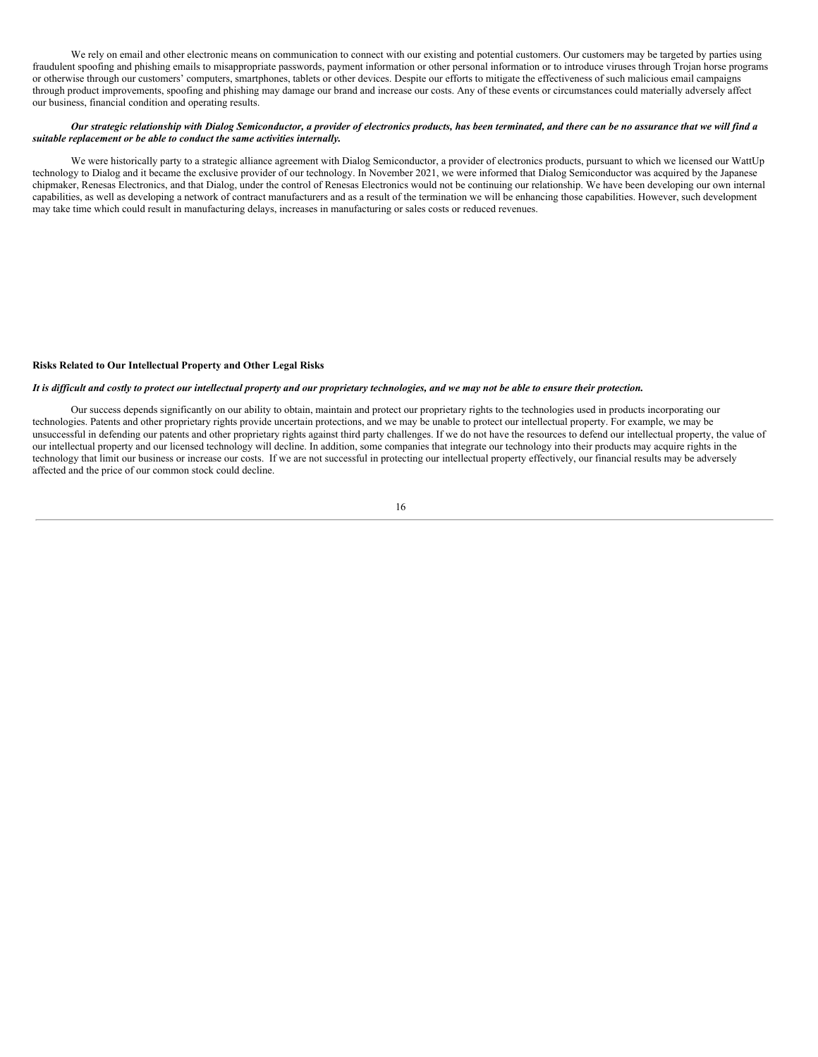We rely on email and other electronic means on communication to connect with our existing and potential customers. Our customers may be targeted by parties using fraudulent spoofing and phishing emails to misappropriate passwords, payment information or other personal information or to introduce viruses through Trojan horse programs or otherwise through our customers' computers, smartphones, tablets or other devices. Despite our efforts to mitigate the effectiveness of such malicious email campaigns through product improvements, spoofing and phishing may damage our brand and increase our costs. Any of these events or circumstances could materially adversely affect our business, financial condition and operating results.

## Our strategic relationship with Dialog Semiconductor, a provider of electronics products, has been terminated, and there can be no assurance that we will find a *suitable replacement or be able to conduct the same activities internally.*

We were historically party to a strategic alliance agreement with Dialog Semiconductor, a provider of electronics products, pursuant to which we licensed our WattUp technology to Dialog and it became the exclusive provider of our technology. In November 2021, we were informed that Dialog Semiconductor was acquired by the Japanese chipmaker, Renesas Electronics, and that Dialog, under the control of Renesas Electronics would not be continuing our relationship. We have been developing our own internal capabilities, as well as developing a network of contract manufacturers and as a result of the termination we will be enhancing those capabilities. However, such development may take time which could result in manufacturing delays, increases in manufacturing or sales costs or reduced revenues.

#### **Risks Related to Our Intellectual Property and Other Legal Risks**

## It is difficult and costly to protect our intellectual property and our proprietary technologies, and we may not be able to ensure their protection.

Our success depends significantly on our ability to obtain, maintain and protect our proprietary rights to the technologies used in products incorporating our technologies. Patents and other proprietary rights provide uncertain protections, and we may be unable to protect our intellectual property. For example, we may be unsuccessful in defending our patents and other proprietary rights against third party challenges. If we do not have the resources to defend our intellectual property, the value of our intellectual property and our licensed technology will decline. In addition, some companies that integrate our technology into their products may acquire rights in the technology that limit our business or increase our costs. If we are not successful in protecting our intellectual property effectively, our financial results may be adversely affected and the price of our common stock could decline.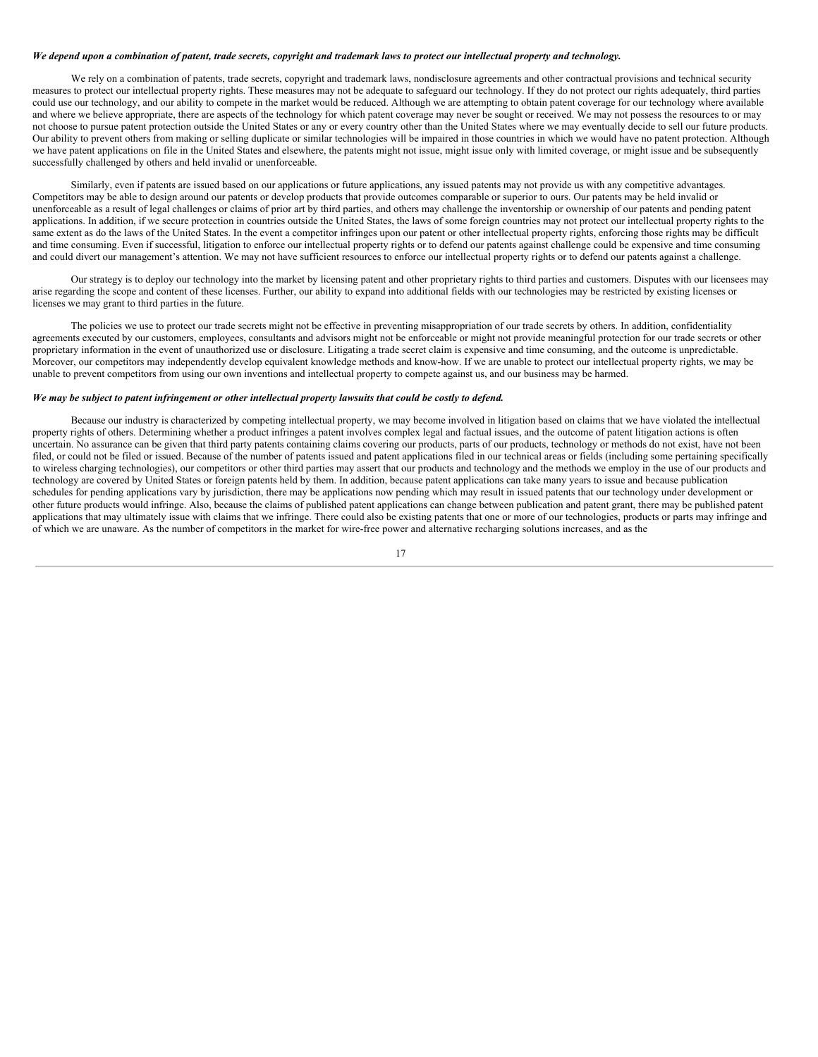## We depend upon a combination of patent, trade secrets, copyright and trademark laws to protect our intellectual property and technology.

We rely on a combination of patents, trade secrets, copyright and trademark laws, nondisclosure agreements and other contractual provisions and technical security measures to protect our intellectual property rights. These measures may not be adequate to safeguard our technology. If they do not protect our rights adequately, third parties could use our technology, and our ability to compete in the market would be reduced. Although we are attempting to obtain patent coverage for our technology where available and where we believe appropriate, there are aspects of the technology for which patent coverage may never be sought or received. We may not possess the resources to or may not choose to pursue patent protection outside the United States or any or every country other than the United States where we may eventually decide to sell our future products. Our ability to prevent others from making or selling duplicate or similar technologies will be impaired in those countries in which we would have no patent protection. Although we have patent applications on file in the United States and elsewhere, the patents might not issue, might issue only with limited coverage, or might issue and be subsequently successfully challenged by others and held invalid or unenforceable.

Similarly, even if patents are issued based on our applications or future applications, any issued patents may not provide us with any competitive advantages. Competitors may be able to design around our patents or develop products that provide outcomes comparable or superior to ours. Our patents may be held invalid or unenforceable as a result of legal challenges or claims of prior art by third parties, and others may challenge the inventorship or ownership of our patents and pending patent applications. In addition, if we secure protection in countries outside the United States, the laws of some foreign countries may not protect our intellectual property rights to the same extent as do the laws of the United States. In the event a competitor infringes upon our patent or other intellectual property rights, enforcing those rights may be difficult and time consuming. Even if successful, litigation to enforce our intellectual property rights or to defend our patents against challenge could be expensive and time consuming and could divert our management's attention. We may not have sufficient resources to enforce our intellectual property rights or to defend our patents against a challenge.

Our strategy is to deploy our technology into the market by licensing patent and other proprietary rights to third parties and customers. Disputes with our licensees may arise regarding the scope and content of these licenses. Further, our ability to expand into additional fields with our technologies may be restricted by existing licenses or licenses we may grant to third parties in the future.

The policies we use to protect our trade secrets might not be effective in preventing misappropriation of our trade secrets by others. In addition, confidentiality agreements executed by our customers, employees, consultants and advisors might not be enforceable or might not provide meaningful protection for our trade secrets or other proprietary information in the event of unauthorized use or disclosure. Litigating a trade secret claim is expensive and time consuming, and the outcome is unpredictable. Moreover, our competitors may independently develop equivalent knowledge methods and know-how. If we are unable to protect our intellectual property rights, we may be unable to prevent competitors from using our own inventions and intellectual property to compete against us, and our business may be harmed.

### We may be subject to patent infringement or other intellectual property lawsuits that could be costly to defend.

Because our industry is characterized by competing intellectual property, we may become involved in litigation based on claims that we have violated the intellectual property rights of others. Determining whether a product infringes a patent involves complex legal and factual issues, and the outcome of patent litigation actions is often uncertain. No assurance can be given that third party patents containing claims covering our products, parts of our products, technology or methods do not exist, have not been filed, or could not be filed or issued. Because of the number of patents issued and patent applications filed in our technical areas or fields (including some pertaining specifically to wireless charging technologies), our competitors or other third parties may assert that our products and technology and the methods we employ in the use of our products and technology are covered by United States or foreign patents held by them. In addition, because patent applications can take many years to issue and because publication schedules for pending applications vary by jurisdiction, there may be applications now pending which may result in issued patents that our technology under development or other future products would infringe. Also, because the claims of published patent applications can change between publication and patent grant, there may be published patent applications that may ultimately issue with claims that we infringe. There could also be existing patents that one or more of our technologies, products or parts may infringe and of which we are unaware. As the number of competitors in the market for wire-free power and alternative recharging solutions increases, and as the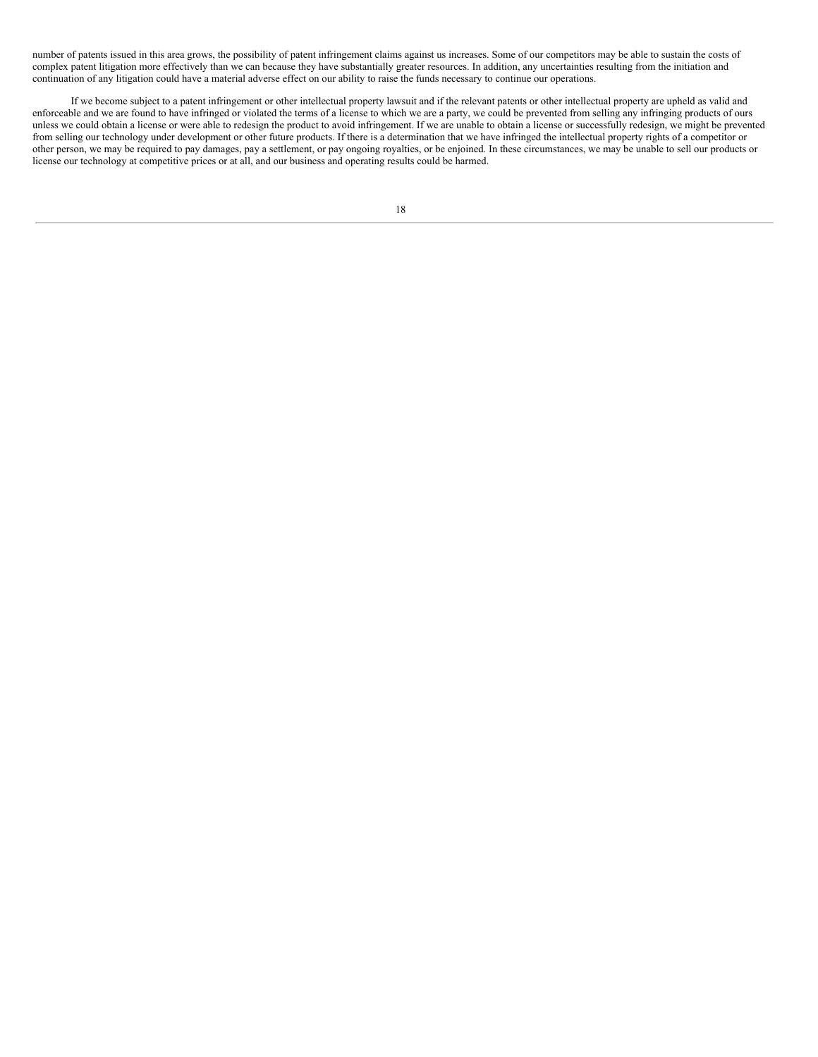number of patents issued in this area grows, the possibility of patent infringement claims against us increases. Some of our competitors may be able to sustain the costs of complex patent litigation more effectively than we can because they have substantially greater resources. In addition, any uncertainties resulting from the initiation and continuation of any litigation could have a material adverse effect on our ability to raise the funds necessary to continue our operations.

If we become subject to a patent infringement or other intellectual property lawsuit and if the relevant patents or other intellectual property are upheld as valid and enforceable and we are found to have infringed or violated the terms of a license to which we are a party, we could be prevented from selling any infringing products of ours unless we could obtain a license or were able to redesign the product to avoid infringement. If we are unable to obtain a license or successfully redesign, we might be prevented unless we could obtain a license or successf from selling our technology under development or other future products. If there is a determination that we have infringed the intellectual property rights of a competitor or other person, we may be required to pay damages, pay a settlement, or pay ongoing royalties, or be enjoined. In these circumstances, we may be unable to sell our products or license our technology at competitive prices or at all, and our business and operating results could be harmed.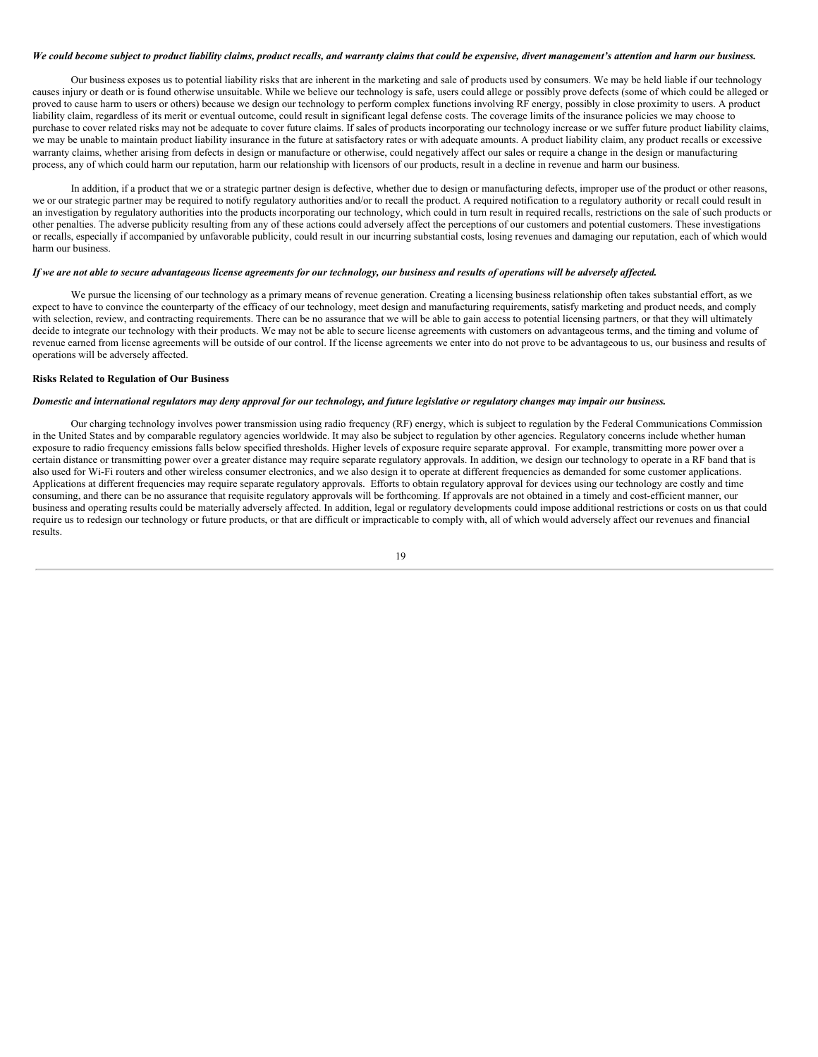#### We could become subject to product liability claims, product recalls, and warranty claims that could be expensive, divert management's attention and harm our business.

Our business exposes us to potential liability risks that are inherent in the marketing and sale of products used by consumers. We may be held liable if our technology causes injury or death or is found otherwise unsuitable. While we believe our technology is safe, users could allege or possibly prove defects (some of which could be alleged or proved to cause harm to users or others) because we design our technology to perform complex functions involving RF energy, possibly in close proximity to users. A product liability claim, regardless of its merit or eventual outcome, could result in significant legal defense costs. The coverage limits of the insurance policies we may choose to purchase to cover related risks may not be adequate to cover future claims. If sales of products incorporating our technology increase or we suffer future product liability claims, we may be unable to maintain product liability insurance in the future at satisfactory rates or with adequate amounts. A product liability claim, any product recalls or excessive warranty claims, whether arising from defects in design or manufacture or otherwise, could negatively affect our sales or require a change in the design or manufacturing process, any of which could harm our reputation, harm our relationship with licensors of our products, result in a decline in revenue and harm our business.

In addition, if a product that we or a strategic partner design is defective, whether due to design or manufacturing defects, improper use of the product or other reasons, we or our strategic partner may be required to notify regulatory authorities and/or to recall the product. A required notification to a regulatory authority or recall could result in an investigation by regulatory authorities into the products incorporating our technology, which could in turn result in required recalls, restrictions on the sale of such products or other penalties. The adverse publicity resulting from any of these actions could adversely affect the perceptions of our customers and potential customers. These investigations or recalls, especially if accompanied by unfavorable publicity, could result in our incurring substantial costs, losing revenues and damaging our reputation, each of which would harm our business.

## If we are not able to secure advantageous license agreements for our technology, our business and results of operations will be adversely affected.

We pursue the licensing of our technology as a primary means of revenue generation. Creating a licensing business relationship often takes substantial effort, as we expect to have to convince the counterparty of the efficacy of our technology, meet design and manufacturing requirements, satisfy marketing and product needs, and comply with selection, review, and contracting requirements. There can be no assurance that we will be able to gain access to potential licensing partners, or that they will ultimately decide to integrate our technology with their products. We may not be able to secure license agreements with customers on advantageous terms, and the timing and volume of revenue earned from license agreements will be outside of our control. If the license agreements we enter into do not prove to be advantageous to us, our business and results of operations will be adversely affected.

#### **Risks Related to Regulation of Our Business**

#### Domestic and international regulators may deny approval for our technology, and future legislative or regulatory changes may impair our business.

Our charging technology involves power transmission using radio frequency (RF) energy, which is subject to regulation by the Federal Communications Commission in the United States and by comparable regulatory agencies worldwide. It may also be subject to regulation by other agencies. Regulatory concerns include whether human exposure to radio frequency emissions falls below specified thresholds. Higher levels of exposure require separate approval. For example, transmitting more power over a certain distance or transmitting power over a greater distance may require separate regulatory approvals. In addition, we design our technology to operate in a RF band that is also used for Wi-Fi routers and other wireless consumer electronics, and we also design it to operate at different frequencies as demanded for some customer applications. Applications at different frequencies may require separate regulatory approvals. Efforts to obtain regulatory approval for devices using our technology are costly and time consuming, and there can be no assurance that requisite regulatory approvals will be forthcoming. If approvals are not obtained in a timely and cost-efficient manner, our business and operating results could be materially adversely affected. In addition, legal or regulatory developments could impose additional restrictions or costs on us that could require us to redesign our technology or future products, or that are difficult or impracticable to comply with, all of which would adversely affect our revenues and financial results.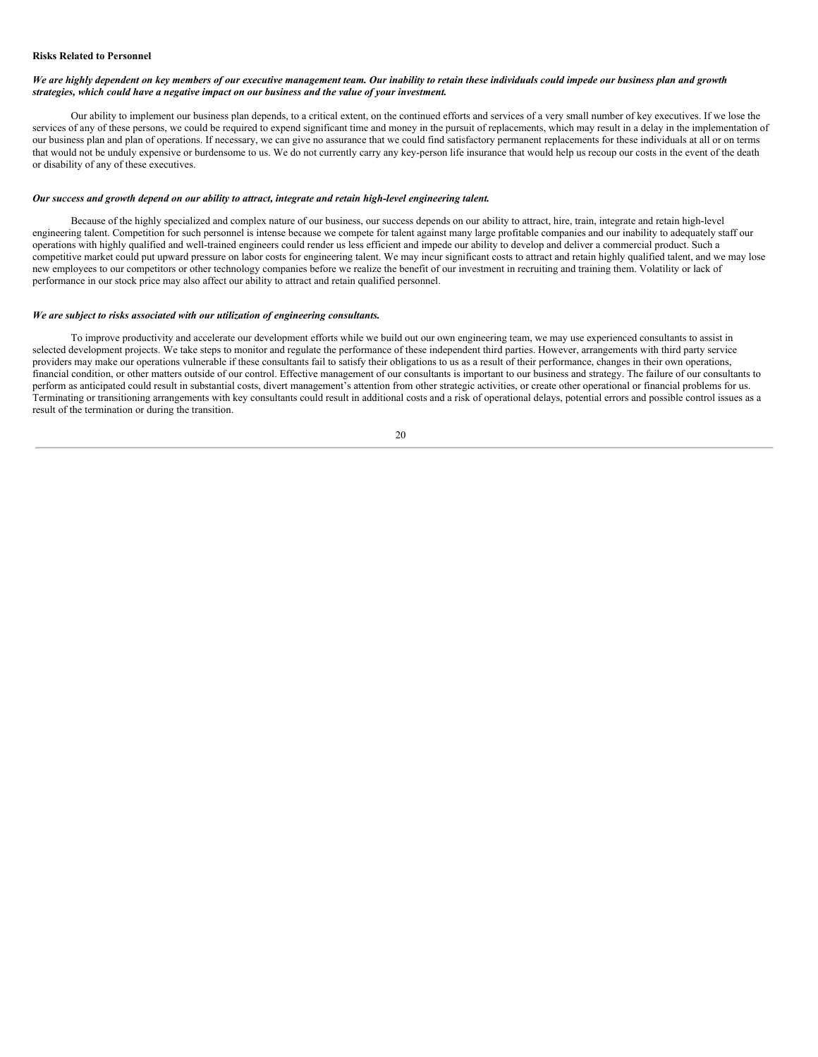#### **Risks Related to Personnel**

## We are highly dependent on key members of our executive management team. Our inability to retain these individuals could impede our business plan and growth *strategies, which could have a negative impact on our business and the value of your investment.*

Our ability to implement our business plan depends, to a critical extent, on the continued efforts and services of a very small number of key executives. If we lose the services of any of these persons, we could be required to expend significant time and money in the pursuit of replacements, which may result in a delay in the implementation of our business plan and plan of operations. If necessary, we can give no assurance that we could find satisfactory permanent replacements for these individuals at all or on terms that would not be unduly expensive or burdensome to us. We do not currently carry any key-person life insurance that would help us recoup our costs in the event of the death or disability of any of these executives.

# *Our success and growth depend on our ability to attract, integrate and retain high-level engineering talent.*

Because of the highly specialized and complex nature of our business, our success depends on our ability to attract, hire, train, integrate and retain high-level engineering talent. Competition for such personnel is intense because we compete for talent against many large profitable companies and our inability to adequately staff our operations with highly qualified and well-trained engineers could render us less efficient and impede our ability to develop and deliver a commercial product. Such a competitive market could put upward pressure on labor costs for engineering talent. We may incur significant costs to attract and retain highly qualified talent, and we may lose new employees to our competitors or other technology companies before we realize the benefit of our investment in recruiting and training them. Volatility or lack of performance in our stock price may also affect our ability to attract and retain qualified personnel.

#### *We are subject to risks associated with our utilization of engineering consultants.*

To improve productivity and accelerate our development efforts while we build out our own engineering team, we may use experienced consultants to assist in selected development projects. We take steps to monitor and regulate the performance of these independent third parties. However, arrangements with third party service providers may make our operations vulnerable if these consultants fail to satisfy their obligations to us as a result of their performance, changes in their own operations, financial condition, or other matters outside of our control. Effective management of our consultants is important to our business and strategy. The failure of our consultants to perform as anticipated could result in substantial costs, divert management's attention from other strategic activities, or create other operational or financial problems for us. Terminating or transitioning arrangements with key consultants could result in additional costs and a risk of operational delays, potential errors and possible control issues as a result of the termination or during the transition.

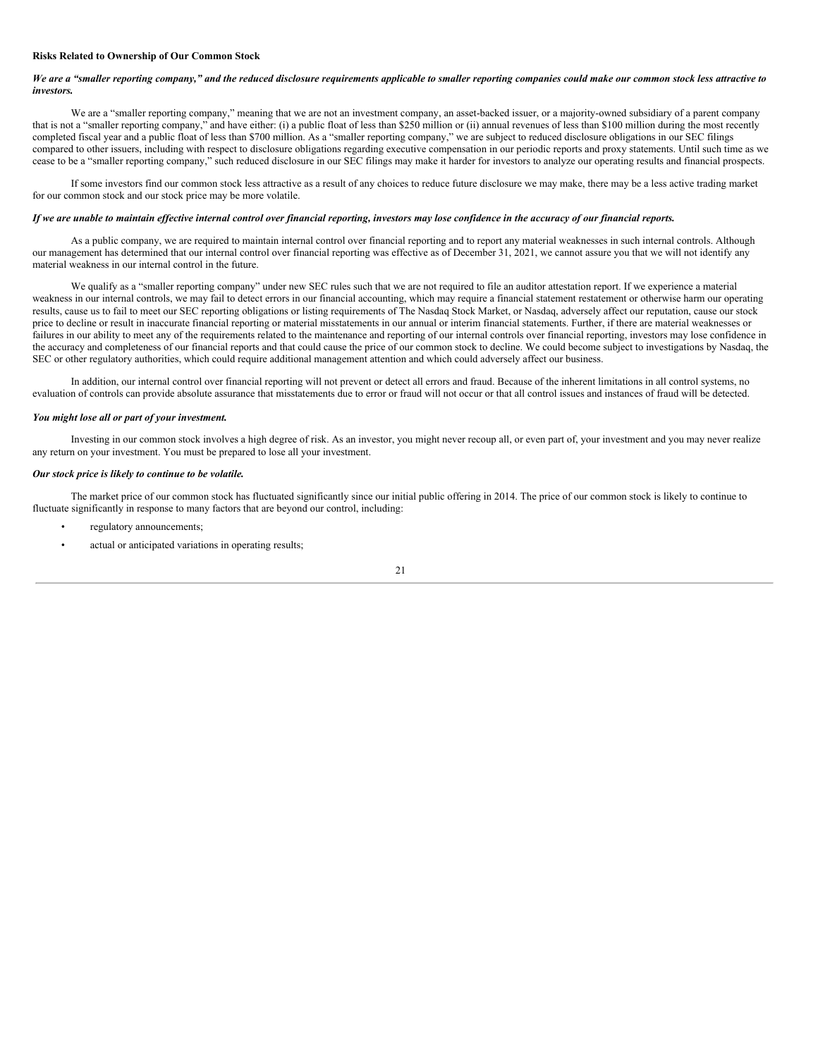### **Risks Related to Ownership of Our Common Stock**

## We are a "smaller reporting company," and the reduced disclosure requirements applicable to smaller reporting companies could make our common stock less attractive to *investors.*

We are a "smaller reporting company," meaning that we are not an investment company, an asset-backed issuer, or a majority-owned subsidiary of a parent company that is not a "smaller reporting company," and have either: (i) a public float of less than \$250 million or (ii) annual revenues of less than \$100 million during the most recently completed fiscal year and a public float of less than \$700 million. As a "smaller reporting company," we are subject to reduced disclosure obligations in our SEC filings compared to other issuers, including with respect to disclosure obligations regarding executive compensation in our periodic reports and proxy statements. Until such time as we cease to be a "smaller reporting company," such reduced disclosure in our SEC filings may make it harder for investors to analyze our operating results and financial prospects.

If some investors find our common stock less attractive as a result of any choices to reduce future disclosure we may make, there may be a less active trading market for our common stock and our stock price may be more volatile.

#### If we are unable to maintain effective internal control over financial reporting, investors may lose confidence in the accuracy of our financial reports.

As a public company, we are required to maintain internal control over financial reporting and to report any material weaknesses in such internal controls. Although our management has determined that our internal control over financial reporting was effective as of December 31, 2021, we cannot assure you that we will not identify any material weakness in our internal control in the future.

We qualify as a "smaller reporting company" under new SEC rules such that we are not required to file an auditor attestation report. If we experience a material weakness in our internal controls, we may fail to detect errors in our financial accounting, which may require a financial statement restatement or otherwise harm our operating results, cause us to fail to meet our SEC reporting obligations or listing requirements of The Nasdaq Stock Market, or Nasdaq, adversely affect our reputation, cause our stock price to decline or result in inaccurate financial reporting or material misstatements in our annual or interim financial statements. Further, if there are material weaknesses or failures in our ability to meet any of the requirements related to the maintenance and reporting of our internal controls over financial reporting, investors may lose confidence in the accuracy and completeness of our financial reports and that could cause the price of our common stock to decline. We could become subject to investigations by Nasdaq, the SEC or other regulatory authorities, which could require additional management attention and which could adversely affect our business.

In addition, our internal control over financial reporting will not prevent or detect all errors and fraud. Because of the inherent limitations in all control systems, no evaluation of controls can provide absolute assurance that misstatements due to error or fraud will not occur or that all control issues and instances of fraud will be detected.

#### *You might lose all or part of your investment.*

Investing in our common stock involves a high degree of risk. As an investor, you might never recoup all, or even part of, your investment and you may never realize any return on your investment. You must be prepared to lose all your investment.

#### *Our stock price is likely to continue to be volatile.*

The market price of our common stock has fluctuated significantly since our initial public offering in 2014. The price of our common stock is likely to continue to fluctuate significantly in response to many factors that are beyond our control, including:

- regulatory announcements;
- actual or anticipated variations in operating results;

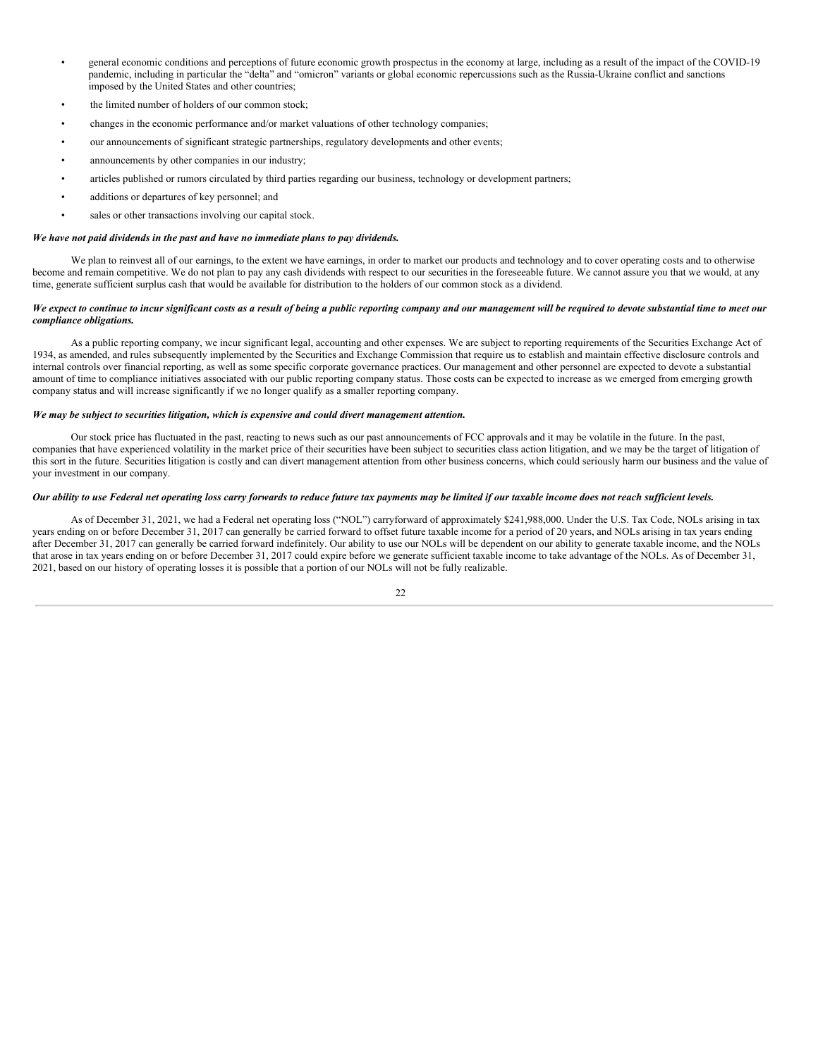- general economic conditions and perceptions of future economic growth prospectus in the economy at large, including as a result of the impact of the COVID-19 pandemic, including in particular the "delta" and "omicron" variants or global economic repercussions such as the Russia-Ukraine conflict and sanctions imposed by the United States and other countries;
- the limited number of holders of our common stock;
- changes in the economic performance and/or market valuations of other technology companies;
- our announcements of significant strategic partnerships, regulatory developments and other events;
- announcements by other companies in our industry;
- articles published or rumors circulated by third parties regarding our business, technology or development partners;
- additions or departures of key personnel; and
- sales or other transactions involving our capital stock.

#### *We have not paid dividends in the past and have no immediate plans to pay dividends.*

We plan to reinvest all of our earnings, to the extent we have earnings, in order to market our products and technology and to cover operating costs and to otherwise become and remain competitive. We do not plan to pay any cash dividends with respect to our securities in the foreseeable future. We cannot assure you that we would, at any time, generate sufficient surplus cash that would be available for distribution to the holders of our common stock as a dividend.

## We expect to continue to incur significant costs as a result of being a public reporting company and our management will be required to devote substantial time to meet our *compliance obligations.*

As a public reporting company, we incur significant legal, accounting and other expenses. We are subject to reporting requirements of the Securities Exchange Act of 1934, as amended, and rules subsequently implemented by the Securities and Exchange Commission that require us to establish and maintain effective disclosure controls and internal controls over financial reporting, as well as some specific corporate governance practices. Our management and other personnel are expected to devote a substantial amount of time to compliance initiatives associated with our public reporting company status. Those costs can be expected to increase as we emerged from emerging growth company status and will increase significantly if we no longer qualify as a smaller reporting company.

#### *We may be subject to securities litigation, which is expensive and could divert management attention.*

Our stock price has fluctuated in the past, reacting to news such as our past announcements of FCC approvals and it may be volatile in the future. In the past, companies that have experienced volatility in the market price of their securities have been subject to securities class action litigation, and we may be the target of litigation of this sort in the future. Securities litigation is costly and can divert management attention from other business concerns, which could seriously harm our business and the value of your investment in our company.

## Our ability to use Federal net operating loss carry forwards to reduce future tax payments may be limited if our taxable income does not reach sufficient levels.

As of December 31, 2021, we had a Federal net operating loss ("NOL") carryforward of approximately \$241,988,000. Under the U.S. Tax Code, NOLs arising in tax years ending on or before December 31, 2017 can generally be carried forward to offset future taxable income for a period of 20 years, and NOLs arising in tax years ending after December 31, 2017 can generally be carried forward indefinitely. Our ability to use our NOLs will be dependent on our ability to generate taxable income, and the NOLs that arose in tax years ending on or before December 31, 2017 could expire before we generate sufficient taxable income to take advantage of the NOLs. As of December 31, 2021, based on our history of operating losses it is possible that a portion of our NOLs will not be fully realizable.

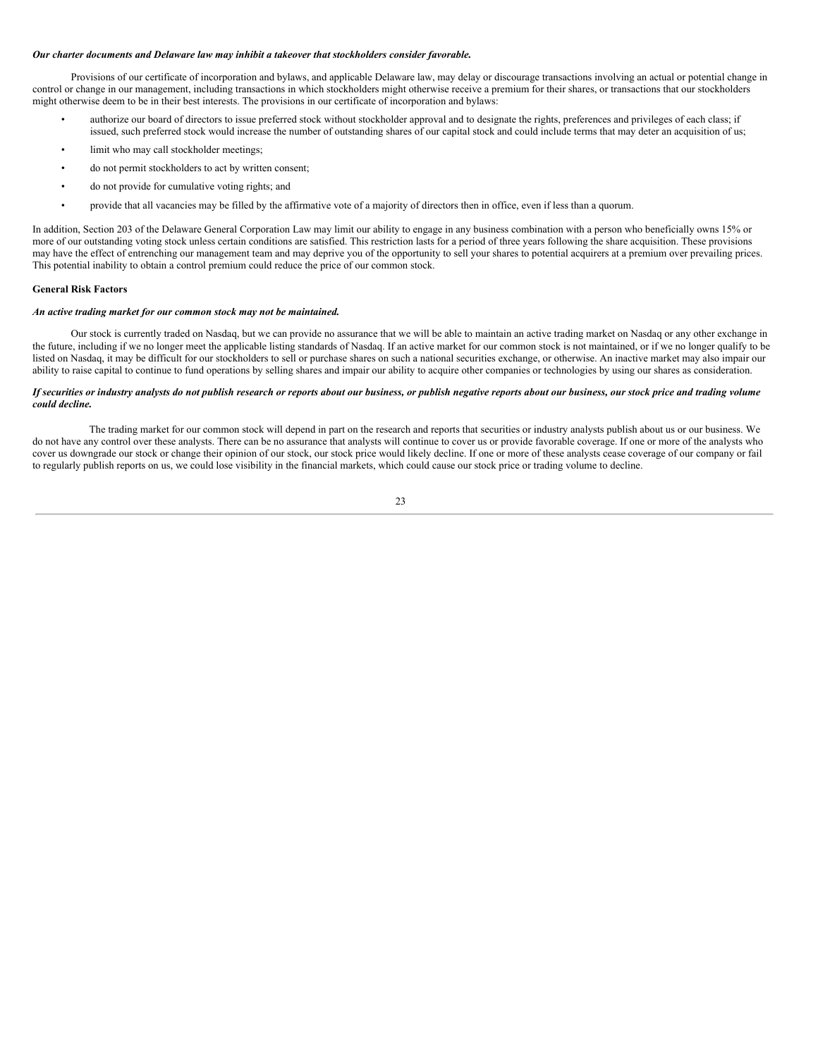#### *Our charter documents and Delaware law may inhibit a takeover that stockholders consider favorable.*

Provisions of our certificate of incorporation and bylaws, and applicable Delaware law, may delay or discourage transactions involving an actual or potential change in control or change in our management, including transactions in which stockholders might otherwise receive a premium for their shares, or transactions that our stockholders might otherwise deem to be in their best interests. The provisions in our certificate of incorporation and bylaws:

- authorize our board of directors to issue preferred stock without stockholder approval and to designate the rights, preferences and privileges of each class; if issued, such preferred stock would increase the number of outstanding shares of our capital stock and could include terms that may deter an acquisition of us;
- limit who may call stockholder meetings;
- do not permit stockholders to act by written consent;
- do not provide for cumulative voting rights; and
- provide that all vacancies may be filled by the affirmative vote of a majority of directors then in office, even if less than a quorum.

In addition, Section 203 of the Delaware General Corporation Law may limit our ability to engage in any business combination with a person who beneficially owns 15% or more of our outstanding voting stock unless certain conditions are satisfied. This restriction lasts for a period of three years following the share acquisition. These provisions may have the effect of entrenching our management team and may deprive you of the opportunity to sell your shares to potential acquirers at a premium over prevailing prices. This potential inability to obtain a control premium could reduce the price of our common stock.

## **General Risk Factors**

#### *An active trading market for our common stock may not be maintained.*

Our stock is currently traded on Nasdaq, but we can provide no assurance that we will be able to maintain an active trading market on Nasdaq or any other exchange in the future, including if we no longer meet the applicable listing standards of Nasdaq. If an active market for our common stock is not maintained, or if we no longer qualify to be listed on Nasdaq, it may be difficult for our stockholders to sell or purchase shares on such a national securities exchange, or otherwise. An inactive market may also impair our ability to raise capital to continue to fund operations by selling shares and impair our ability to acquire other companies or technologies by using our shares as consideration.

#### If securities or industry analysts do not publish research or reports about our business, or publish negative reports about our business, our stock price and trading volume *could decline.*

The trading market for our common stock will depend in part on the research and reports that securities or industry analysts publish about us or our business. We do not have any control over these analysts. There can be no assurance that analysts will continue to cover us or provide favorable coverage. If one or more of the analysts who cover us downgrade our stock or change their opinion of our stock, our stock price would likely decline. If one or more of these analysts cease coverage of our company or fail to regularly publish reports on us, we could lose visibility in the financial markets, which could cause our stock price or trading volume to decline.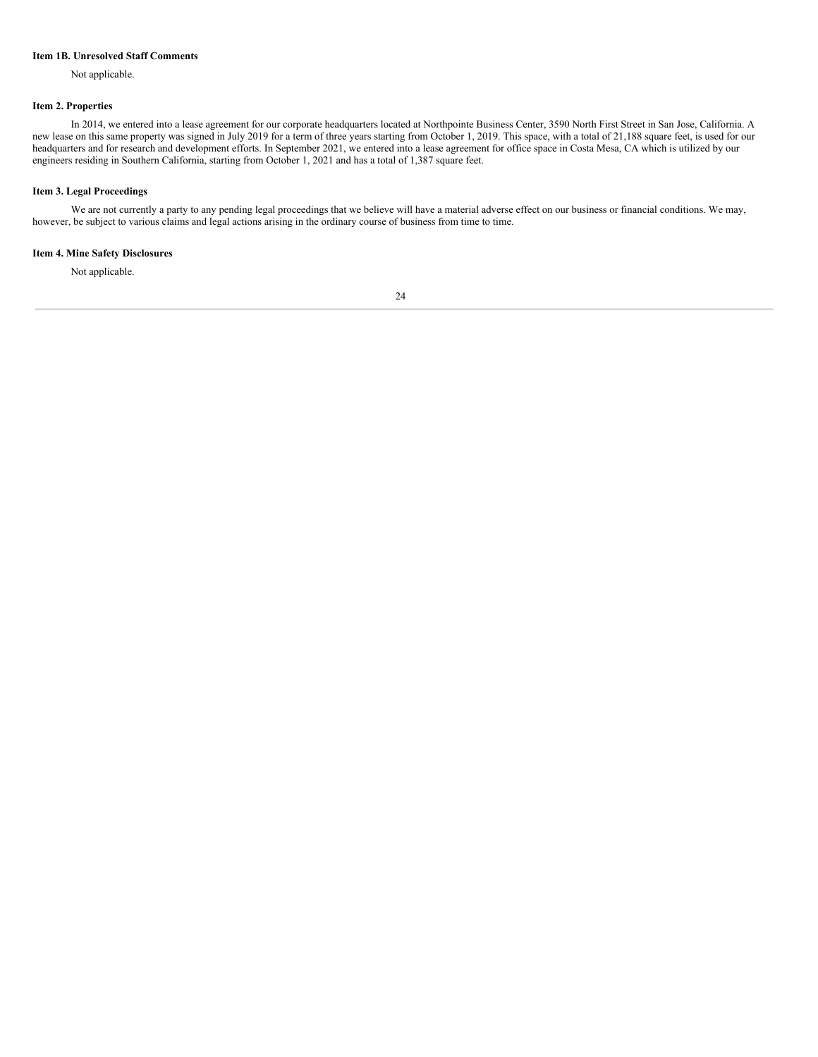## <span id="page-25-0"></span>**Item 1B. Unresolved Staff Comments**

Not applicable.

## <span id="page-25-1"></span>**Item 2. Properties**

In 2014, we entered into a lease agreement for our corporate headquarters located at Northpointe Business Center, 3590 North First Street in San Jose, California. A new lease on this same property was signed in July 2019 for a term of three years starting from October 1, 2019. This space, with a total of 21,188 square feet, is used for our headquarters and for research and development efforts. In September 2021, we entered into a lease agreement for office space in Costa Mesa, CA which is utilized by our engineers residing in Southern California, starting from October 1, 2021 and has a total of 1,387 square feet.

# <span id="page-25-2"></span>**Item 3. Legal Proceedings**

We are not currently a party to any pending legal proceedings that we believe will have a material adverse effect on our business or financial conditions. We may, however, be subject to various claims and legal actions arising in the ordinary course of business from time to time.

## <span id="page-25-3"></span>**Item 4. Mine Safety Disclosures**

Not applicable.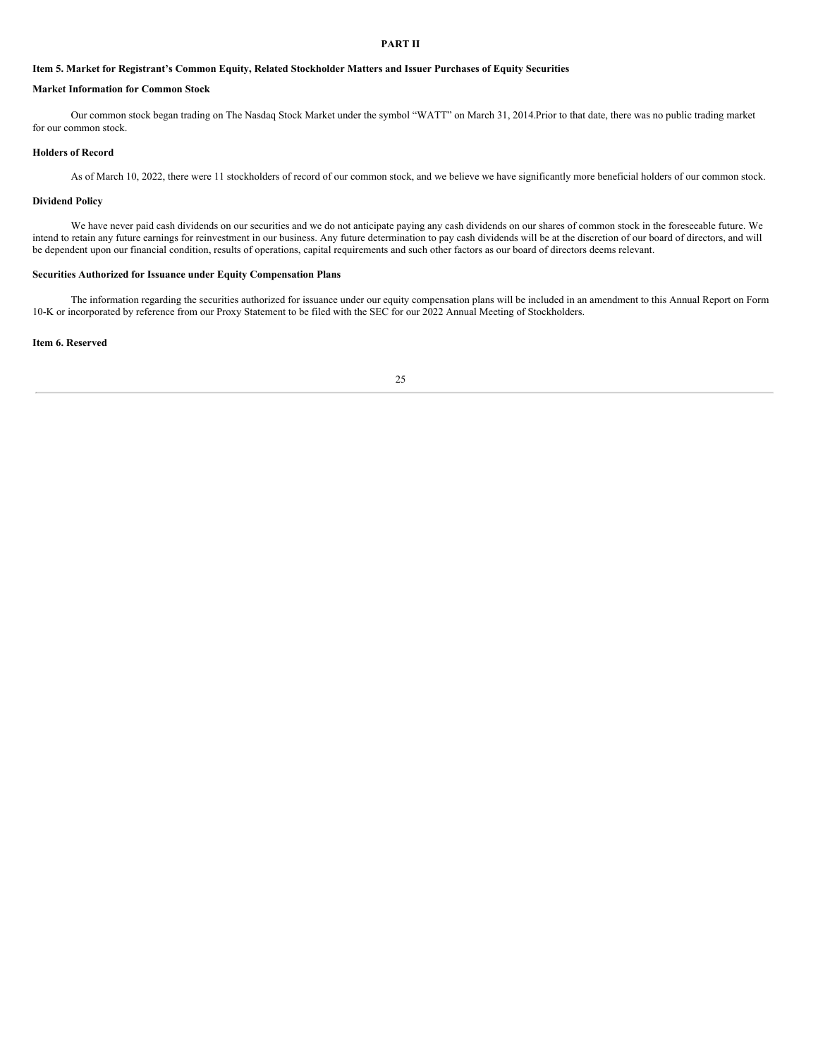# **PART II**

# <span id="page-26-1"></span><span id="page-26-0"></span>Item 5. Market for Registrant's Common Equity, Related Stockholder Matters and Issuer Purchases of Equity Securities

# **Market Information for Common Stock**

Our common stock began trading on The Nasdaq Stock Market under the symbol "WATT" on March 31, 2014.Prior to that date, there was no public trading market for our common stock.

# **Holders of Record**

As of March 10, 2022, there were 11 stockholders of record of our common stock, and we believe we have significantly more beneficial holders of our common stock.

## **Dividend Policy**

We have never paid cash dividends on our securities and we do not anticipate paying any cash dividends on our shares of common stock in the foreseeable future. We intend to retain any future earnings for reinvestment in our business. Any future determination to pay cash dividends will be at the discretion of our board of directors, and will be dependent upon our financial condition, results of operations, capital requirements and such other factors as our board of directors deems relevant.

#### **Securities Authorized for Issuance under Equity Compensation Plans**

The information regarding the securities authorized for issuance under our equity compensation plans will be included in an amendment to this Annual Report on Form 10-K or incorporated by reference from our Proxy Statement to be filed with the SEC for our 2022 Annual Meeting of Stockholders.

# <span id="page-26-2"></span>**Item 6. Reserved**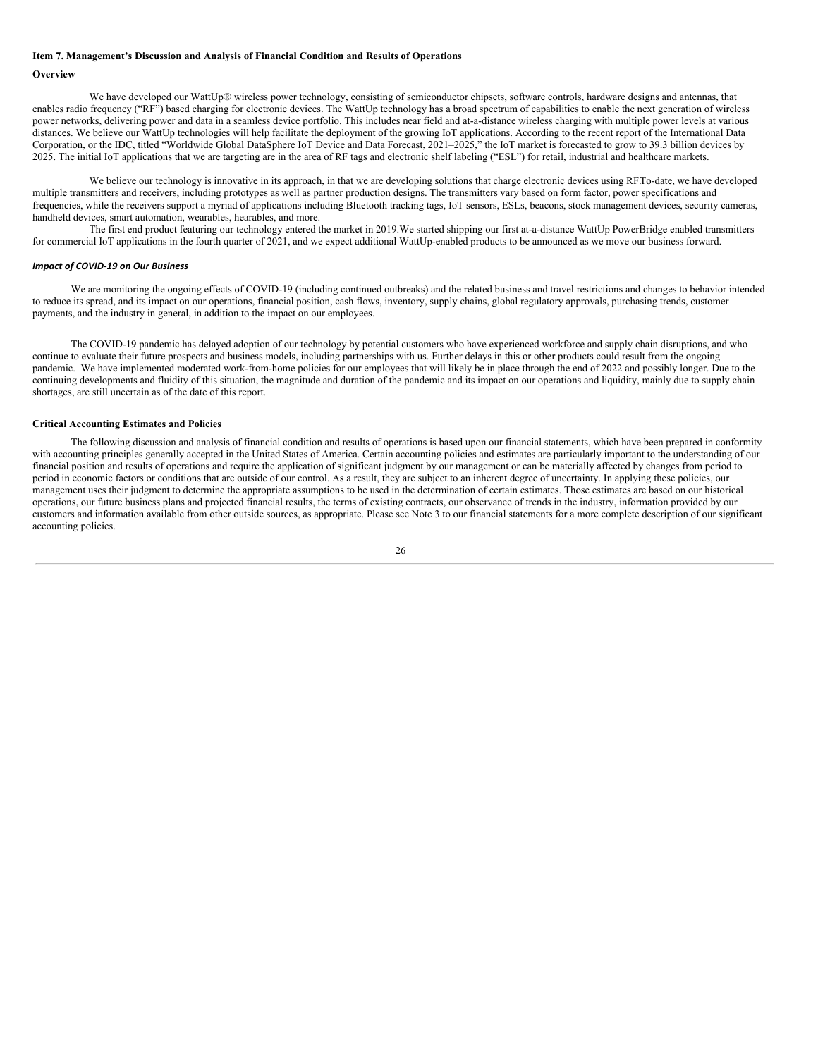#### <span id="page-27-0"></span>**Item 7. Management's Discussion and Analysis of Financial Condition and Results of Operations**

#### **Overview**

We have developed our WattUp® wireless power technology, consisting of semiconductor chipsets, software controls, hardware designs and antennas, that enables radio frequency ("RF") based charging for electronic devices. The WattUp technology has a broad spectrum of capabilities to enable the next generation of wireless power networks, delivering power and data in a seamless device portfolio. This includes near field and at-a-distance wireless charging with multiple power levels at various distances. We believe our WattUp technologies will help facilitate the deployment of the growing IoT applications. According to the recent report of the International Data Corporation, or the IDC, titled "Worldwide Global DataSphere IoT Device and Data Forecast, 2021–2025," the IoT market is forecasted to grow to 39.3 billion devices by 2025. The initial IoT applications that we are targeting are in the area of RF tags and electronic shelf labeling ("ESL") for retail, industrial and healthcare markets.

We believe our technology is innovative in its approach, in that we are developing solutions that charge electronic devices using RF.To-date, we have developed multiple transmitters and receivers, including prototypes as well as partner production designs. The transmitters vary based on form factor, power specifications and frequencies, while the receivers support a myriad of applications including Bluetooth tracking tags, IoT sensors, ESLs, beacons, stock management devices, security cameras, handheld devices, smart automation, wearables, hearables, and more.

The first end product featuring our technology entered the market in 2019.We started shipping our first at-a-distance WattUp PowerBridge enabled transmitters for commercial IoT applications in the fourth quarter of 2021, and we expect additional WattUp-enabled products to be announced as we move our business forward.

### *Impact of COVID-19 on Our Business*

We are monitoring the ongoing effects of COVID-19 (including continued outbreaks) and the related business and travel restrictions and changes to behavior intended to reduce its spread, and its impact on our operations, financial position, cash flows, inventory, supply chains, global regulatory approvals, purchasing trends, customer payments, and the industry in general, in addition to the impact on our employees.

The COVID-19 pandemic has delayed adoption of our technology by potential customers who have experienced workforce and supply chain disruptions, and who continue to evaluate their future prospects and business models, including partnerships with us. Further delays in this or other products could result from the ongoing pandemic. We have implemented moderated work-from-home policies for our employees that will likely be in place through the end of 2022 and possibly longer. Due to the continuing developments and fluidity of this situation, the magnitude and duration of the pandemic and its impact on our operations and liquidity, mainly due to supply chain shortages, are still uncertain as of the date of this report.

#### **Critical Accounting Estimates and Policies**

The following discussion and analysis of financial condition and results of operations is based upon our financial statements, which have been prepared in conformity with accounting principles generally accepted in the United States of America. Certain accounting policies and estimates are particularly important to the understanding of our financial position and results of operations and require the application of significant judgment by our management or can be materially affected by changes from period to period in economic factors or conditions that are outside of our control. As a result, they are subject to an inherent degree of uncertainty. In applying these policies, our management uses their judgment to determine the appropriate assumptions to be used in the determination of certain estimates. Those estimates are based on our historical operations, our future business plans and projected financial results, the terms of existing contracts, our observance of trends in the industry, information provided by our customers and information available from other outside sources, as appropriate. Please see Note 3 to our financial statements for a more complete description of our significant accounting policies.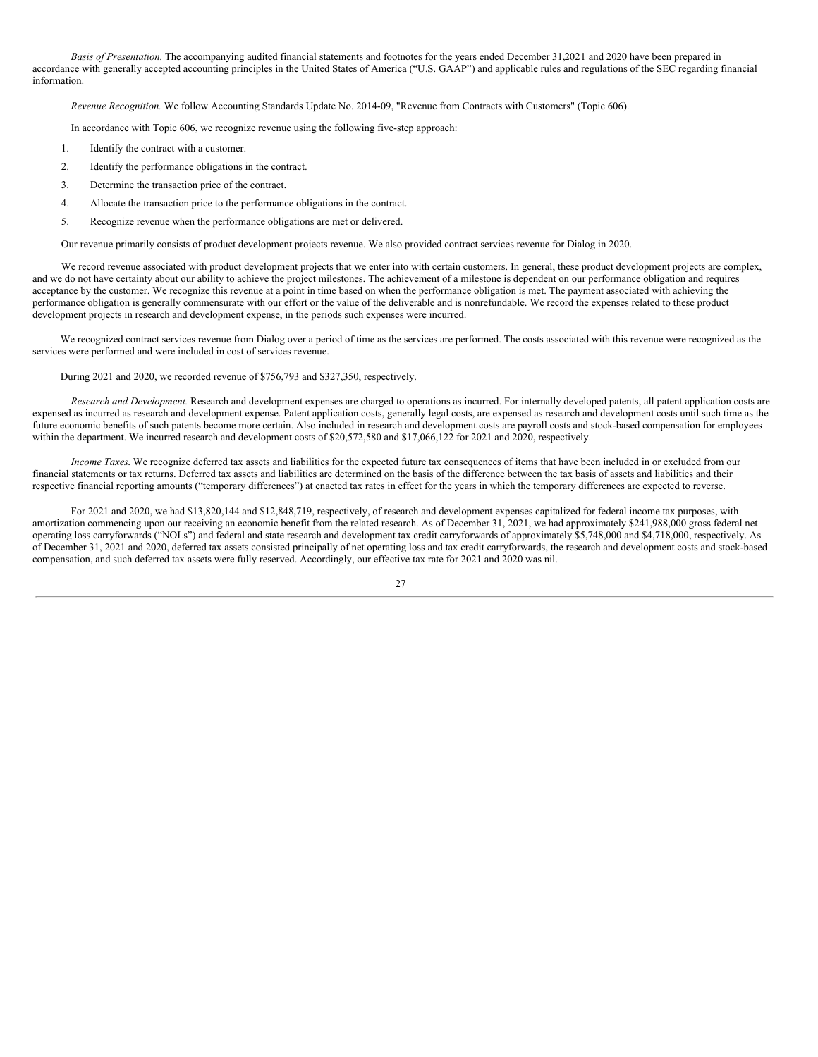*Basis of Presentation.* The accompanying audited financial statements and footnotes for the years ended December 31,2021 and 2020 have been prepared in accordance with generally accepted accounting principles in the United States of America ("U.S. GAAP") and applicable rules and regulations of the SEC regarding financial information.

*Revenue Recognition.* We follow Accounting Standards Update No. 2014-09, "Revenue from Contracts with Customers" (Topic 606).

In accordance with Topic 606, we recognize revenue using the following five-step approach:

- 1. Identify the contract with a customer.
- 2. Identify the performance obligations in the contract.
- 3. Determine the transaction price of the contract.
- 4. Allocate the transaction price to the performance obligations in the contract.
- 5. Recognize revenue when the performance obligations are met or delivered.

Our revenue primarily consists of product development projects revenue. We also provided contract services revenue for Dialog in 2020.

We record revenue associated with product development projects that we enter into with certain customers. In general, these product development projects are complex, and we do not have certainty about our ability to achieve the project milestones. The achievement of a milestone is dependent on our performance obligation and requires acceptance by the customer. We recognize this revenue at a point in time based on when the performance obligation is met. The payment associated with achieving the performance obligation is generally commensurate with our effort or the value of the deliverable and is nonrefundable. We record the expenses related to these product development projects in research and development expense, in the periods such expenses were incurred.

We recognized contract services revenue from Dialog over a period of time as the services are performed. The costs associated with this revenue were recognized as the services were performed and were included in cost of services revenue.

During 2021 and 2020, we recorded revenue of \$756,793 and \$327,350, respectively.

*Research and Development.* Research and development expenses are charged to operations as incurred. For internally developed patents, all patent application costs are expensed as incurred as research and development expense. Patent application costs, generally legal costs, are expensed as research and development costs until such time as the future economic benefits of such patents become more certain. Also included in research and development costs are payroll costs and stock-based compensation for employees within the department. We incurred research and development costs of \$20,572,580 and \$17,066,122 for 2021 and 2020, respectively.

*Income Taxes*. We recognize deferred tax assets and liabilities for the expected future tax consequences of items that have been included in or excluded from our financial statements or tax returns. Deferred tax assets and liabilities are determined on the basis of the difference between the tax basis of assets and liabilities and their respective financial reporting amounts ("temporary differences") at enacted tax rates in effect for the years in which the temporary differences are expected to reverse.

For 2021 and 2020, we had \$13,820,144 and \$12,848,719, respectively, of research and development expenses capitalized for federal income tax purposes, with amortization commencing upon our receiving an economic benefit from the related research. As of December 31, 2021, we had approximately \$241,988,000 gross federal net operating loss carryforwards ("NOLs") and federal and state research and development tax credit carryforwards of approximately \$5,748,000 and \$4,718,000, respectively. As of December 31, 2021 and 2020, deferred tax assets consisted principally of net operating loss and tax credit carryforwards, the research and development costs and stock-based compensation, and such deferred tax assets were fully reserved. Accordingly, our effective tax rate for 2021 and 2020 was nil.

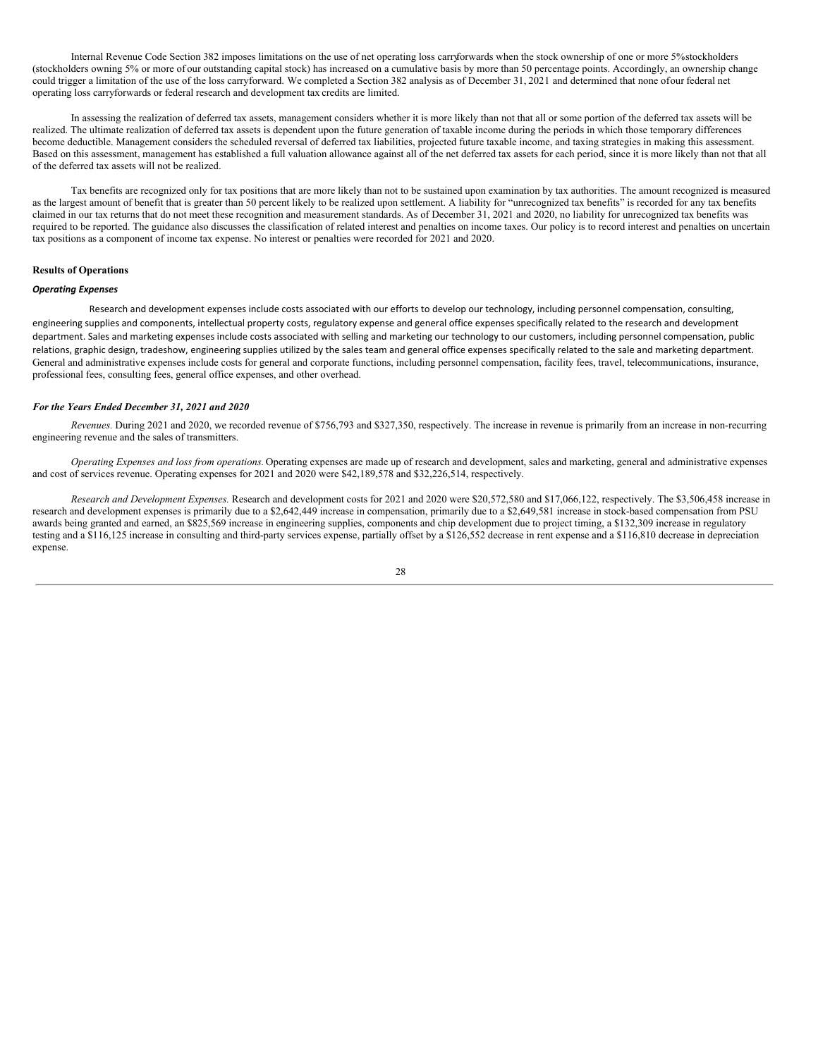Internal Revenue Code Section 382 imposes limitations on the use of net operating loss carryforwards when the stock ownership of one or more 5%stockholders (stockholders owning 5% or more of our outstanding capital stock) has increased on a cumulative basis by more than 50 percentage points. Accordingly, an ownership change could trigger a limitation of the use of the loss carryforward. We completed a Section 382 analysis as of December 31, 2021 and determined that none ofour federal net operating loss carryforwards or federal research and development tax credits are limited.

In assessing the realization of deferred tax assets, management considers whether it is more likely than not that all or some portion of the deferred tax assets will be realized. The ultimate realization of deferred tax assets is dependent upon the future generation of taxable income during the periods in which those temporary differences become deductible. Management considers the scheduled reversal of deferred tax liabilities, projected future taxable income, and taxing strategies in making this assessment. Based on this assessment, management has established a full valuation allowance against all of the net deferred tax assets for each period, since it is more likely than not that all of the deferred tax assets will not be realized.

Tax benefits are recognized only for tax positions that are more likely than not to be sustained upon examination by tax authorities. The amount recognized is measured as the largest amount of benefit that is greater than 50 percent likely to be realized upon settlement. A liability for "unrecognized tax benefits" is recorded for any tax benefits claimed in our tax returns that do not meet these recognition and measurement standards. As of December 31, 2021 and 2020, no liability for unrecognized tax benefits was required to be reported. The guidance also discusses the classification of related interest and penalties on income taxes. Our policy is to record interest and penalties on uncertain tax positions as a component of income tax expense. No interest or penalties were recorded for 2021 and 2020.

#### **Results of Operations**

## *Operating Expenses*

Research and development expenses include costs associated with our efforts to develop our technology, including personnel compensation, consulting, engineering supplies and components, intellectual property costs, regulatory expense and general office expenses specifically related to the research and development department. Sales and marketing expenses include costs associated with selling and marketing our technology to our customers, including personnel compensation, public relations, graphic design, tradeshow, engineering supplies utilized by the sales team and general office expenses specifically related to the sale and marketing department. General and administrative expenses include costs for general and corporate functions, including personnel compensation, facility fees, travel, telecommunications, insurance, professional fees, consulting fees, general office expenses, and other overhead.

#### *For the Years Ended December 31, 2021 and 2020*

*Revenues.* During 2021 and 2020, we recorded revenue of \$756,793 and \$327,350, respectively. The increase in revenue is primarily from an increase in non-recurring engineering revenue and the sales of transmitters.

*Operating Expenses and loss from operations.* Operating expenses are made up of research and development, sales and marketing, general and administrative expenses and cost of services revenue. Operating expenses for 2021 and 2020 were \$42,189,578 and \$32,226,514, respectively.

*Research and Development Expenses.* Research and development costs for 2021 and 2020 were \$20,572,580 and \$17,066,122, respectively. The \$3,506,458 increase in research and development expenses is primarily due to a \$2,642,449 increase in compensation, primarily due to a \$2,649,581 increase in stock-based compensation from PSU awards being granted and earned, an \$825,569 increase in engineering supplies, components and chip development due to project timing, a \$132,309 increase in regulatory testing and a \$116,125 increase in consulting and third-party services expense, partially offset by a \$126,552 decrease in rent expense and a \$116,810 decrease in depreciation expense.

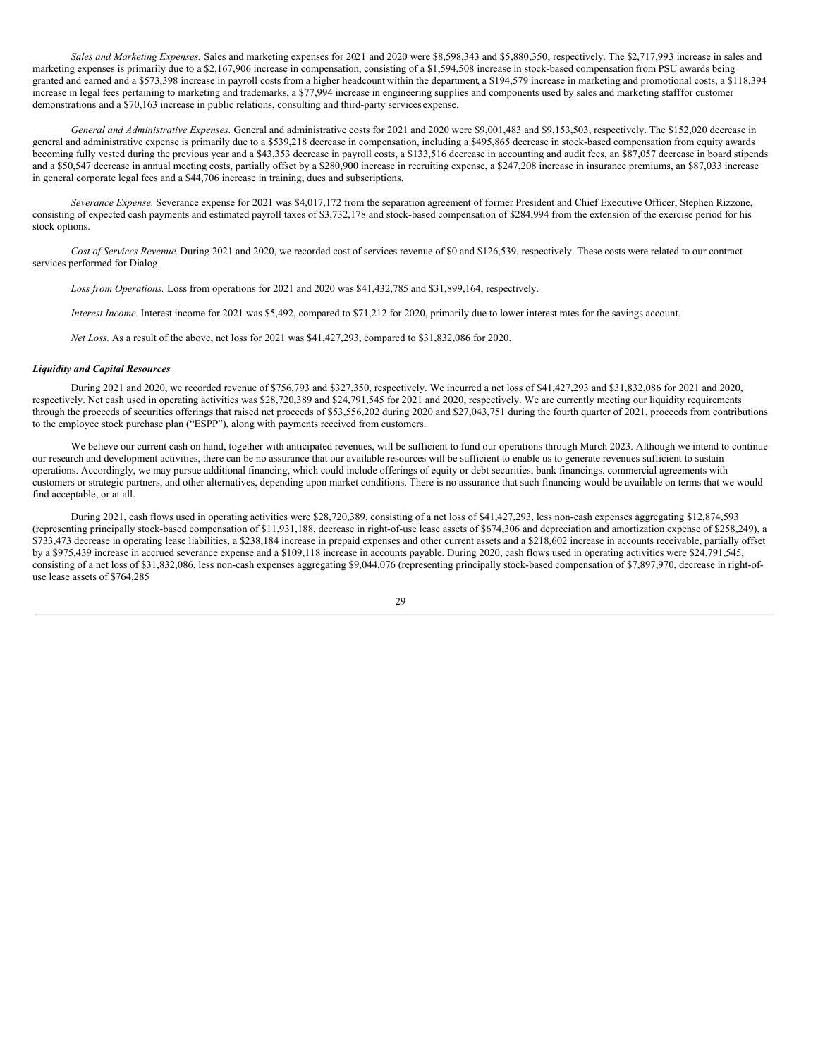*Sales and Marketing Expenses.* Sales and marketing expenses for 2021 and 2020 were \$8,598,343 and \$5,880,350, respectively. The \$2,717,993 increase in sales and marketing expenses is primarily due to a \$2,167,906 increase in compensation, consisting of a \$1,594,508 increase in stock-based compensation from PSU awards being granted and earned and a \$573,398 increase in payroll costs from a higher headcount within the department, a \$194,579 increase in marketing and promotional costs, a \$118,394 increase in legal fees pertaining to marketing and trademarks, a \$77,994 increase in engineering supplies and components used by sales and marketing stafffor customer demonstrations and a \$70,163 increase in public relations, consulting and third-party services expense.

*General and Administrative Expenses.* General and administrative costs for 2021 and 2020 were \$9,001,483 and \$9,153,503, respectively. The \$152,020 decrease in general and administrative expense is primarily due to a \$539,218 decrease in compensation, including a \$495,865 decrease in stock-based compensation from equity awards becoming fully vested during the previous year and a \$43,353 decrease in payroll costs, a \$133,516 decrease in accounting and audit fees, an \$87,057 decrease in board stipends and a \$50,547 decrease in annual meeting costs, partially offset by a \$280,900 increase in recruiting expense, a \$247,208 increase in insurance premiums, an \$87,033 increase in general corporate legal fees and a \$44,706 increase in training, dues and subscriptions.

*Severance Expense.* Severance expense for 2021 was \$4,017,172 from the separation agreement of former President and Chief Executive Officer, Stephen Rizzone, consisting of expected cash payments and estimated payroll taxes of \$3,732,178 and stock-based compensation of \$284,994 from the extension of the exercise period for his stock options.

*Cost of Services Revenue.* During 2021 and 2020, we recorded cost of services revenue of \$0 and \$126,539, respectively. These costs were related to our contract services performed for Dialog.

*Loss from Operations.* Loss from operations for 2021 and 2020 was \$41,432,785 and \$31,899,164, respectively.

*Interest Income.* Interest income for 2021 was \$5,492, compared to \$71,212 for 2020, primarily due to lower interest rates for the savings account.

*Net Loss.* As a result of the above, net loss for 2021 was \$41,427,293, compared to \$31,832,086 for 2020.

#### *Liquidity and Capital Resources*

During 2021 and 2020, we recorded revenue of \$756,793 and \$327,350, respectively. We incurred a net loss of \$41,427,293 and \$31,832,086 for 2021 and 2020, respectively. Net cash used in operating activities was \$28,720,389 and \$24,791,545 for 2021 and 2020, respectively. We are currently meeting our liquidity requirements through the proceeds of securities offerings that raised net proceeds of \$53,556,202 during 2020 and \$27,043,751 during the fourth quarter of 2021, proceeds from contributions to the employee stock purchase plan ("ESPP"), along with payments received from customers.

We believe our current cash on hand, together with anticipated revenues, will be sufficient to fund our operations through March 2023. Although we intend to continue our research and development activities, there can be no assurance that our available resources will be sufficient to enable us to generate revenues sufficient to sustain operations. Accordingly, we may pursue additional financing, which could include offerings of equity or debt securities, bank financings, commercial agreements with customers or strategic partners, and other alternatives, depending upon market conditions. There is no assurance that such financing would be available on terms that we would find acceptable, or at all.

During 2021, cash flows used in operating activities were \$28,720,389, consisting of a net loss of \$41,427,293, less non-cash expenses aggregating \$12,874,593 (representing principally stock-based compensation of \$11,931,188, decrease in right-of-use lease assets of \$674,306 and depreciation and amortization expense of \$258,249), a \$733,473 decrease in operating lease liabilities, a \$238,184 increase in prepaid expenses and other current assets and a \$218,602 increase in accounts receivable, partially offset by a \$975,439 increase in accrued severance expense and a \$109,118 increase in accounts payable. During 2020, cash flows used in operating activities were \$24,791,545, consisting of a net loss of \$31,832,086, less non-cash expenses aggregating \$9,044,076 (representing principally stock-based compensation of \$7,897,970, decrease in right-ofuse lease assets of \$764,285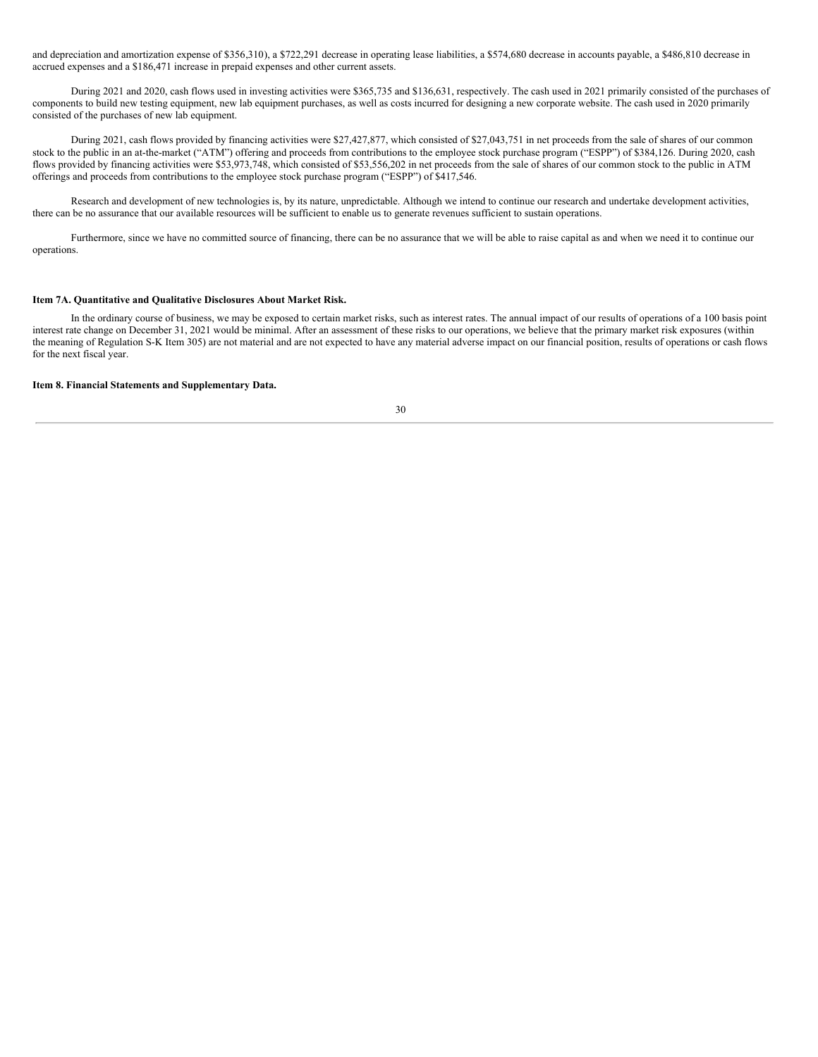and depreciation and amortization expense of \$356,310), a \$722,291 decrease in operating lease liabilities, a \$574,680 decrease in accounts payable, a \$486,810 decrease in accrued expenses and a \$186,471 increase in prepaid expenses and other current assets.

During 2021 and 2020, cash flows used in investing activities were \$365,735 and \$136,631, respectively. The cash used in 2021 primarily consisted of the purchases of components to build new testing equipment, new lab equipment purchases, as well as costs incurred for designing a new corporate website. The cash used in 2020 primarily consisted of the purchases of new lab equipment.

During 2021, cash flows provided by financing activities were \$27,427,877, which consisted of \$27,043,751 in net proceeds from the sale of shares of our common stock to the public in an at-the-market ("ATM") offering and proceeds from contributions to the employee stock purchase program ("ESPP") of \$384,126. During 2020, cash flows provided by financing activities were \$53,973,748, which consisted of \$53,556,202 in net proceeds from the sale of shares of our common stock to the public in ATM offerings and proceeds from contributions to the employee stock purchase program ("ESPP") of \$417,546.

Research and development of new technologies is, by its nature, unpredictable. Although we intend to continue our research and undertake development activities, there can be no assurance that our available resources will be sufficient to enable us to generate revenues sufficient to sustain operations.

Furthermore, since we have no committed source of financing, there can be no assurance that we will be able to raise capital as and when we need it to continue our operations.

### <span id="page-31-0"></span>**Item 7A. Quantitative and Qualitative Disclosures About Market Risk.**

In the ordinary course of business, we may be exposed to certain market risks, such as interest rates. The annual impact of our results of operations of a 100 basis point interest rate change on December 31, 2021 would be minimal. After an assessment of these risks to our operations, we believe that the primary market risk exposures (within the meaning of Regulation S-K Item 305) are not material and are not expected to have any material adverse impact on our financial position, results of operations or cash flows for the next fiscal year.

## <span id="page-31-1"></span>**Item 8. Financial Statements and Supplementary Data.**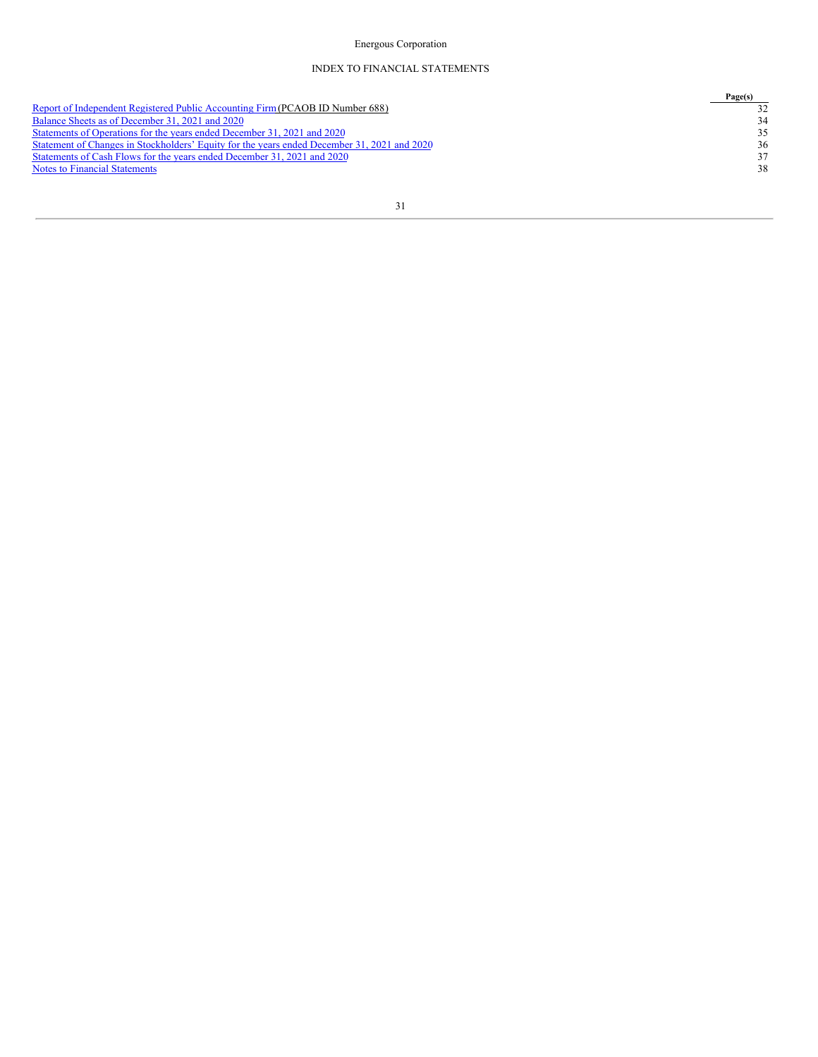# Energous Corporation

# INDEX TO FINANCIAL STATEMENTS

|                                                                                             | Page(s) |
|---------------------------------------------------------------------------------------------|---------|
| Report of Independent Registered Public Accounting Firm (PCAOB ID Number 688)               | 32      |
| Balance Sheets as of December 31, 2021 and 2020                                             | 34      |
| Statements of Operations for the years ended December 31, 2021 and 2020                     | 35      |
| Statement of Changes in Stockholders' Equity for the years ended December 31, 2021 and 2020 | 36      |
| Statements of Cash Flows for the years ended December 31, 2021 and 2020                     | 37      |
| <b>Notes to Financial Statements</b>                                                        | 38      |
|                                                                                             |         |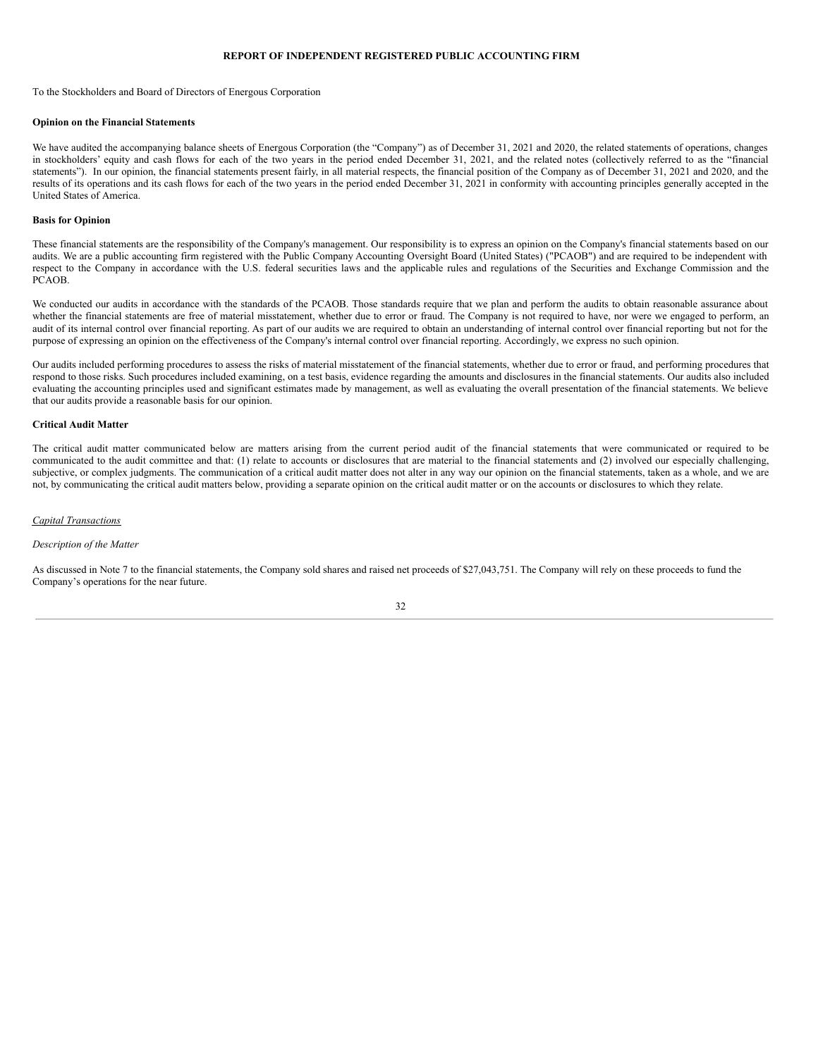#### **REPORT OF INDEPENDENT REGISTERED PUBLIC ACCOUNTING FIRM**

<span id="page-33-0"></span>To the Stockholders and Board of Directors of Energous Corporation

## **Opinion on the Financial Statements**

We have audited the accompanying balance sheets of Energous Corporation (the "Company") as of December 31, 2021 and 2020, the related statements of operations, changes in stockholders' equity and cash flows for each of the two years in the period ended December 31, 2021, and the related notes (collectively referred to as the "financial statements"). In our opinion, the financial statements present fairly, in all material respects, the financial position of the Company as of December 31, 2021 and 2020, and the results of its operations and its cash flows for each of the two years in the period ended December 31, 2021 in conformity with accounting principles generally accepted in the United States of America.

## **Basis for Opinion**

These financial statements are the responsibility of the Company's management. Our responsibility is to express an opinion on the Company's financial statements based on our audits. We are a public accounting firm registered with the Public Company Accounting Oversight Board (United States) ("PCAOB") and are required to be independent with respect to the Company in accordance with the U.S. federal securities laws and the applicable rules and regulations of the Securities and Exchange Commission and the PCAOB.

We conducted our audits in accordance with the standards of the PCAOB. Those standards require that we plan and perform the audits to obtain reasonable assurance about whether the financial statements are free of material misstatement, whether due to error or fraud. The Company is not required to have, nor were we engaged to perform, an audit of its internal control over financial reporting. As part of our audits we are required to obtain an understanding of internal control over financial reporting but not for the purpose of expressing an opinion on the effectiveness of the Company's internal control over financial reporting. Accordingly, we express no such opinion.

Our audits included performing procedures to assess the risks of material misstatement of the financial statements, whether due to error or fraud, and performing procedures that respond to those risks. Such procedures included examining, on a test basis, evidence regarding the amounts and disclosures in the financial statements. Our audits also included evaluating the accounting principles used and significant estimates made by management, as well as evaluating the overall presentation of the financial statements. We believe that our audits provide a reasonable basis for our opinion.

## **Critical Audit Matter**

The critical audit matter communicated below are matters arising from the current period audit of the financial statements that were communicated or required to be communicated to the audit committee and that: (1) relate to accounts or disclosures that are material to the financial statements and (2) involved our especially challenging, subjective, or complex judgments. The communication of a critical audit matter does not alter in any way our opinion on the financial statements, taken as a whole, and we are not, by communicating the critical audit matters below, providing a separate opinion on the critical audit matter or on the accounts or disclosures to which they relate.

## *Capital Transactions*

#### *Description of the Matter*

As discussed in Note 7 to the financial statements, the Company sold shares and raised net proceeds of \$27,043,751. The Company will rely on these proceeds to fund the Company's operations for the near future.

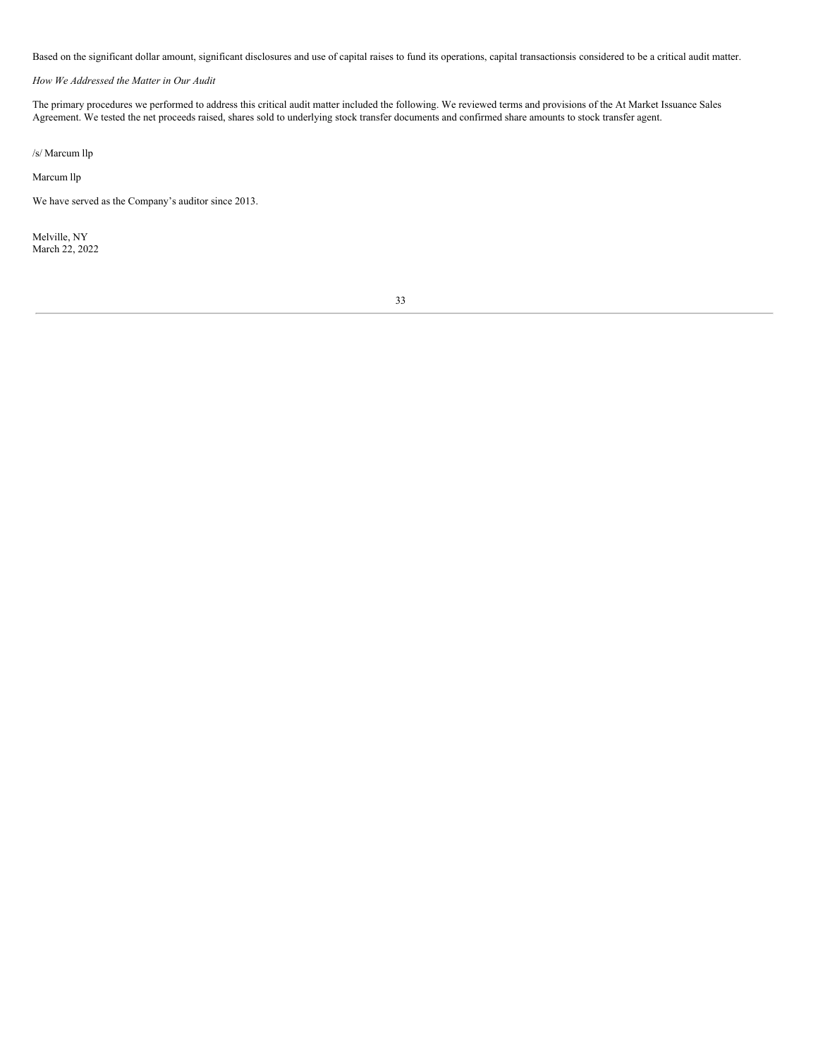Based on the significant dollar amount, significant disclosures and use of capital raises to fund its operations, capital transactionsis considered to be a critical audit matter.

# *How We Addressed the Matter in Our Audit*

The primary procedures we performed to address this critical audit matter included the following. We reviewed terms and provisions of the At Market Issuance Sales Agreement. We tested the net proceeds raised, shares sold to underlying stock transfer documents and confirmed share amounts to stock transfer agent.

/s/ Marcum llp

Marcum llp

We have served as the Company's auditor since 2013.

Melville, NY March 22, 2022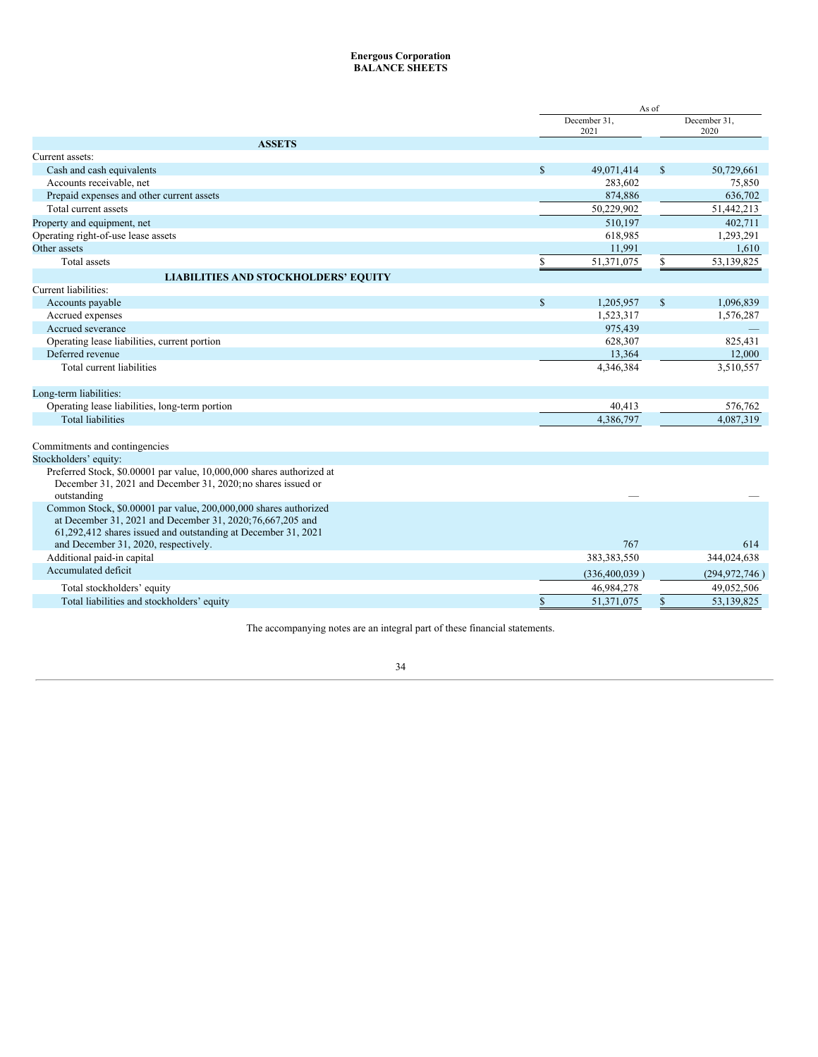# **Energous Corporation BALANCE SHEETS**

<span id="page-35-0"></span>

|                                                                                                                                                                                                   |              | As of                |              |                      |  |  |  |
|---------------------------------------------------------------------------------------------------------------------------------------------------------------------------------------------------|--------------|----------------------|--------------|----------------------|--|--|--|
|                                                                                                                                                                                                   |              | December 31,<br>2021 |              | December 31,<br>2020 |  |  |  |
| <b>ASSETS</b>                                                                                                                                                                                     |              |                      |              |                      |  |  |  |
| Current assets:                                                                                                                                                                                   |              |                      |              |                      |  |  |  |
| Cash and cash equivalents                                                                                                                                                                         | $\mathbb{S}$ | 49,071,414           | \$           | 50,729,661           |  |  |  |
| Accounts receivable, net                                                                                                                                                                          |              | 283,602              |              | 75,850               |  |  |  |
| Prepaid expenses and other current assets                                                                                                                                                         |              | 874,886              |              | 636,702              |  |  |  |
| Total current assets                                                                                                                                                                              |              | 50,229,902           |              | 51,442,213           |  |  |  |
| Property and equipment, net                                                                                                                                                                       |              | 510,197              |              | 402,711              |  |  |  |
| Operating right-of-use lease assets                                                                                                                                                               |              | 618,985              |              | 1,293,291            |  |  |  |
| Other assets                                                                                                                                                                                      |              | 11,991               |              | 1,610                |  |  |  |
| <b>Total</b> assets                                                                                                                                                                               | \$           | 51,371,075           | \$           | 53,139,825           |  |  |  |
| <b>LIABILITIES AND STOCKHOLDERS' EQUITY</b>                                                                                                                                                       |              |                      |              |                      |  |  |  |
| Current liabilities:                                                                                                                                                                              |              |                      |              |                      |  |  |  |
| Accounts payable                                                                                                                                                                                  | $\mathbb{S}$ | 1,205,957            | $\mathbb{S}$ | 1,096,839            |  |  |  |
| Accrued expenses                                                                                                                                                                                  |              | 1,523,317            |              | 1,576,287            |  |  |  |
| Accrued severance                                                                                                                                                                                 |              | 975,439              |              |                      |  |  |  |
| Operating lease liabilities, current portion                                                                                                                                                      |              | 628,307              |              | 825,431              |  |  |  |
| Deferred revenue                                                                                                                                                                                  |              | 13,364               |              | 12,000               |  |  |  |
| Total current liabilities                                                                                                                                                                         |              | 4,346,384            |              | 3,510,557            |  |  |  |
| Long-term liabilities:                                                                                                                                                                            |              |                      |              |                      |  |  |  |
| Operating lease liabilities, long-term portion                                                                                                                                                    |              | 40,413               |              | 576,762              |  |  |  |
| <b>Total liabilities</b>                                                                                                                                                                          |              | 4,386,797            |              | 4,087,319            |  |  |  |
| Commitments and contingencies                                                                                                                                                                     |              |                      |              |                      |  |  |  |
| Stockholders' equity:                                                                                                                                                                             |              |                      |              |                      |  |  |  |
| Preferred Stock, \$0.00001 par value, 10,000,000 shares authorized at<br>December 31, 2021 and December 31, 2020; no shares issued or<br>outstanding                                              |              |                      |              |                      |  |  |  |
| Common Stock, \$0.00001 par value, 200,000,000 shares authorized<br>at December 31, 2021 and December 31, 2020; 76, 667, 205 and<br>61,292,412 shares issued and outstanding at December 31, 2021 |              |                      |              |                      |  |  |  |
| and December 31, 2020, respectively.                                                                                                                                                              |              | 767                  |              | 614                  |  |  |  |
| Additional paid-in capital                                                                                                                                                                        |              | 383, 383, 550        |              | 344,024,638          |  |  |  |
| Accumulated deficit                                                                                                                                                                               |              | (336, 400, 039)      |              | (294, 972, 746)      |  |  |  |
|                                                                                                                                                                                                   |              |                      |              |                      |  |  |  |
| Total stockholders' equity                                                                                                                                                                        |              | 46,984,278           |              | 49,052,506           |  |  |  |
| Total liabilities and stockholders' equity                                                                                                                                                        | \$           | 51,371,075           | \$           | 53,139,825           |  |  |  |

The accompanying notes are an integral part of these financial statements.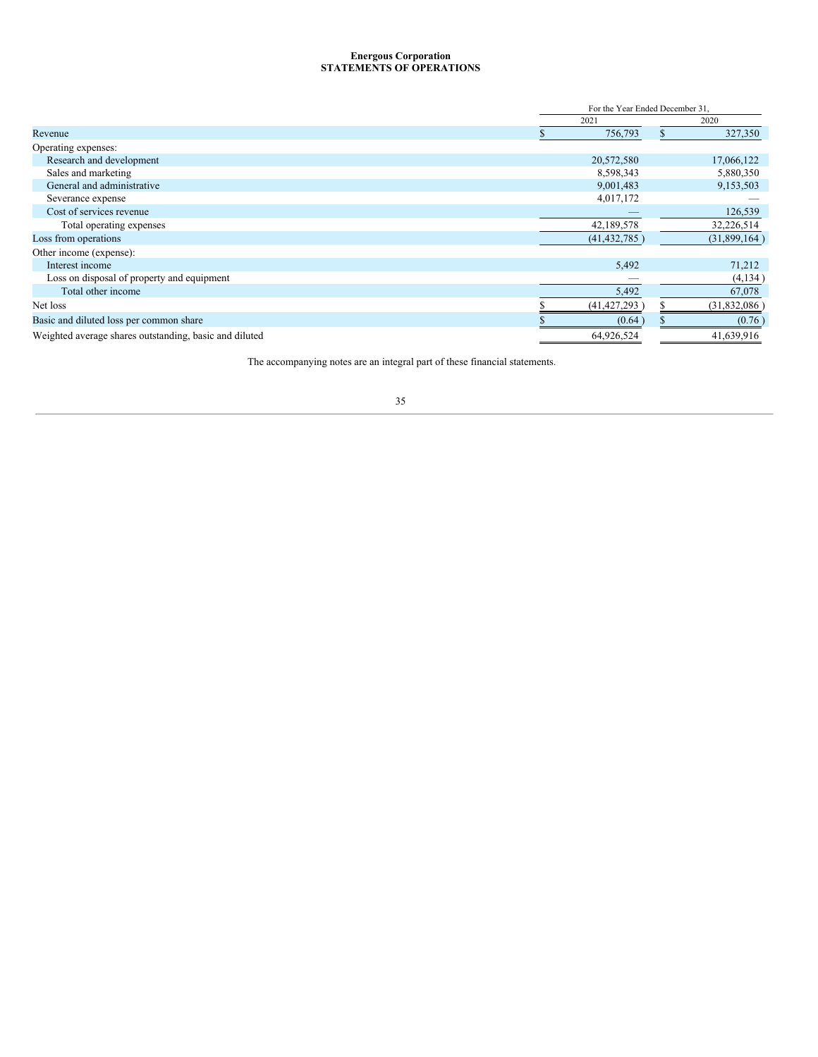## **Energous Corporation STATEMENTS OF OPERATIONS**

<span id="page-36-0"></span>

|                                                        |                | For the Year Ended December 31, |              |  |  |
|--------------------------------------------------------|----------------|---------------------------------|--------------|--|--|
|                                                        | 2021           |                                 | 2020         |  |  |
| Revenue                                                |                | 756,793                         | 327,350      |  |  |
| Operating expenses:                                    |                |                                 |              |  |  |
| Research and development                               | 20,572,580     |                                 | 17,066,122   |  |  |
| Sales and marketing                                    | 8,598,343      |                                 | 5,880,350    |  |  |
| General and administrative                             | 9,001,483      |                                 | 9,153,503    |  |  |
| Severance expense                                      | 4,017,172      |                                 |              |  |  |
| Cost of services revenue                               |                |                                 | 126,539      |  |  |
| Total operating expenses                               | 42,189,578     |                                 | 32,226,514   |  |  |
| Loss from operations                                   | (41, 432, 785) |                                 | (31,899,164) |  |  |
| Other income (expense):                                |                |                                 |              |  |  |
| Interest income                                        |                | 5,492                           | 71,212       |  |  |
| Loss on disposal of property and equipment             |                |                                 | (4,134)      |  |  |
| Total other income                                     |                | 5,492                           | 67,078       |  |  |
| Net loss                                               | (41, 427, 293) |                                 | (31,832,086) |  |  |
| Basic and diluted loss per common share                |                | (0.64)                          | (0.76)       |  |  |
| Weighted average shares outstanding, basic and diluted | 64,926,524     |                                 | 41,639,916   |  |  |

The accompanying notes are an integral part of these financial statements.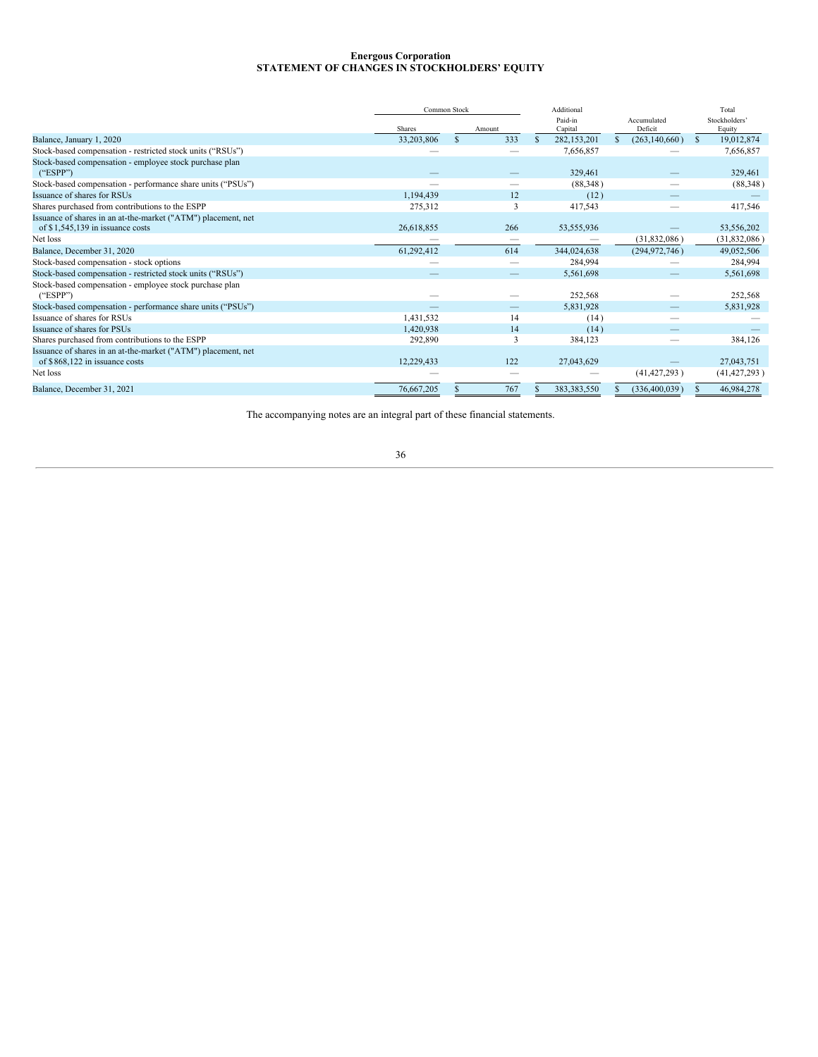## **Energous Corporation STATEMENT OF CHANGES IN STOCKHOLDERS' EQUITY**

<span id="page-37-0"></span>

|                                                                                                    |               | Common Stock |        | Additional         |                        |   | Total                   |
|----------------------------------------------------------------------------------------------------|---------------|--------------|--------|--------------------|------------------------|---|-------------------------|
|                                                                                                    | <b>Shares</b> |              | Amount | Paid-in<br>Capital | Accumulated<br>Deficit |   | Stockholders'<br>Equity |
| Balance, January 1, 2020                                                                           | 33,203,806    |              | 333    | 282,153,201        | (263, 140, 660)        | S | 19,012,874              |
| Stock-based compensation - restricted stock units ("RSUs")                                         |               |              |        | 7,656,857          |                        |   | 7,656,857               |
| Stock-based compensation - employee stock purchase plan<br>("ESPP")                                |               |              |        | 329,461            |                        |   | 329,461                 |
| Stock-based compensation - performance share units ("PSUs")                                        |               |              |        | (88,348)           |                        |   | (88,348)                |
| Issuance of shares for RSUs                                                                        | 1,194,439     |              | 12     | (12)               |                        |   |                         |
| Shares purchased from contributions to the ESPP                                                    | 275,312       |              | 3      | 417,543            |                        |   | 417,546                 |
| Issuance of shares in an at-the-market ("ATM") placement, net<br>of $$1,545,139$ in issuance costs | 26,618,855    |              | 266    | 53,555,936         |                        |   | 53,556,202              |
| Net loss                                                                                           |               |              |        |                    | (31,832,086)           |   | (31,832,086)            |
| Balance, December 31, 2020                                                                         | 61,292,412    |              | 614    | 344,024,638        | (294, 972, 746)        |   | 49,052,506              |
| Stock-based compensation - stock options                                                           |               |              |        | 284,994            |                        |   | 284,994                 |
| Stock-based compensation - restricted stock units ("RSUs")                                         |               |              |        | 5,561,698          |                        |   | 5,561,698               |
| Stock-based compensation - employee stock purchase plan<br>("ESPP")                                |               |              |        | 252,568            |                        |   | 252,568                 |
| Stock-based compensation - performance share units ("PSUs")                                        |               |              |        | 5,831,928          |                        |   | 5,831,928               |
| Issuance of shares for RSUs                                                                        | 1,431,532     |              | 14     | (14)               |                        |   |                         |
| Issuance of shares for PSUs                                                                        | 1,420,938     |              | 14     | (14)               |                        |   |                         |
| Shares purchased from contributions to the ESPP                                                    | 292,890       |              | 3      | 384,123            |                        |   | 384,126                 |
| Issuance of shares in an at-the-market ("ATM") placement, net<br>of \$868,122 in issuance costs    | 12,229,433    |              | 122    | 27,043,629         |                        |   | 27,043,751              |
| Net loss                                                                                           |               |              |        |                    | (41, 427, 293)         |   | (41, 427, 293)          |
| Balance, December 31, 2021                                                                         | 76,667,205    |              | 767    | 383, 383, 550      | (336,400,039)          |   | 46,984,278              |

The accompanying notes are an integral part of these financial statements.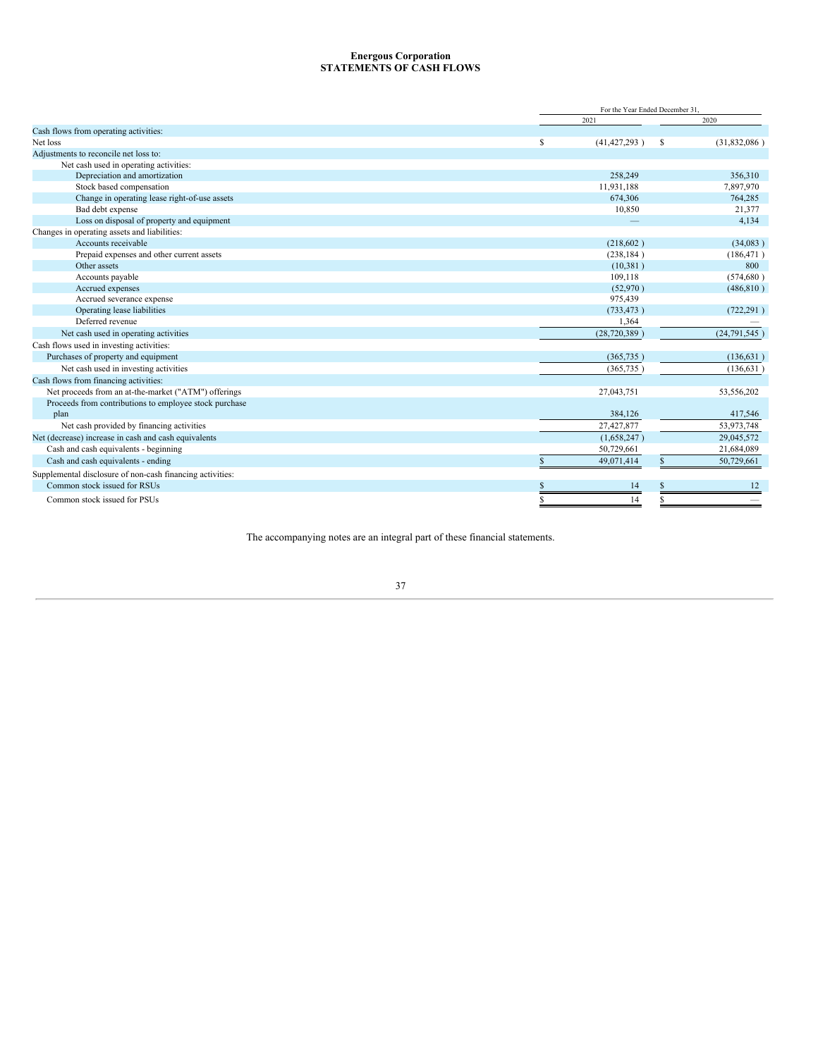## **Energous Corporation STATEMENTS OF CASH FLOWS**

<span id="page-38-0"></span>

|                                                           |                     | For the Year Ended December 31, |
|-----------------------------------------------------------|---------------------|---------------------------------|
|                                                           | 2021                | 2020                            |
| Cash flows from operating activities:                     |                     |                                 |
| Net loss                                                  | S<br>(41, 427, 293) | (31,832,086)<br><sup>\$</sup>   |
| Adjustments to reconcile net loss to:                     |                     |                                 |
| Net cash used in operating activities:                    |                     |                                 |
| Depreciation and amortization                             | 258,249             | 356,310                         |
| Stock based compensation                                  | 11,931,188          | 7,897,970                       |
| Change in operating lease right-of-use assets             | 674,306             | 764,285                         |
| Bad debt expense                                          | 10,850              | 21,377                          |
| Loss on disposal of property and equipment                |                     | 4,134                           |
| Changes in operating assets and liabilities:              |                     |                                 |
| Accounts receivable                                       | (218,602)           | (34,083)                        |
| Prepaid expenses and other current assets                 | (238, 184)          | (186, 471)                      |
| Other assets                                              | (10, 381)           | 800                             |
| Accounts payable                                          | 109,118             | (574, 680)                      |
| Accrued expenses                                          | (52,970)            | (486, 810)                      |
| Accrued severance expense                                 | 975,439             |                                 |
| Operating lease liabilities                               | (733, 473)          | (722, 291)                      |
| Deferred revenue                                          | 1,364               |                                 |
| Net cash used in operating activities                     | (28, 720, 389)      | (24, 791, 545)                  |
| Cash flows used in investing activities:                  |                     |                                 |
| Purchases of property and equipment                       | (365,735)           | (136, 631)                      |
| Net cash used in investing activities                     | (365,735)           | (136, 631)                      |
| Cash flows from financing activities:                     |                     |                                 |
| Net proceeds from an at-the-market ("ATM") offerings      | 27,043,751          | 53,556,202                      |
| Proceeds from contributions to employee stock purchase    |                     |                                 |
| plan                                                      | 384,126             | 417,546                         |
| Net cash provided by financing activities                 | 27,427,877          | 53,973,748                      |
| Net (decrease) increase in cash and cash equivalents      | (1,658,247)         | 29,045,572                      |
| Cash and cash equivalents - beginning                     | 50,729,661          | 21,684,089                      |
| Cash and cash equivalents - ending                        | 49,071,414          | \$<br>50,729,661                |
| Supplemental disclosure of non-cash financing activities: |                     |                                 |
| Common stock issued for RSUs                              | 14                  | 12                              |
|                                                           |                     |                                 |
| Common stock issued for PSUs                              | 14                  | \$                              |

The accompanying notes are an integral part of these financial statements.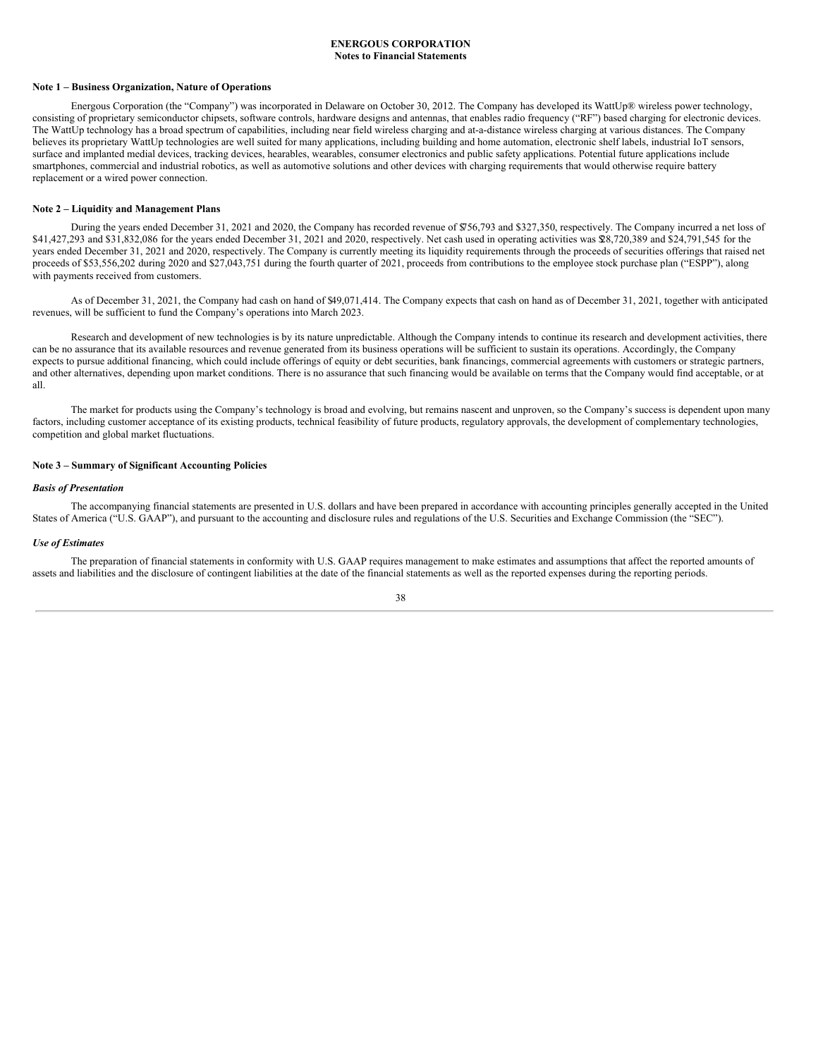# **ENERGOUS CORPORATION Notes to Financial Statements**

#### <span id="page-39-0"></span>**Note 1 – Business Organization, Nature of Operations**

Energous Corporation (the "Company") was incorporated in Delaware on October 30, 2012. The Company has developed its WattUp® wireless power technology, consisting of proprietary semiconductor chipsets, software controls, hardware designs and antennas, that enables radio frequency ("RF") based charging for electronic devices. The WattUp technology has a broad spectrum of capabilities, including near field wireless charging and at-a-distance wireless charging at various distances. The Company believes its proprietary WattUp technologies are well suited for many applications, including building and home automation, electronic shelf labels, industrial IoT sensors, surface and implanted medial devices, tracking devices, hearables, wearables, consumer electronics and public safety applications. Potential future applications include smartphones, commercial and industrial robotics, as well as automotive solutions and other devices with charging requirements that would otherwise require battery replacement or a wired power connection.

#### **Note 2 – Liquidity and Management Plans**

During the years ended December 31, 2021 and 2020, the Company has recorded revenue of \$756,793 and \$327,350, respectively. The Company incurred a net loss of \$41,427,293 and \$31,832,086 for the years ended December 31, 2021 and 2020, respectively. Net cash used in operating activities was \$28,720,389 and \$24,791,545 for the years ended December 31, 2021 and 2020, respectively. The Company is currently meeting its liquidity requirements through the proceeds of securities offerings that raised net proceeds of \$53,556,202 during 2020 and \$27,043,751 during the fourth quarter of 2021, proceeds from contributions to the employee stock purchase plan ("ESPP"), along with payments received from customers.

As of December 31, 2021, the Company had cash on hand of \$49,071,414. The Company expects that cash on hand as of December 31, 2021, together with anticipated revenues, will be sufficient to fund the Company's operations into March 2023.

Research and development of new technologies is by its nature unpredictable. Although the Company intends to continue its research and development activities, there can be no assurance that its available resources and revenue generated from its business operations will be sufficient to sustain its operations. Accordingly, the Company expects to pursue additional financing, which could include offerings of equity or debt securities, bank financings, commercial agreements with customers or strategic partners, and other alternatives, depending upon market conditions. There is no assurance that such financing would be available on terms that the Company would find acceptable, or at all.

The market for products using the Company's technology is broad and evolving, but remains nascent and unproven, so the Company's success is dependent upon many factors, including customer acceptance of its existing products, technical feasibility of future products, regulatory approvals, the development of complementary technologies, competition and global market fluctuations.

## **Note 3 – Summary of Significant Accounting Policies**

#### *Basis of Presentation*

The accompanying financial statements are presented in U.S. dollars and have been prepared in accordance with accounting principles generally accepted in the United States of America ("U.S. GAAP"), and pursuant to the accounting and disclosure rules and regulations of the U.S. Securities and Exchange Commission (the "SEC").

#### *Use of Estimates*

The preparation of financial statements in conformity with U.S. GAAP requires management to make estimates and assumptions that affect the reported amounts of assets and liabilities and the disclosure of contingent liabilities at the date of the financial statements as well as the reported expenses during the reporting periods.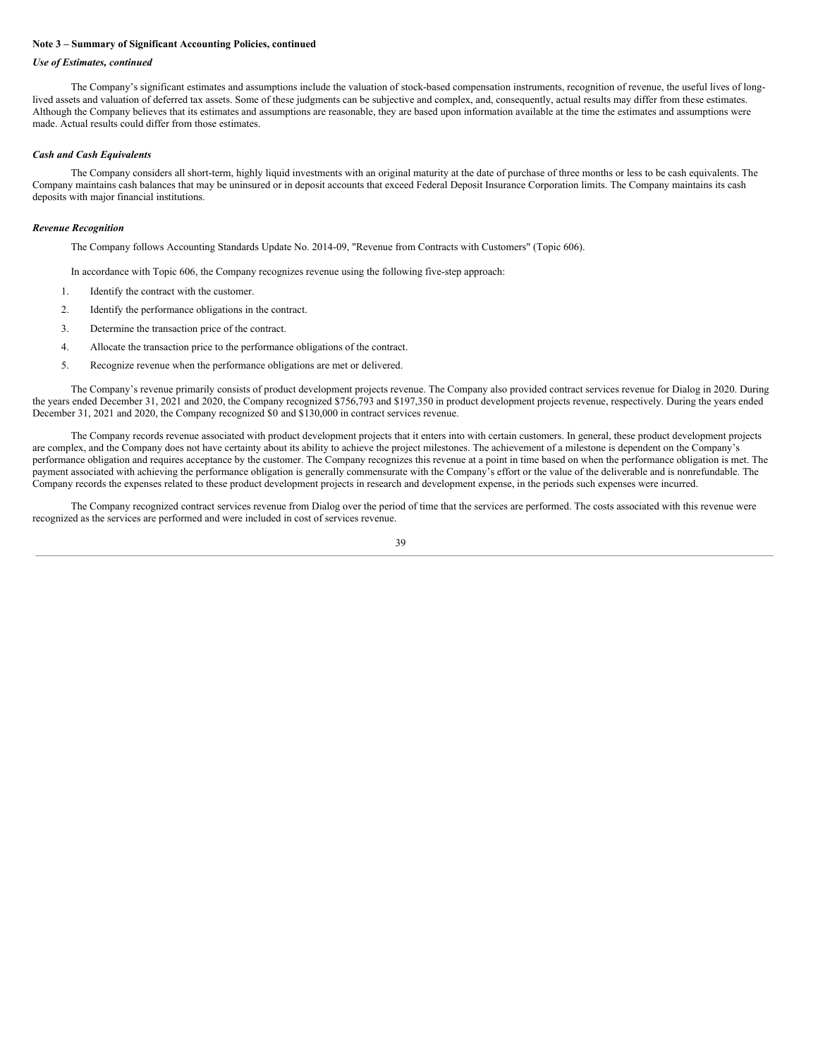## **Note 3 – Summary of Significant Accounting Policies, continued**

#### *Use of Estimates, continued*

The Company's significant estimates and assumptions include the valuation of stock-based compensation instruments, recognition of revenue, the useful lives of longlived assets and valuation of deferred tax assets. Some of these judgments can be subjective and complex, and, consequently, actual results may differ from these estimates. Although the Company believes that its estimates and assumptions are reasonable, they are based upon information available at the time the estimates and assumptions were made. Actual results could differ from those estimates.

#### *Cash and Cash Equivalents*

The Company considers all short-term, highly liquid investments with an original maturity at the date of purchase of three months or less to be cash equivalents. The Company maintains cash balances that may be uninsured or in deposit accounts that exceed Federal Deposit Insurance Corporation limits. The Company maintains its cash deposits with major financial institutions.

#### *Revenue Recognition*

The Company follows Accounting Standards Update No. 2014-09, "Revenue from Contracts with Customers" (Topic 606).

In accordance with Topic 606, the Company recognizes revenue using the following five-step approach:

- 1. Identify the contract with the customer.
- 2. Identify the performance obligations in the contract.
- 3. Determine the transaction price of the contract.
- 4. Allocate the transaction price to the performance obligations of the contract.
- 5. Recognize revenue when the performance obligations are met or delivered.

The Company's revenue primarily consists of product development projects revenue. The Company also provided contract services revenue for Dialog in 2020. During the years ended December 31, 2021 and 2020, the Company recognized \$756,793 and \$197,350 in product development projects revenue, respectively. During the years ended December 31, 2021 and 2020, the Company recognized \$0 and \$130,000 in contract services revenue.

The Company records revenue associated with product development projects that it enters into with certain customers. In general, these product development projects are complex, and the Company does not have certainty about its ability to achieve the project milestones. The achievement of a milestone is dependent on the Company's performance obligation and requires acceptance by the customer. The Company recognizes this revenue at a point in time based on when the performance obligation is met. The payment associated with achieving the performance obligation is generally commensurate with the Company's effort or the value of the deliverable and is nonrefundable. The Company records the expenses related to these product development projects in research and development expense, in the periods such expenses were incurred.

The Company recognized contract services revenue from Dialog over the period of time that the services are performed. The costs associated with this revenue were recognized as the services are performed and were included in cost of services revenue.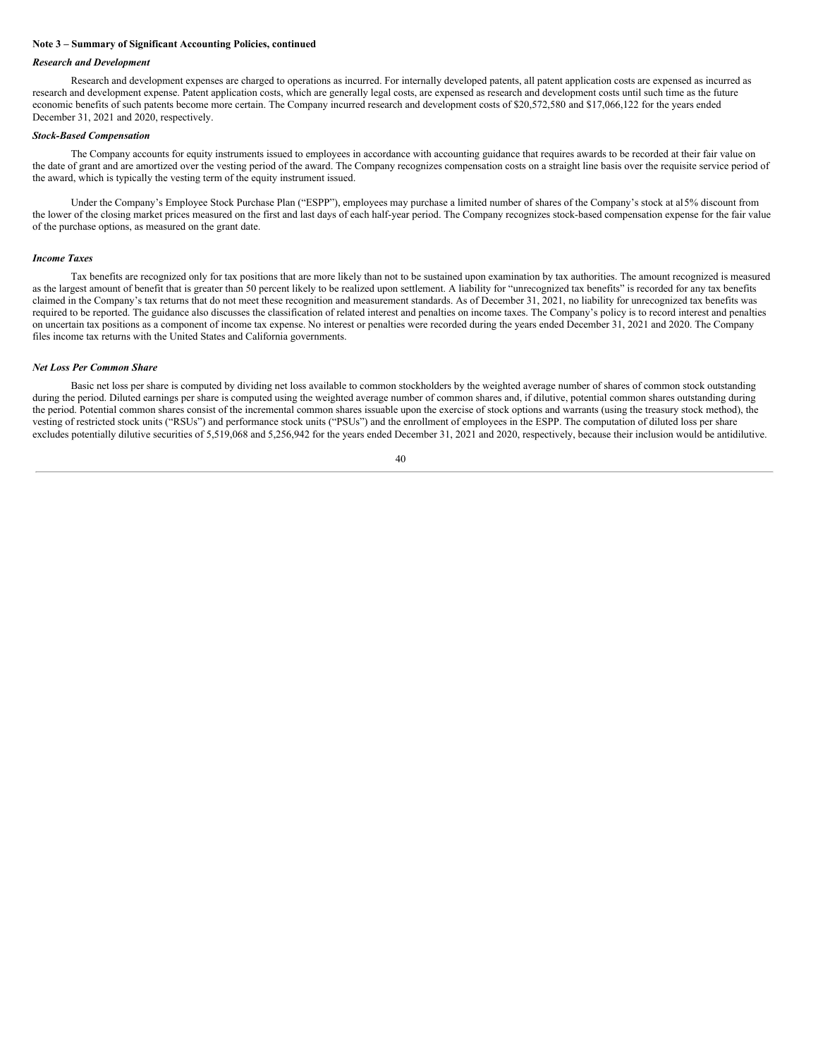#### **Note 3 – Summary of Significant Accounting Policies, continued**

#### *Research and Development*

Research and development expenses are charged to operations as incurred. For internally developed patents, all patent application costs are expensed as incurred as research and development expense. Patent application costs, which are generally legal costs, are expensed as research and development costs until such time as the future economic benefits of such patents become more certain. The Company incurred research and development costs of \$20,572,580 and \$17,066,122 for the years ended December 31, 2021 and 2020, respectively.

#### *Stock-Based Compensation*

The Company accounts for equity instruments issued to employees in accordance with accounting guidance that requires awards to be recorded at their fair value on the date of grant and are amortized over the vesting period of the award. The Company recognizes compensation costs on a straight line basis over the requisite service period of the award, which is typically the vesting term of the equity instrument issued.

Under the Company's Employee Stock Purchase Plan ("ESPP"), employees may purchase a limited number of shares of the Company's stock at a15% discount from the lower of the closing market prices measured on the first and last days of each half-year period. The Company recognizes stock-based compensation expense for the fair value of the purchase options, as measured on the grant date.

#### *Income Taxes*

Tax benefits are recognized only for tax positions that are more likely than not to be sustained upon examination by tax authorities. The amount recognized is measured as the largest amount of benefit that is greater than 50 percent likely to be realized upon settlement. A liability for "unrecognized tax benefits" is recorded for any tax benefits claimed in the Company's tax returns that do not meet these recognition and measurement standards. As of December 31, 2021, no liability for unrecognized tax benefits was required to be reported. The guidance also discusses the classification of related interest and penalties on income taxes. The Company's policy is to record interest and penalties on uncertain tax positions as a component of income tax expense. No interest or penalties were recorded during the years ended December 31, 2021 and 2020. The Company files income tax returns with the United States and California governments.

#### *Net Loss Per Common Share*

Basic net loss per share is computed by dividing net loss available to common stockholders by the weighted average number of shares of common stock outstanding during the period. Diluted earnings per share is computed using the weighted average number of common shares and, if dilutive, potential common shares outstanding during the period. Potential common shares consist of the incremental common shares issuable upon the exercise of stock options and warrants (using the treasury stock method), the vesting of restricted stock units ("RSUs") and performance stock units ("PSUs") and the enrollment of employees in the ESPP. The computation of diluted loss per share excludes potentially dilutive securities of 5,519,068 and 5,256,942 for the years ended December 31, 2021 and 2020, respectively, because their inclusion would be antidilutive.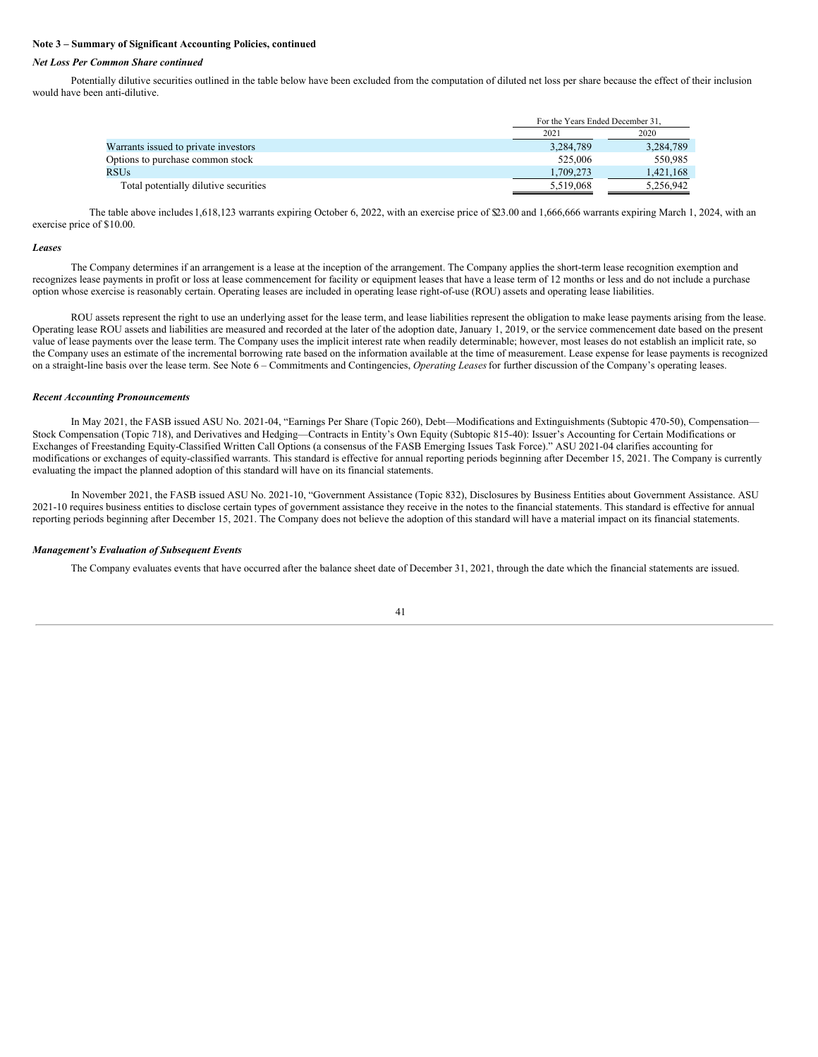## **Note 3 – Summary of Significant Accounting Policies, continued**

#### *Net Loss Per Common Share continued*

Potentially dilutive securities outlined in the table below have been excluded from the computation of diluted net loss per share because the effect of their inclusion would have been anti-dilutive.

|                                       |           | For the Years Ended December 31. |  |  |
|---------------------------------------|-----------|----------------------------------|--|--|
|                                       | 2021      | 2020                             |  |  |
| Warrants issued to private investors  | 3.284.789 | 3,284,789                        |  |  |
| Options to purchase common stock      | 525,006   | 550.985                          |  |  |
| RSUs                                  | 1.709.273 | 1,421,168                        |  |  |
| Total potentially dilutive securities | 5.519.068 | 5.256.942                        |  |  |

The table above includes 1,618,123 warrants expiring October 6, 2022, with an exercise price of \$23.00 and 1,666,666 warrants expiring March 1, 2024, with an exercise price of \$10.00.

#### *Leases*

The Company determines if an arrangement is a lease at the inception of the arrangement. The Company applies the short-term lease recognition exemption and recognizes lease payments in profit or loss at lease commencement for facility or equipment leases that have a lease term of 12 months or less and do not include a purchase option whose exercise is reasonably certain. Operating leases are included in operating lease right-of-use (ROU) assets and operating lease liabilities.

ROU assets represent the right to use an underlying asset for the lease term, and lease liabilities represent the obligation to make lease payments arising from the lease. Operating lease ROU assets and liabilities are measured and recorded at the later of the adoption date, January 1, 2019, or the service commencement date based on the present value of lease payments over the lease term. The Company uses the implicit interest rate when readily determinable; however, most leases do not establish an implicit rate, so the Company uses an estimate of the incremental borrowing rate based on the information available at the time of measurement. Lease expense for lease payments is recognized on a straight-line basis over the lease term. See Note 6 – Commitments and Contingencies, *Operating Leases*for further discussion of the Company's operating leases.

#### *Recent Accounting Pronouncements*

In May 2021, the FASB issued ASU No. 2021-04, "Earnings Per Share (Topic 260), Debt—Modifications and Extinguishments (Subtopic 470-50), Compensation— Stock Compensation (Topic 718), and Derivatives and Hedging—Contracts in Entity's Own Equity (Subtopic 815-40): Issuer's Accounting for Certain Modifications or Exchanges of Freestanding Equity-Classified Written Call Options (a consensus of the FASB Emerging Issues Task Force)." ASU 2021-04 clarifies accounting for modifications or exchanges of equity-classified warrants. This standard is effective for annual reporting periods beginning after December 15, 2021. The Company is currently evaluating the impact the planned adoption of this standard will have on its financial statements.

In November 2021, the FASB issued ASU No. 2021-10, "Government Assistance (Topic 832), Disclosures by Business Entities about Government Assistance. ASU 2021-10 requires business entities to disclose certain types of government assistance they receive in the notes to the financial statements. This standard is effective for annual reporting periods beginning after December 15, 2021. The Company does not believe the adoption of this standard will have a material impact on its financial statements.

#### *Management's Evaluation of Subsequent Events*

The Company evaluates events that have occurred after the balance sheet date of December 31, 2021, through the date which the financial statements are issued.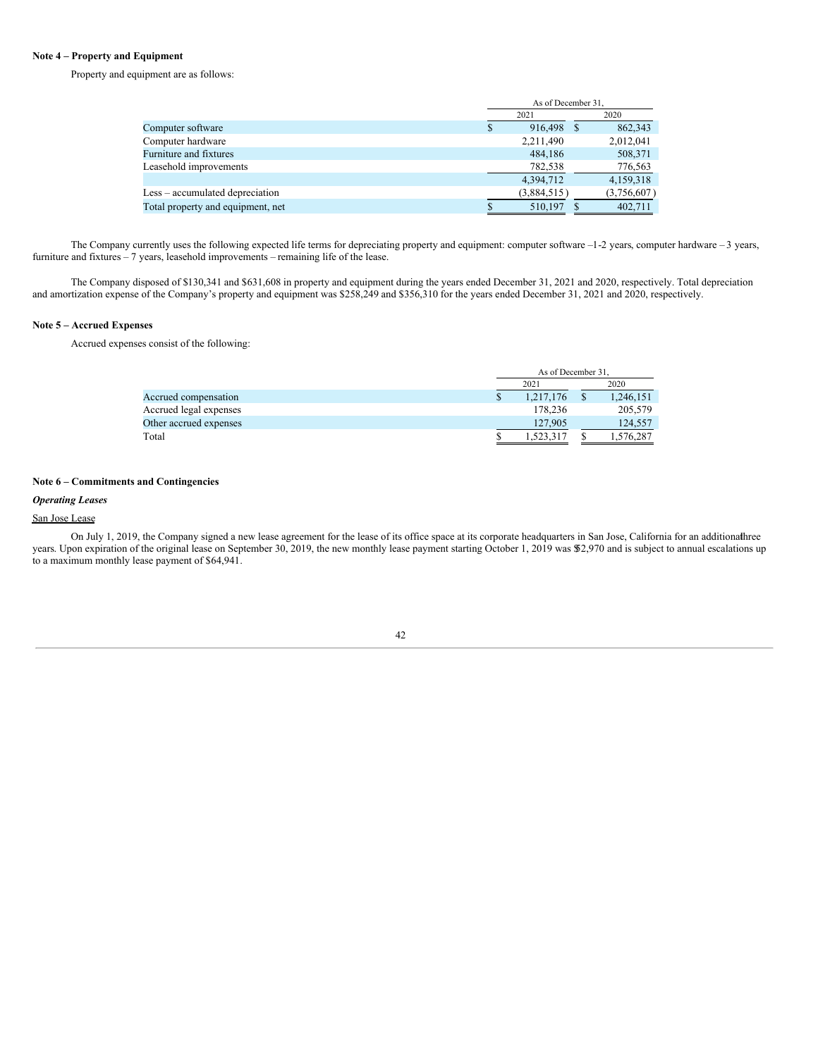# **Note 4 – Property and Equipment**

Property and equipment are as follows:

|                                   | As of December 31. |  |             |  |  |
|-----------------------------------|--------------------|--|-------------|--|--|
|                                   | 2021               |  | 2020        |  |  |
| Computer software                 | \$<br>916,498      |  | 862,343     |  |  |
| Computer hardware                 | 2,211,490          |  | 2,012,041   |  |  |
| Furniture and fixtures            | 484,186            |  | 508,371     |  |  |
| Leasehold improvements            | 782,538            |  | 776,563     |  |  |
|                                   | 4,394,712          |  | 4,159,318   |  |  |
| Less – accumulated depreciation   | (3,884,515)        |  | (3,756,607) |  |  |
| Total property and equipment, net | 510.197            |  | 402,711     |  |  |
|                                   |                    |  |             |  |  |

The Company currently uses the following expected life terms for depreciating property and equipment: computer software –1-2 years, computer hardware –3 years, furniture and fixtures – 7 years, leasehold improvements – remaining life of the lease.

The Company disposed of \$130,341 and \$631,608 in property and equipment during the years ended December 31, 2021 and 2020, respectively. Total depreciation and amortization expense of the Company's property and equipment was \$258,249 and \$356,310 for the years ended December 31, 2021 and 2020, respectively.

# **Note 5 – Accrued Expenses**

Accrued expenses consist of the following:

|                        | As of December 31, |           |    |           |
|------------------------|--------------------|-----------|----|-----------|
|                        | 2021               |           |    | 2020      |
| Accrued compensation   | S                  | 1,217,176 | \$ | 1,246,151 |
| Accrued legal expenses |                    | 178.236   |    | 205,579   |
| Other accrued expenses |                    | 127,905   |    | 124,557   |
| Total                  |                    | 1.523.317 |    | 1,576,287 |

## **Note 6 – Commitments and Contingencies**

## *Operating Leases*

# San Jose Lease

On July 1, 2019, the Company signed a new lease agreement for the lease of its office space at its corporate headquarters in San Jose, California for an additionathree years. Upon expiration of the original lease on September 30, 2019, the new monthly lease payment starting October 1, 2019 was \$2,970 and is subject to annual escalations up to a maximum monthly lease payment of \$64,941.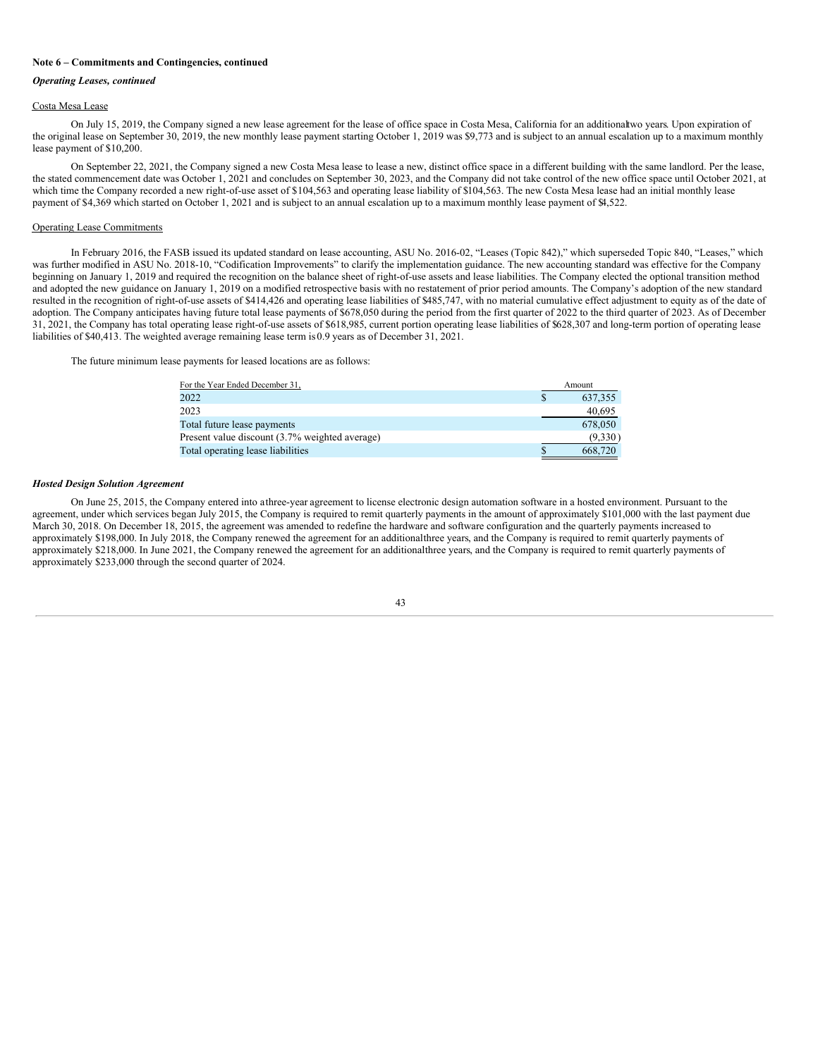## *Operating Leases, continued*

### Costa Mesa Lease

On July 15, 2019, the Company signed a new lease agreement for the lease of office space in Costa Mesa, California for an additionaltwo years. Upon expiration of the original lease on September 30, 2019, the new monthly lease payment starting October 1, 2019 was \$9,773 and is subject to an annual escalation up to a maximum monthly lease payment of \$10,200.

On September 22, 2021, the Company signed a new Costa Mesa lease to lease a new, distinct office space in a different building with the same landlord. Per the lease, the stated commencement date was October 1, 2021 and concludes on September 30, 2023, and the Company did not take control of the new office space until October 2021, at which time the Company recorded a new right-of-use asset of \$104,563 and operating lease liability of \$104,563. The new Costa Mesa lease had an initial monthly lease payment of \$4,369 which started on October 1, 2021 and is subject to an annual escalation up to a maximum monthly lease payment of \$4,522.

#### Operating Lease Commitments

In February 2016, the FASB issued its updated standard on lease accounting, ASU No. 2016-02, "Leases (Topic 842)," which superseded Topic 840, "Leases," which was further modified in ASU No. 2018-10, "Codification Improvements" to clarify the implementation guidance. The new accounting standard was effective for the Company beginning on January 1, 2019 and required the recognition on the balance sheet of right-of-use assets and lease liabilities. The Company elected the optional transition method and adopted the new guidance on January 1, 2019 on a modified retrospective basis with no restatement of prior period amounts. The Company's adoption of the new standard resulted in the recognition of right-of-use assets of \$414,426 and operating lease liabilities of \$485,747, with no material cumulative effect adjustment to equity as of the date of adoption. The Company anticipates having future total lease payments of \$678,050 during the period from the first quarter of 2022 to the third quarter of 2023. As of December 31, 2021, the Company has total operating lease right-of-use assets of \$618,985, current portion operating lease liabilities of \$628,307 and long-term portion of operating lease liabilities of \$40,413. The weighted average remaining lease term is 0.9 years as of December 31, 2021.

The future minimum lease payments for leased locations are as follows:

| For the Year Ended December 31,                |  | Amount  |  |  |
|------------------------------------------------|--|---------|--|--|
| 2022                                           |  | 637,355 |  |  |
| 2023                                           |  | 40.695  |  |  |
| Total future lease payments                    |  | 678,050 |  |  |
| Present value discount (3.7% weighted average) |  | (9.330) |  |  |
| Total operating lease liabilities              |  | 668,720 |  |  |

#### *Hosted Design Solution Agreement*

On June 25, 2015, the Company entered into athree-year agreement to license electronic design automation software in a hosted environment. Pursuant to the agreement, under which services began July 2015, the Company is required to remit quarterly payments in the amount of approximately \$101,000 with the last payment due March 30, 2018. On December 18, 2015, the agreement was amended to redefine the hardware and software configuration and the quarterly payments increased to approximately \$198,000. In July 2018, the Company renewed the agreement for an additionalthree years, and the Company is required to remit quarterly payments of approximately \$218,000. In June 2021, the Company renewed the agreement for an additionalthree years, and the Company is required to remit quarterly payments of approximately \$233,000 through the second quarter of 2024.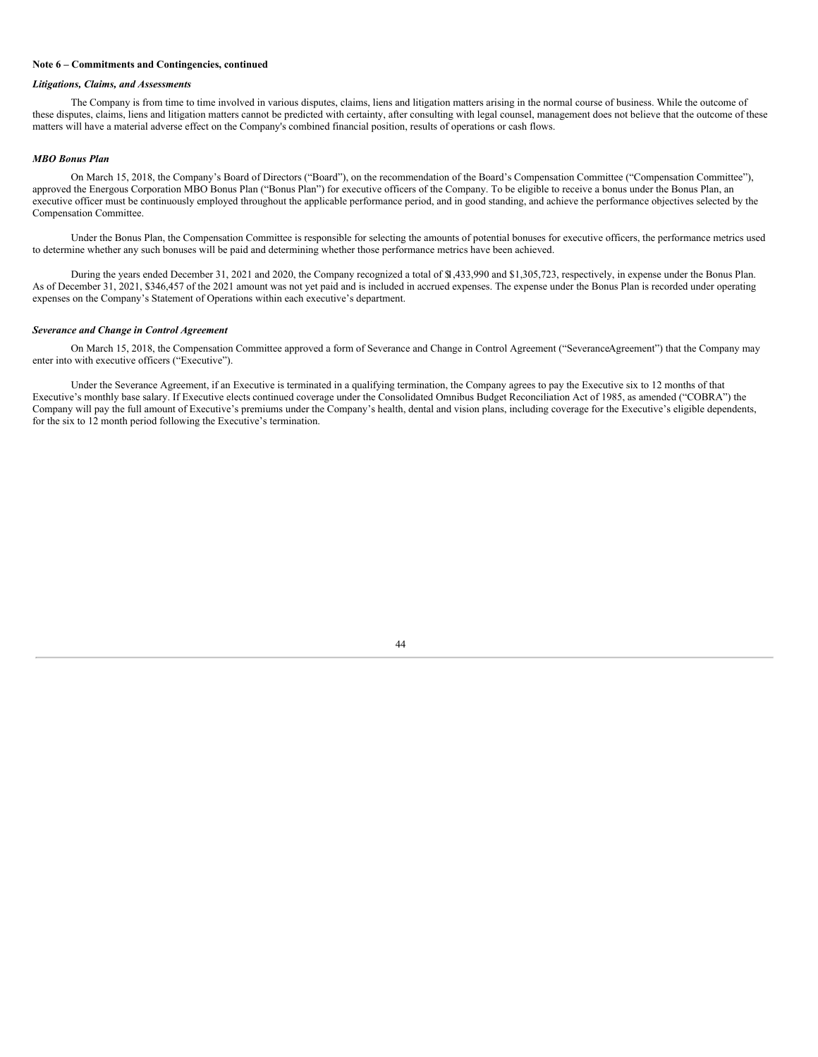#### *Litigations, Claims, and Assessments*

The Company is from time to time involved in various disputes, claims, liens and litigation matters arising in the normal course of business. While the outcome of these disputes, claims, liens and litigation matters cannot be predicted with certainty, after consulting with legal counsel, management does not believe that the outcome of these matters will have a material adverse effect on the Company's combined financial position, results of operations or cash flows.

#### *MBO Bonus Plan*

On March 15, 2018, the Company's Board of Directors ("Board"), on the recommendation of the Board's Compensation Committee ("Compensation Committee"), approved the Energous Corporation MBO Bonus Plan ("Bonus Plan") for executive officers of the Company. To be eligible to receive a bonus under the Bonus Plan, an executive officer must be continuously employed throughout the applicable performance period, and in good standing, and achieve the performance objectives selected by the Compensation Committee.

Under the Bonus Plan, the Compensation Committee is responsible for selecting the amounts of potential bonuses for executive officers, the performance metrics used to determine whether any such bonuses will be paid and determining whether those performance metrics have been achieved.

During the years ended December 31, 2021 and 2020, the Company recognized a total of \$1,433,990 and \$1,305,723, respectively, in expense under the Bonus Plan. As of December 31, 2021, \$346,457 of the 2021 amount was not yet paid and is included in accrued expenses. The expense under the Bonus Plan is recorded under operating expenses on the Company's Statement of Operations within each executive's department.

#### *Severance and Change in Control Agreement*

On March 15, 2018, the Compensation Committee approved a form of Severance and Change in Control Agreement ("SeveranceAgreement") that the Company may enter into with executive officers ("Executive").

Under the Severance Agreement, if an Executive is terminated in a qualifying termination, the Company agrees to pay the Executive six to 12 months of that Executive's monthly base salary. If Executive elects continued coverage under the Consolidated Omnibus Budget Reconciliation Act of 1985, as amended ("COBRA") the Company will pay the full amount of Executive's premiums under the Company's health, dental and vision plans, including coverage for the Executive's eligible dependents, for the six to 12 month period following the Executive's termination.

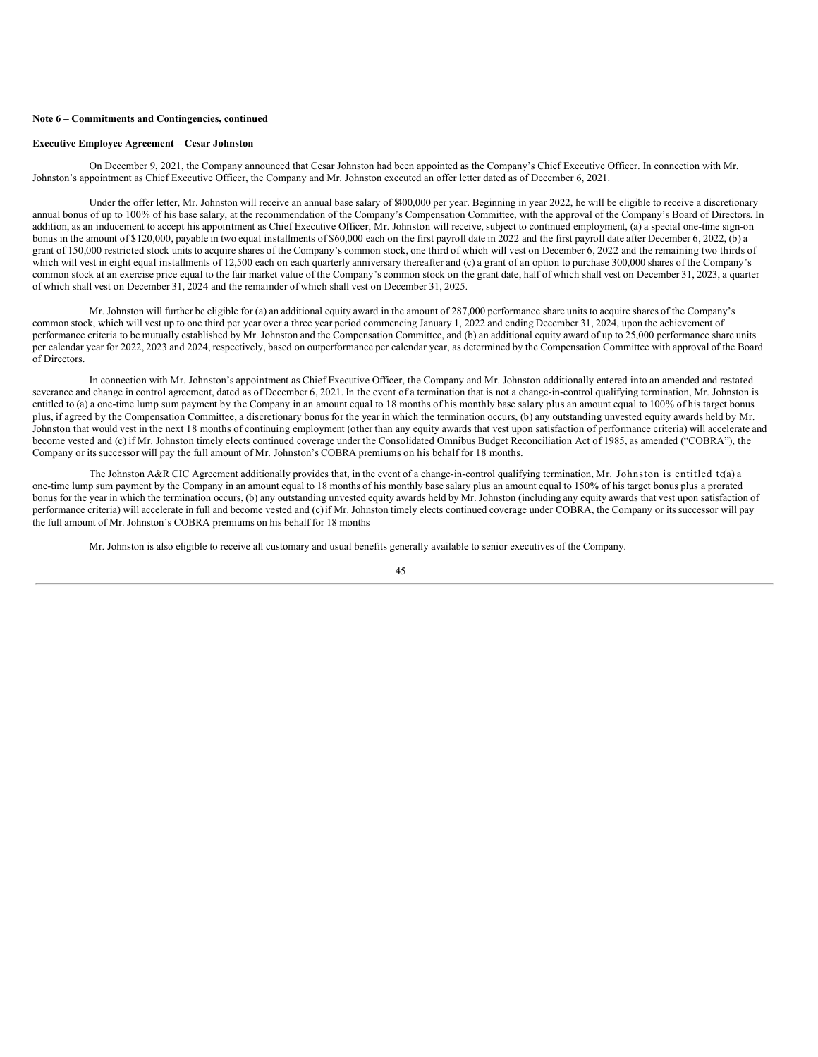#### **Executive Employee Agreement – Cesar Johnston**

On December 9, 2021, the Company announced that Cesar Johnston had been appointed as the Company's Chief Executive Officer. In connection with Mr. Johnston's appointment as Chief Executive Officer, the Company and Mr. Johnston executed an offer letter dated as of December 6, 2021.

Under the offer letter, Mr. Johnston will receive an annual base salary of \$400,000 per year. Beginning in year 2022, he will be eligible to receive a discretionary annual bonus of up to 100% of his base salary, at the recommendation of the Company's Compensation Committee, with the approval of the Company's Board of Directors. In addition, as an inducement to accept his appointment as Chief Executive Officer, Mr. Johnston will receive, subject to continued employment, (a) a special one-time sign-on bonus in the amount of \$120,000, payable in two equal installments of \$60,000 each on the first payroll date in 2022 and the first payroll date after December 6, 2022, (b) a grant of 150,000 restricted stock units to acquire shares of the Company's common stock, one third of which will vest on December 6, 2022 and the remaining two thirds of which will vest in eight equal installments of 12,500 each on each quarterly anniversary thereafter and (c) a grant of an option to purchase 300,000 shares of the Company's common stock at an exercise price equal to the fair market value of the Company's common stock on the grant date, half of which shall vest on December 31, 2023, a quarter of which shall vest on December 31, 2024 and the remainder of which shall vest on December 31, 2025.

Mr. Johnston will further be eligible for (a) an additional equity award in the amount of 287,000 performance share units to acquire shares of the Company's common stock, which will vest up to one third per year over a three year period commencing January 1, 2022 and ending December 31, 2024, upon the achievement of performance criteria to be mutually established by Mr. Johnston and the Compensation Committee, and (b) an additional equity award of up to 25,000 performance share units per calendar year for 2022, 2023 and 2024, respectively, based on outperformance per calendar year, as determined by the Compensation Committee with approval of the Board of Directors.

In connection with Mr. Johnston's appointment as Chief Executive Officer, the Company and Mr. Johnston additionally entered into an amended and restated severance and change in control agreement, dated as of December 6, 2021. In the event of a termination that is not a change-in-control qualifying termination, Mr. Johnston is entitled to (a) a one-time lump sum payment by the Company in an amount equal to 18 months of his monthly base salary plus an amount equal to 100% of his target bonus plus, if agreed by the Compensation Committee, a discretionary bonus for the year in which the termination occurs, (b) any outstanding unvested equity awards held by Mr. Johnston that would vest in the next 18 months of continuing employment (other than any equity awards that vest upon satisfaction of performance criteria) will accelerate and become vested and (c) if Mr. Johnston timely elects continued coverage under the Consolidated Omnibus Budget Reconciliation Act of 1985, as amended ("COBRA"), the Company or its successor will pay the full amount of Mr. Johnston's COBRA premiums on his behalf for 18 months.

The Johnston A&R CIC Agreement additionally provides that, in the event of a change-in-control qualifying termination, Mr. Johnston is entitled to(a) a one-time lump sum payment by the Company in an amount equal to 18 months of his monthly base salary plus an amount equal to 150% of his target bonus plus a prorated bonus for the year in which the termination occurs, (b) any outstanding unvested equity awards held by Mr. Johnston (including any equity awards that vest upon satisfaction of performance criteria) will accelerate in full and become vested and (c)if Mr. Johnston timely elects continued coverage under COBRA, the Company or its successor will pay the full amount of Mr. Johnston's COBRA premiums on his behalf for 18 months

Mr. Johnston is also eligible to receive all customary and usual benefits generally available to senior executives of the Company.

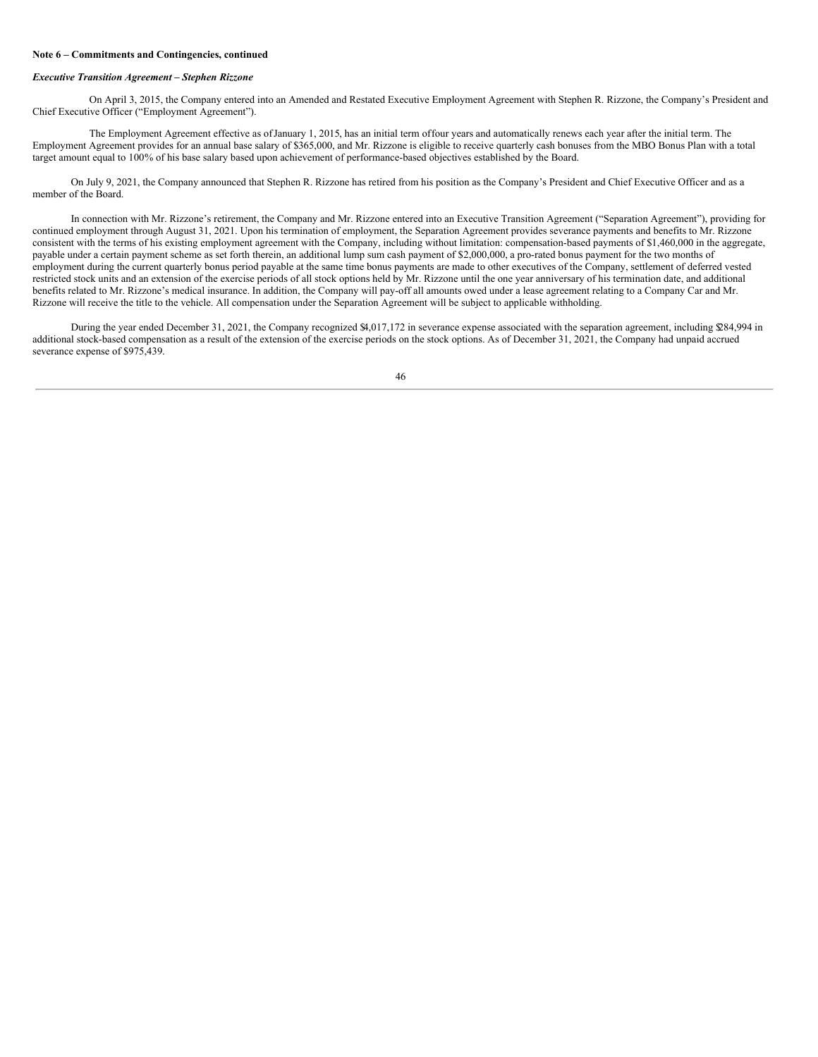#### *Executive Transition Agreement – Stephen Rizzone*

On April 3, 2015, the Company entered into an Amended and Restated Executive Employment Agreement with Stephen R. Rizzone, the Company's President and Chief Executive Officer ("Employment Agreement").

The Employment Agreement effective as ofJanuary 1, 2015, has an initial term offour years and automatically renews each year after the initial term. The Employment Agreement provides for an annual base salary of \$365,000, and Mr. Rizzone is eligible to receive quarterly cash bonuses from the MBO Bonus Plan with a total target amount equal to 100% of his base salary based upon achievement of performance-based objectives established by the Board.

On July 9, 2021, the Company announced that Stephen R. Rizzone has retired from his position as the Company's President and Chief Executive Officer and as a member of the Board.

In connection with Mr. Rizzone's retirement, the Company and Mr. Rizzone entered into an Executive Transition Agreement ("Separation Agreement"), providing for continued employment through August 31, 2021. Upon his termination of employment, the Separation Agreement provides severance payments and benefits to Mr. Rizzone consistent with the terms of his existing employment agreement with the Company, including without limitation: compensation-based payments of \$1,460,000 in the aggregate, payable under a certain payment scheme as set forth therein, an additional lump sum cash payment of \$2,000,000, a pro-rated bonus payment for the two months of employment during the current quarterly bonus period payable at the same time bonus payments are made to other executives of the Company, settlement of deferred vested restricted stock units and an extension of the exercise periods of all stock options held by Mr. Rizzone until the one year anniversary of his termination date, and additional benefits related to Mr. Rizzone's medical insurance. In addition, the Company will pay-off all amounts owed under a lease agreement relating to a Company Car and Mr. Rizzone will receive the title to the vehicle. All compensation under the Separation Agreement will be subject to applicable withholding.

During the year ended December 31, 2021, the Company recognized \$4,017,172 in severance expense associated with the separation agreement, including \$284,994 in additional stock-based compensation as a result of the extension of the exercise periods on the stock options. As of December 31, 2021, the Company had unpaid accrued severance expense of \$975,439.

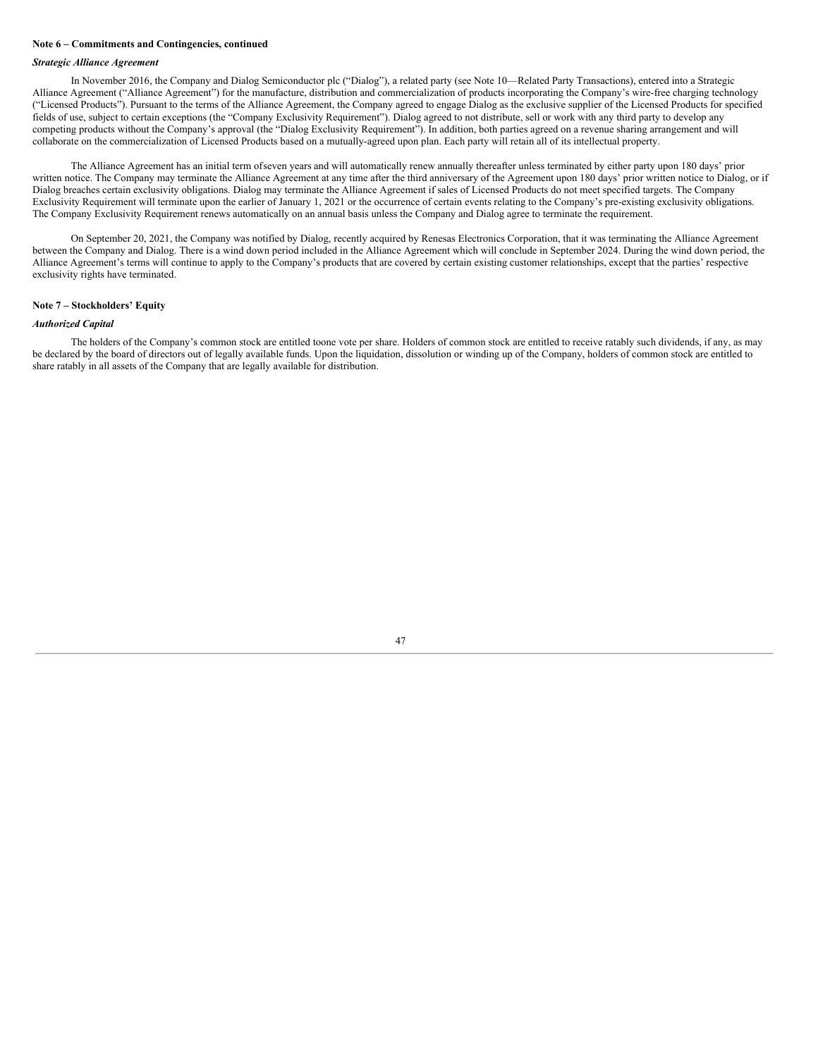#### *Strategic Alliance Agreement*

In November 2016, the Company and Dialog Semiconductor plc ("Dialog"), a related party (see Note 10—Related Party Transactions), entered into a Strategic Alliance Agreement ("Alliance Agreement") for the manufacture, distribution and commercialization of products incorporating the Company's wire-free charging technology ("Licensed Products"). Pursuant to the terms of the Alliance Agreement, the Company agreed to engage Dialog as the exclusive supplier of the Licensed Products for specified fields of use, subject to certain exceptions (the "Company Exclusivity Requirement"). Dialog agreed to not distribute, sell or work with any third party to develop any competing products without the Company's approval (the "Dialog Exclusivity Requirement"). In addition, both parties agreed on a revenue sharing arrangement and will collaborate on the commercialization of Licensed Products based on a mutually-agreed upon plan. Each party will retain all of its intellectual property.

The Alliance Agreement has an initial term ofseven years and will automatically renew annually thereafter unless terminated by either party upon 180 days' prior written notice. The Company may terminate the Alliance Agreement at any time after the third anniversary of the Agreement upon 180 days' prior written notice to Dialog, or if Dialog breaches certain exclusivity obligations. Dialog may terminate the Alliance Agreement if sales of Licensed Products do not meet specified targets. The Company Exclusivity Requirement will terminate upon the earlier of January 1, 2021 or the occurrence of certain events relating to the Company's pre-existing exclusivity obligations. The Company Exclusivity Requirement renews automatically on an annual basis unless the Company and Dialog agree to terminate the requirement.

On September 20, 2021, the Company was notified by Dialog, recently acquired by Renesas Electronics Corporation, that it was terminating the Alliance Agreement between the Company and Dialog. There is a wind down period included in the Alliance Agreement which will conclude in September 2024. During the wind down period, the Alliance Agreement's terms will continue to apply to the Company's products that are covered by certain existing customer relationships, except that the parties' respective exclusivity rights have terminated.

#### **Note 7 – Stockholders' Equity**

#### *Authorized Capital*

The holders of the Company's common stock are entitled toone vote per share. Holders of common stock are entitled to receive ratably such dividends, if any, as may be declared by the board of directors out of legally available funds. Upon the liquidation, dissolution or winding up of the Company, holders of common stock are entitled to share ratably in all assets of the Company that are legally available for distribution.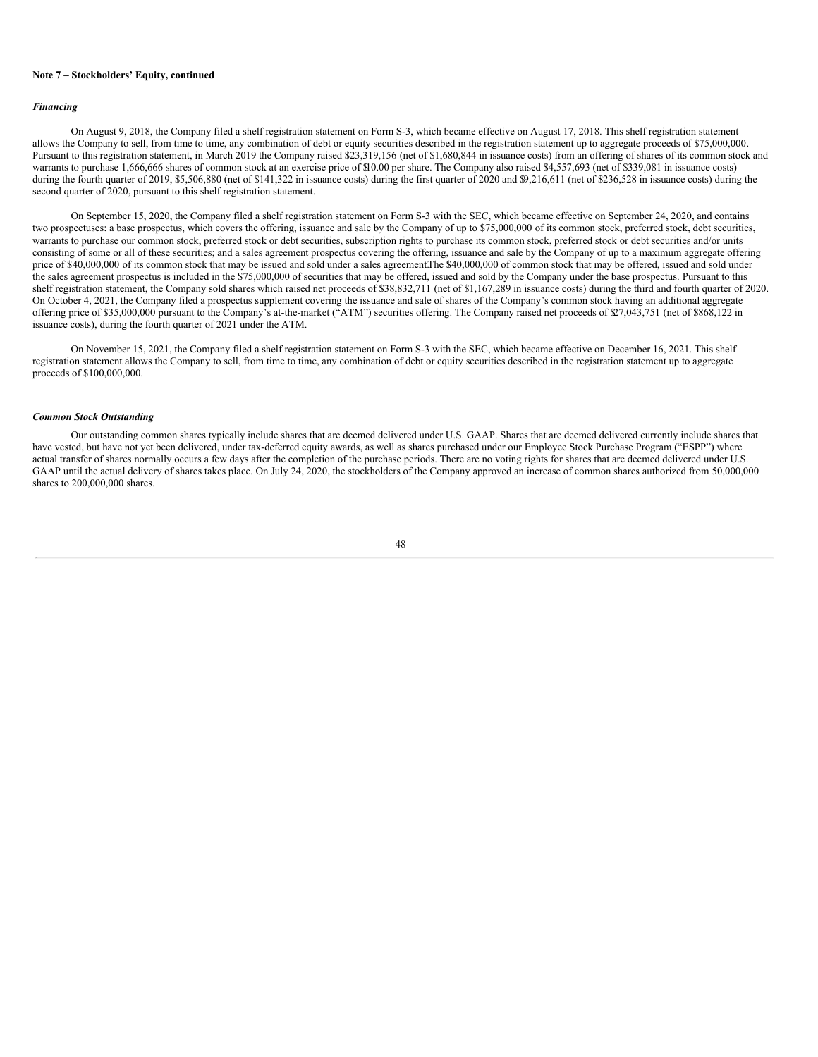#### **Note 7 – Stockholders' Equity, continued**

#### *Financing*

On August 9, 2018, the Company filed a shelf registration statement on Form S-3, which became effective on August 17, 2018. This shelf registration statement allows the Company to sell, from time to time, any combination of debt or equity securities described in the registration statement up to aggregate proceeds of \$75,000,000. Pursuant to this registration statement, in March 2019 the Company raised \$23,319,156 (net of \$1,680,844 in issuance costs) from an offering of shares of its common stock and warrants to purchase 1,666,666 shares of common stock at an exercise price of \$10.00 per share. The Company also raised \$4,557,693 (net of \$339,081 in issuance costs) during the fourth quarter of 2019, \$5,506,880 (net of \$141,322 in issuance costs) during the first quarter of 2020 and \$9,216,611 (net of \$236,528 in issuance costs) during the second quarter of 2020, pursuant to this shelf registration statement.

On September 15, 2020, the Company filed a shelf registration statement on Form S-3 with the SEC, which became effective on September 24, 2020, and contains two prospectuses: a base prospectus, which covers the offering, issuance and sale by the Company of up to \$75,000,000 of its common stock, preferred stock, debt securities, warrants to purchase our common stock, preferred stock or debt securities, subscription rights to purchase its common stock, preferred stock or debt securities and/or units consisting of some or all of these securities; and a sales agreement prospectus covering the offering, issuance and sale by the Company of up to a maximum aggregate offering price of \$40,000,000 of its common stock that may be issued and sold under a sales agreement.The \$40,000,000 of common stock that may be offered, issued and sold under the sales agreement prospectus is included in the \$75,000,000 of securities that may be offered, issued and sold by the Company under the base prospectus. Pursuant to this shelf registration statement, the Company sold shares which raised net proceeds of \$38,832,711 (net of \$1,167,289 in issuance costs) during the third and fourth quarter of 2020. On October 4, 2021, the Company filed a prospectus supplement covering the issuance and sale of shares of the Company's common stock having an additional aggregate offering price of \$35,000,000 pursuant to the Company's at-the-market ("ATM") securities offering. The Company raised net proceeds of \$27,043,751 (net of \$868,122 in issuance costs), during the fourth quarter of 2021 under the ATM.

On November 15, 2021, the Company filed a shelf registration statement on Form S-3 with the SEC, which became effective on December 16, 2021. This shelf registration statement allows the Company to sell, from time to time, any combination of debt or equity securities described in the registration statement up to aggregate proceeds of \$100,000,000.

## *Common Stock Outstanding*

Our outstanding common shares typically include shares that are deemed delivered under U.S. GAAP. Shares that are deemed delivered currently include shares that have vested, but have not yet been delivered, under tax-deferred equity awards, as well as shares purchased under our Employee Stock Purchase Program ("ESPP") where actual transfer of shares normally occurs a few days after the completion of the purchase periods. There are no voting rights for shares that are deemed delivered under U.S. GAAP until the actual delivery of shares takes place. On July 24, 2020, the stockholders of the Company approved an increase of common shares authorized from 50,000,000 shares to 200,000,000 shares.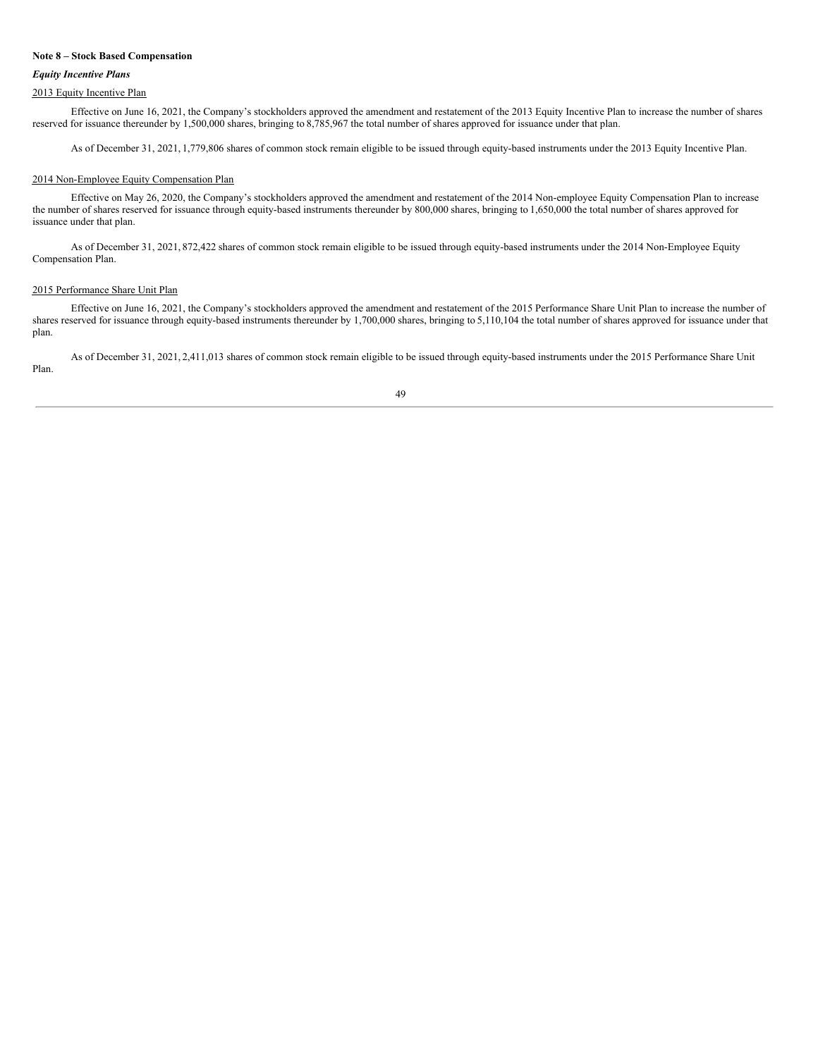## **Note 8 – Stock Based Compensation**

## *Equity Incentive Plans*

# 2013 Equity Incentive Plan

Effective on June 16, 2021, the Company's stockholders approved the amendment and restatement of the 2013 Equity Incentive Plan to increase the number of shares reserved for issuance thereunder by 1,500,000 shares, bringing to 8,785,967 the total number of shares approved for issuance under that plan.

As of December 31, 2021, 1,779,806 shares of common stock remain eligible to be issued through equity-based instruments under the 2013 Equity Incentive Plan.

## 2014 Non-Employee Equity Compensation Plan

Effective on May 26, 2020, the Company's stockholders approved the amendment and restatement of the 2014 Non-employee Equity Compensation Plan to increase the number of shares reserved for issuance through equity-based instruments thereunder by 800,000 shares, bringing to 1,650,000 the total number of shares approved for issuance under that plan.

As of December 31, 2021, 872,422 shares of common stock remain eligible to be issued through equity-based instruments under the 2014 Non-Employee Equity Compensation Plan.

#### 2015 Performance Share Unit Plan

Effective on June 16, 2021, the Company's stockholders approved the amendment and restatement of the 2015 Performance Share Unit Plan to increase the number of shares reserved for issuance through equity-based instruments thereunder by 1,700,000 shares, bringing to 5,110,104 the total number of shares approved for issuance under that plan.

As of December 31, 2021, 2,411,013 shares of common stock remain eligible to be issued through equity-based instruments under the 2015 Performance Share Unit Plan.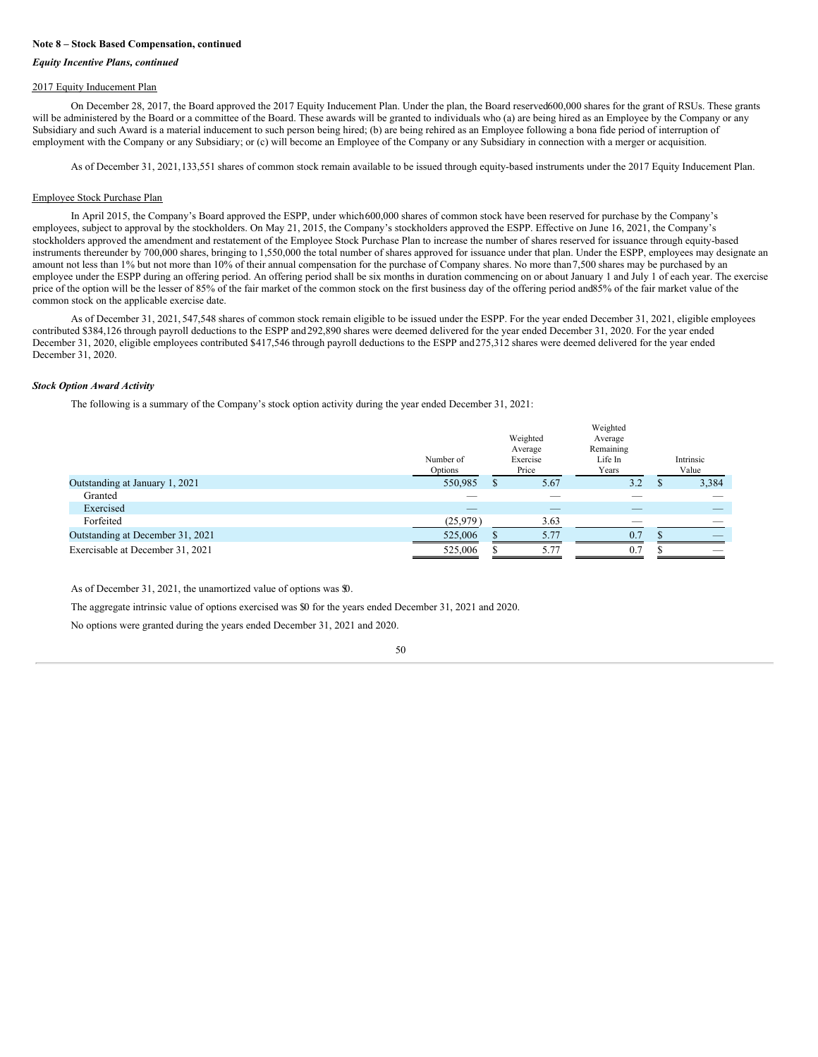#### *Equity Incentive Plans, continued*

#### 2017 Equity Inducement Plan

On December 28, 2017, the Board approved the 2017 Equity Inducement Plan. Under the plan, the Board reserved600,000 shares for the grant of RSUs. These grants will be administered by the Board or a committee of the Board. These awards will be granted to individuals who (a) are being hired as an Employee by the Company or any Subsidiary and such Award is a material inducement to such person being hired; (b) are being rehired as an Employee following a bona fide period of interruption of employment with the Company or any Subsidiary; or (c) will become an Employee of the Company or any Subsidiary in connection with a merger or acquisition.

As of December 31, 2021,133,551 shares of common stock remain available to be issued through equity-based instruments under the 2017 Equity Inducement Plan.

#### Employee Stock Purchase Plan

In April 2015, the Company's Board approved the ESPP, under which600,000 shares of common stock have been reserved for purchase by the Company's employees, subject to approval by the stockholders. On May 21, 2015, the Company's stockholders approved the ESPP. Effective on June 16, 2021, the Company's stockholders approved the amendment and restatement of the Employee Stock Purchase Plan to increase the number of shares reserved for issuance through equity-based instruments thereunder by 700,000 shares, bringing to 1,550,000 the total number of shares approved for issuance under that plan. Under the ESPP, employees may designate an amount not less than 1% but not more than 10% of their annual compensation for the purchase of Company shares. No more than7,500 shares may be purchased by an employee under the ESPP during an offering period. An offering period shall be six months in duration commencing on or about January 1 and July 1 of each year. The exercise price of the option will be the lesser of 85% of the fair market of the common stock on the first business day of the offering period and85% of the fair market value of the common stock on the applicable exercise date.

As of December 31, 2021, 547,548 shares of common stock remain eligible to be issued under the ESPP. For the year ended December 31, 2021, eligible employees contributed \$384,126 through payroll deductions to the ESPP and292,890 shares were deemed delivered for the year ended December 31, 2020. For the year ended December 31, 2020, eligible employees contributed \$417,546 through payroll deductions to the ESPP and275,312 shares were deemed delivered for the year ended December 31, 2020.

# *Stock Option Award Activity*

The following is a summary of the Company's stock option activity during the year ended December 31, 2021:

|                                  | Number of<br>Options |   | Weighted<br>Average<br>Exercise<br>Price | Weighted<br>Average<br>Remaining<br>Life In<br>Years | Intrinsic<br>Value       |
|----------------------------------|----------------------|---|------------------------------------------|------------------------------------------------------|--------------------------|
| Outstanding at January 1, 2021   | 550,985              | S | 5.67                                     | 3.2                                                  | 3,384                    |
| Granted                          |                      |   |                                          | __                                                   | $\overline{\phantom{a}}$ |
| Exercised                        |                      |   |                                          |                                                      |                          |
| Forfeited                        | (25, 979)            |   | 3.63                                     | _                                                    | $\overline{\phantom{a}}$ |
| Outstanding at December 31, 2021 | 525,006              |   | 5.77                                     | 0.7                                                  |                          |
| Exercisable at December 31, 2021 | 525,006              |   | 5.77                                     | 0.7                                                  | $\overline{\phantom{a}}$ |

As of December 31, 2021, the unamortized value of options was  $\mathfrak{D}$ .

The aggregate intrinsic value of options exercised was \$0 for the years ended December 31, 2021 and 2020.

No options were granted during the years ended December 31, 2021 and 2020.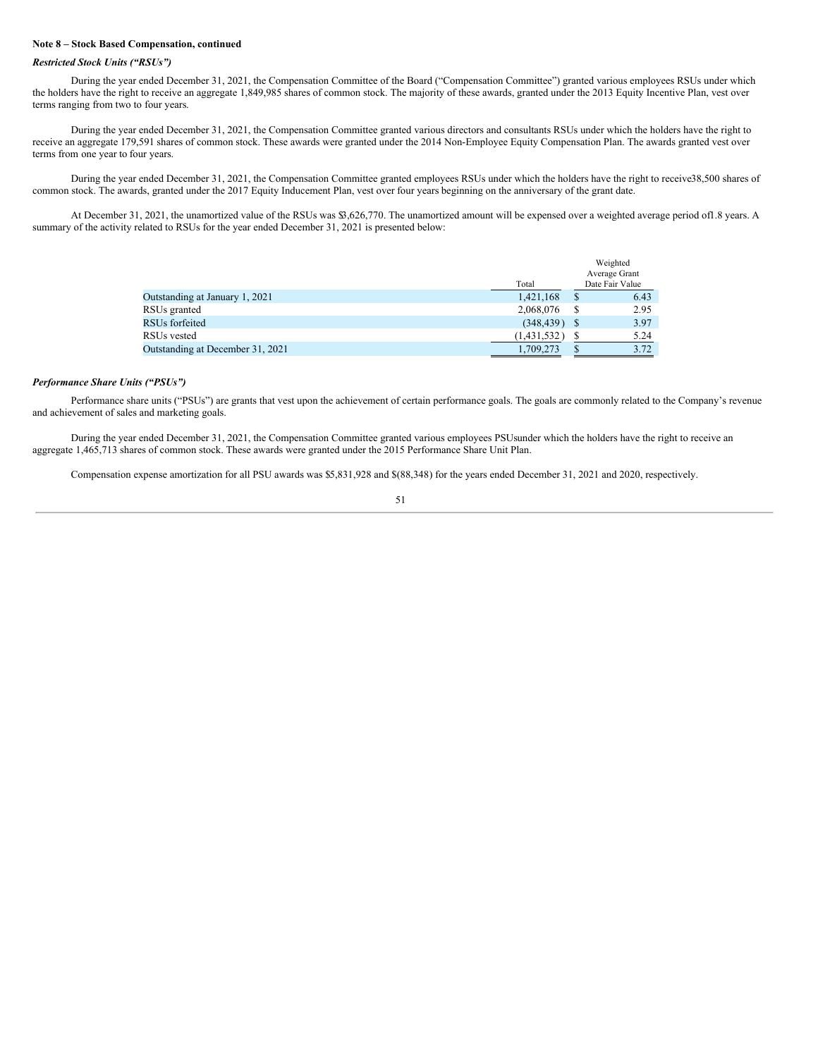#### *Restricted Stock Units ("RSUs")*

During the year ended December 31, 2021, the Compensation Committee of the Board ("Compensation Committee") granted various employees RSUs under which the holders have the right to receive an aggregate 1,849,985 shares of common stock. The majority of these awards, granted under the 2013 Equity Incentive Plan, vest over terms ranging from two to four years.

During the year ended December 31, 2021, the Compensation Committee granted various directors and consultants RSUs under which the holders have the right to receive an aggregate 179,591 shares of common stock. These awards were granted under the 2014 Non-Employee Equity Compensation Plan. The awards granted vest over terms from one year to four years.

During the year ended December 31, 2021, the Compensation Committee granted employees RSUs under which the holders have the right to receive38,500 shares of common stock. The awards, granted under the 2017 Equity Inducement Plan, vest over four years beginning on the anniversary of the grant date.

At December 31, 2021, the unamortized value of the RSUs was \$3,626,770. The unamortized amount will be expensed over a weighted average period of1.8 years. A summary of the activity related to RSUs for the year ended December 31, 2021 is presented below:

|                                  |               | Weighted        |
|----------------------------------|---------------|-----------------|
|                                  |               | Average Grant   |
|                                  | Total         | Date Fair Value |
| Outstanding at January 1, 2021   | 1,421,168     | 6.43            |
| RSUs granted                     | 2,068,076     | 2.95            |
| RSUs forfeited                   | (348, 439)    | 3.97            |
| RSUs vested                      | (1, 431, 532) | 5.24            |
| Outstanding at December 31, 2021 | 1,709,273     | 3.72            |

#### *Performance Share Units ("PSUs")*

Performance share units ("PSUs") are grants that vest upon the achievement of certain performance goals. The goals are commonly related to the Company's revenue and achievement of sales and marketing goals.

During the year ended December 31, 2021, the Compensation Committee granted various employees PSUsunder which the holders have the right to receive an aggregate 1,465,713 shares of common stock. These awards were granted under the 2015 Performance Share Unit Plan.

Compensation expense amortization for all PSU awards was \$5,831,928 and \$(88,348) for the years ended December 31, 2021 and 2020, respectively.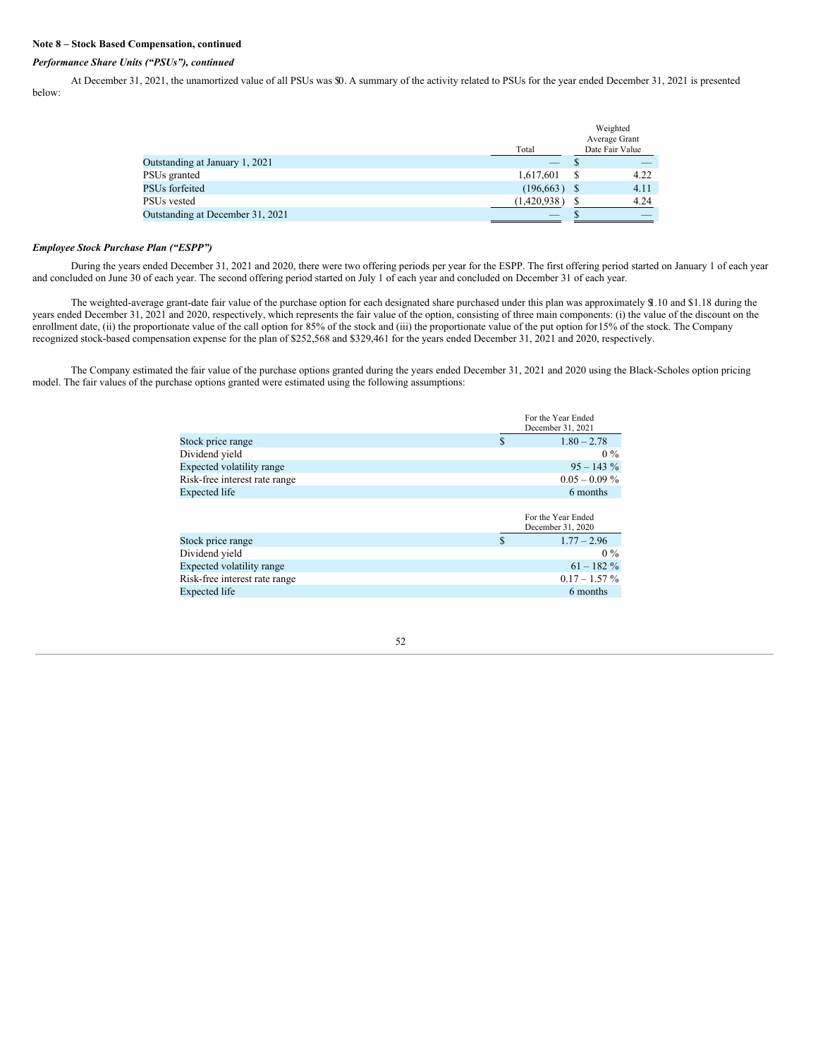#### *Performance Share Units ("PSUs"), continued*

At December 31, 2021, the unamortized value of all PSUs was \$0. A summary of the activity related to PSUs for the year ended December 31, 2021 is presented below:

|                                  |                          | Weighted        |
|----------------------------------|--------------------------|-----------------|
|                                  |                          | Average Grant   |
|                                  | Total                    | Date Fair Value |
| Outstanding at January 1, 2021   | $\overline{\phantom{a}}$ |                 |
| PSU <sub>s</sub> granted         | 1,617,601                | 4.22            |
| <b>PSUs forfeited</b>            | (196, 663)               | 4.11            |
| PSU <sub>s</sub> vested          | (1,420,938)              | 4.24            |
| Outstanding at December 31, 2021 | _                        |                 |

# *Employee Stock Purchase Plan ("ESPP")*

During the years ended December 31, 2021 and 2020, there were two offering periods per year for the ESPP. The first offering period started on January 1 of each year and concluded on June 30 of each year. The second offering period started on July 1 of each year and concluded on December 31 of each year.

The weighted-average grant-date fair value of the purchase option for each designated share purchased under this plan was approximately \$1.10 and \$1.18 during the years ended December 31, 2021 and 2020, respectively, which represents the fair value of the option, consisting of three main components: (i) the value of the discount on the enrollment date, (ii) the proportionate value of the call option for 85% of the stock and (iii) the proportionate value of the put option for 15% of the stock. The Company recognized stock-based compensation expense for the plan of \$252,568 and \$329,461 for the years ended December 31, 2021 and 2020, respectively.

The Company estimated the fair value of the purchase options granted during the years ended December 31, 2021 and 2020 using the Black-Scholes option pricing model. The fair values of the purchase options granted were estimated using the following assumptions:

|                               | For the Year Ended  |
|-------------------------------|---------------------|
|                               | December 31, 2021   |
| Stock price range             | \$<br>$1.80 - 2.78$ |
| Dividend yield                | $0\%$               |
| Expected volatility range     | $95 - 143\%$        |
| Risk-free interest rate range | $0.05 - 0.09 \%$    |
| <b>Expected</b> life          | 6 months            |
|                               |                     |
|                               | For the Year Ended  |
|                               | December 31, 2020   |
| Stock price range             | \$<br>$1.77 - 2.96$ |
| Dividend yield                | $0\%$               |
| Expected volatility range     | $61 - 182\%$        |
| Risk-free interest rate range | $0.17 - 1.57 \%$    |
| <b>Expected life</b>          | 6 months            |

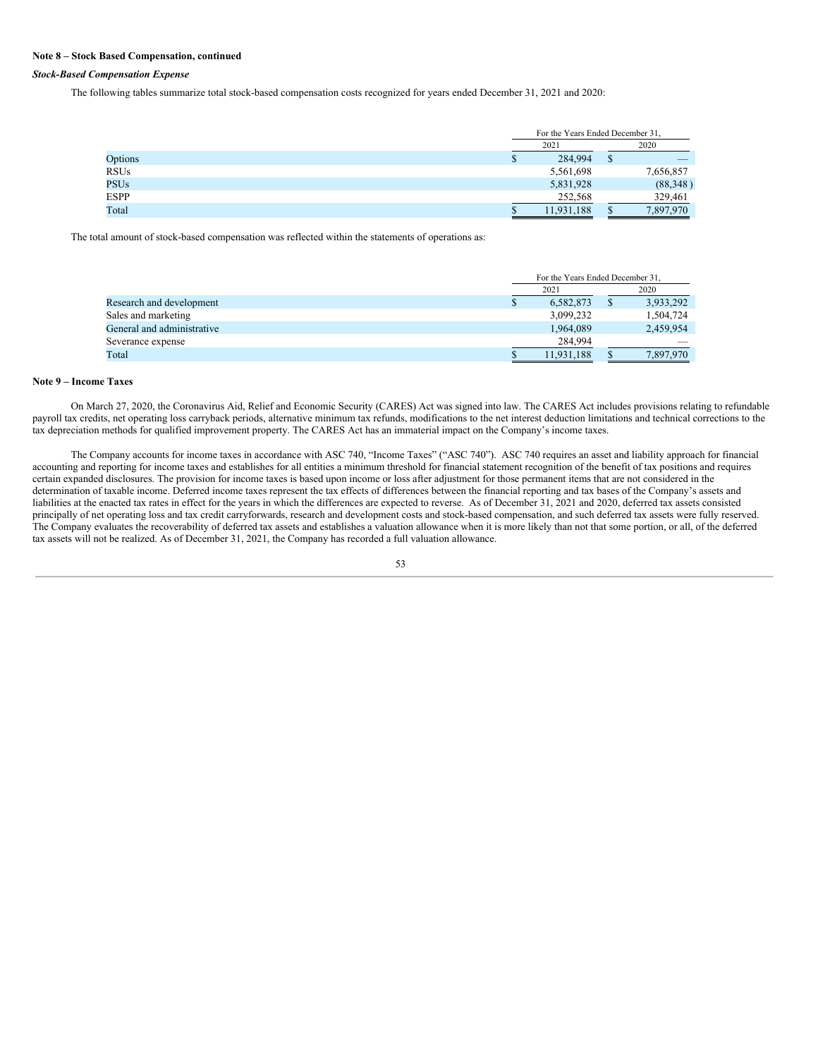# *Stock-Based Compensation Expense*

The following tables summarize total stock-based compensation costs recognized for years ended December 31, 2021 and 2020:

|             |   | For the Years Ended December 31, |      |           |  |
|-------------|---|----------------------------------|------|-----------|--|
|             |   | 2021                             | 2020 |           |  |
| Options     | P | 284,994                          | Φ    |           |  |
| <b>RSUs</b> |   | 5,561,698                        |      | 7,656,857 |  |
| <b>PSUs</b> |   | 5,831,928                        |      | (88,348)  |  |
| ESPP        |   | 252,568                          |      | 329,461   |  |
| Total       |   | 11,931,188                       |      | 7,897,970 |  |

The total amount of stock-based compensation was reflected within the statements of operations as:

|                            | For the Years Ended December 31. |            |   |           |  |
|----------------------------|----------------------------------|------------|---|-----------|--|
|                            | 2021                             |            |   | 2020      |  |
| Research and development   | S                                | 6,582,873  | S | 3,933,292 |  |
| Sales and marketing        |                                  | 3,099,232  |   | 1,504,724 |  |
| General and administrative |                                  | 1,964,089  |   | 2,459,954 |  |
| Severance expense          |                                  | 284.994    |   |           |  |
| Total                      |                                  | 11,931,188 |   | 7,897,970 |  |

# **Note 9 – Income Taxes**

On March 27, 2020, the Coronavirus Aid, Relief and Economic Security (CARES) Act was signed into law. The CARES Act includes provisions relating to refundable payroll tax credits, net operating loss carryback periods, alternative minimum tax refunds, modifications to the net interest deduction limitations and technical corrections to the tax depreciation methods for qualified improvement property. The CARES Act has an immaterial impact on the Company's income taxes.

The Company accounts for income taxes in accordance with ASC 740, "Income Taxes" ("ASC 740"). ASC 740 requires an asset and liability approach for financial accounting and reporting for income taxes and establishes for all entities a minimum threshold for financial statement recognition of the benefit of tax positions and requires certain expanded disclosures. The provision for income taxes is based upon income or loss after adjustment for those permanent items that are not considered in the determination of taxable income. Deferred income taxes represent the tax effects of differences between the financial reporting and tax bases of the Company's assets and liabilities at the enacted tax rates in effect for the years in which the differences are expected to reverse. As of December 31, 2021 and 2020, deferred tax assets consisted principally of net operating loss and tax credit carryforwards, research and development costs and stock-based compensation, and such deferred tax assets were fully reserved. The Company evaluates the recoverability of deferred tax assets and establishes a valuation allowance when it is more likely than not that some portion, or all, of the deferred tax assets will not be realized. As of December 31, 2021, the Company has recorded a full valuation allowance.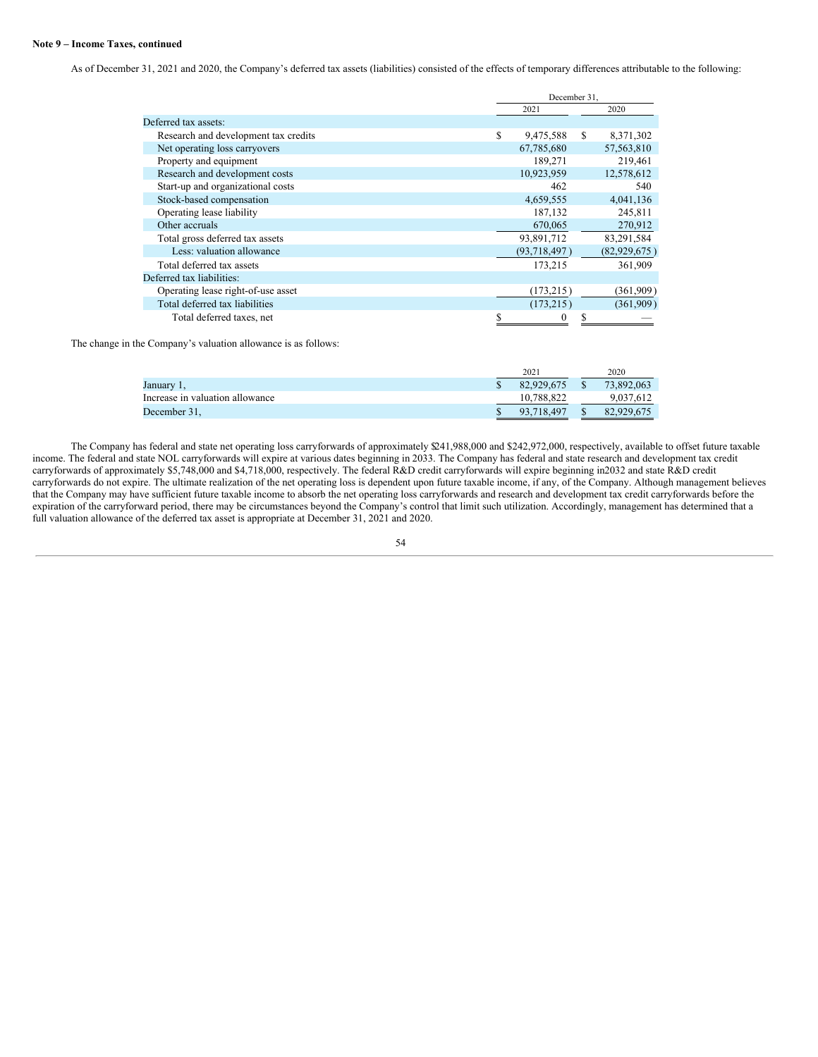## **Note 9 – Income Taxes, continued**

As of December 31, 2021 and 2020, the Company's deferred tax assets (liabilities) consisted of the effects of temporary differences attributable to the following:

|                                      | December 31, |                |               |              |
|--------------------------------------|--------------|----------------|---------------|--------------|
|                                      | 2021         |                |               | 2020         |
| Deferred tax assets:                 |              |                |               |              |
| Research and development tax credits | S            | 9,475,588      | <sup>\$</sup> | 8,371,302    |
| Net operating loss carryovers        |              | 67,785,680     |               | 57, 563, 810 |
| Property and equipment               |              | 189,271        |               | 219,461      |
| Research and development costs       |              | 10,923,959     |               | 12,578,612   |
| Start-up and organizational costs    |              | 462            |               | 540          |
| Stock-based compensation             |              | 4,659,555      |               | 4,041,136    |
| Operating lease liability            |              | 187,132        |               | 245,811      |
| Other accruals                       |              | 670,065        |               | 270,912      |
| Total gross deferred tax assets      |              | 93,891,712     |               | 83,291,584   |
| Less: valuation allowance            |              | (93, 718, 497) |               | (82,929,675) |
| Total deferred tax assets            |              | 173,215        |               | 361,909      |
| Deferred tax liabilities:            |              |                |               |              |
| Operating lease right-of-use asset   |              | (173, 215)     |               | (361,909)    |
| Total deferred tax liabilities       |              | (173, 215)     |               | (361,909)    |
| Total deferred taxes, net            | S            | 0              | S             |              |

The change in the Company's valuation allowance is as follows:

|                                 | 2021       |  | 2020       |
|---------------------------------|------------|--|------------|
| January 1,                      | 82,929,675 |  | 73,892,063 |
| Increase in valuation allowance | 10.788.822 |  | 9,037,612  |
| December 31.                    | 93.718.497 |  | 82,929,675 |

The Company has federal and state net operating loss carryforwards of approximately \$241,988,000 and \$242,972,000, respectively, available to offset future taxable income. The federal and state NOL carryforwards will expire at various dates beginning in 2033. The Company has federal and state research and development tax credit carryforwards of approximately \$5,748,000 and \$4,718,000, respectively. The federal R&D credit carryforwards will expire beginning in2032 and state R&D credit carryforwards do not expire. The ultimate realization of the net operating loss is dependent upon future taxable income, if any, of the Company. Although management believes that the Company may have sufficient future taxable income to absorb the net operating loss carryforwards and research and development tax credit carryforwards before the expiration of the carryforward period, there may be circumstances beyond the Company's control that limit such utilization. Accordingly, management has determined that a full valuation allowance of the deferred tax asset is appropriate at December 31, 2021 and 2020.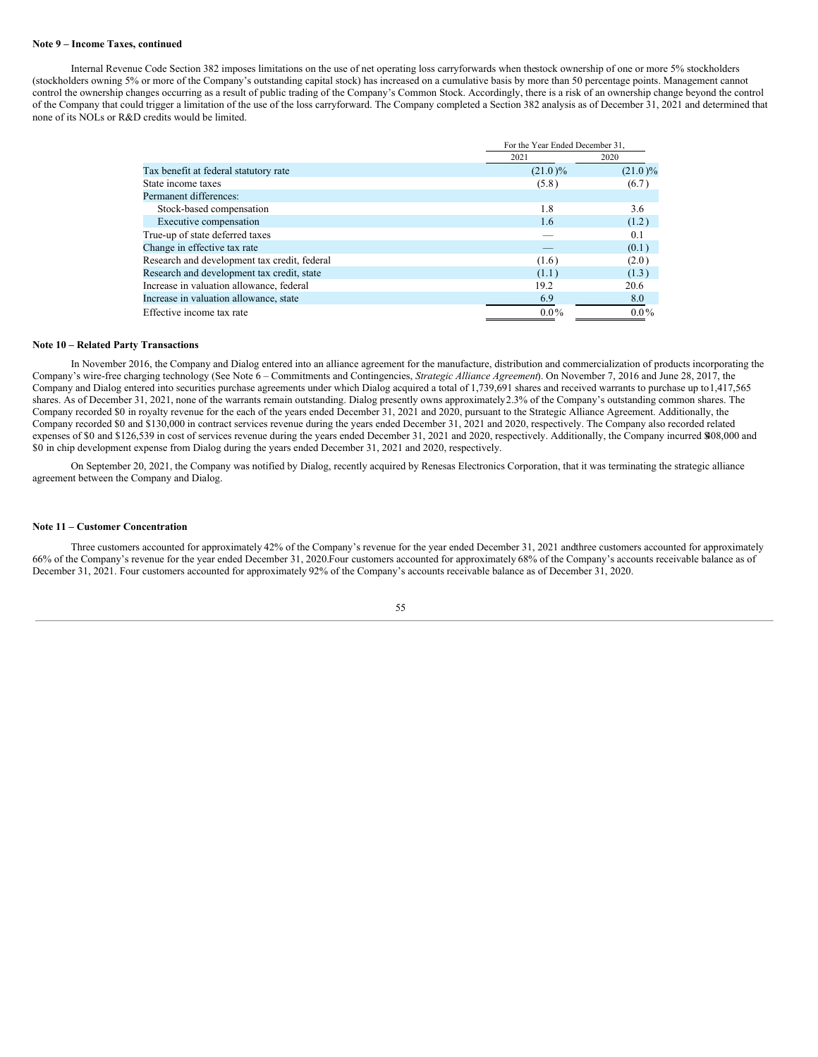#### **Note 9 – Income Taxes, continued**

Internal Revenue Code Section 382 imposes limitations on the use of net operating loss carryforwards when thestock ownership of one or more 5% stockholders (stockholders owning 5% or more of the Company's outstanding capital stock) has increased on a cumulative basis by more than 50 percentage points. Management cannot control the ownership changes occurring as a result of public trading of the Company's Common Stock. Accordingly, there is a risk of an ownership change beyond the control of the Company that could trigger a limitation of the use of the loss carryforward. The Company completed a Section 382 analysis as of December 31, 2021 and determined that none of its NOLs or R&D credits would be limited.

|                                              | For the Year Ended December 31, |            |
|----------------------------------------------|---------------------------------|------------|
|                                              | 2021                            | 2020       |
| Tax benefit at federal statutory rate        | $(21.0)\%$                      | $(21.0)\%$ |
| State income taxes                           | (5.8)                           | (6.7)      |
| Permanent differences:                       |                                 |            |
| Stock-based compensation                     | 1.8                             | 3.6        |
| Executive compensation                       | 1.6                             | (1.2)      |
| True-up of state deferred taxes              |                                 | 0.1        |
| Change in effective tax rate                 |                                 | (0.1)      |
| Research and development tax credit, federal | (1.6)                           | (2.0)      |
| Research and development tax credit, state   | (1.1)                           | (1.3)      |
| Increase in valuation allowance, federal     | 19.2                            | 20.6       |
| Increase in valuation allowance, state       | 6.9                             | 8.0        |
| Effective income tax rate                    | $0.0\%$                         | $0.0\%$    |

#### **Note 10 – Related Party Transactions**

In November 2016, the Company and Dialog entered into an alliance agreement for the manufacture, distribution and commercialization of products incorporating the Company's wire-free charging technology (See Note 6 – Commitments and Contingencies, *Strategic Alliance Agreement*). On November 7, 2016 and June 28, 2017, the Company and Dialog entered into securities purchase agreements under which Dialog acquired a total of 1,739,691 shares and received warrants to purchase up to1,417,565 shares. As of December 31, 2021, none of the warrants remain outstanding. Dialog presently owns approximately2.3% of the Company's outstanding common shares. The Company recorded \$0 in royalty revenue for the each of the years ended December 31, 2021 and 2020, pursuant to the Strategic Alliance Agreement. Additionally, the Company recorded \$0 and \$130,000 in contract services revenue during the years ended December 31, 2021 and 2020, respectively. The Company also recorded related expenses of \$0 and \$126,539 in cost of services revenue during the years ended December 31, 2021 and 2020, respectively. Additionally, the Company incurred \$408,000 and \$0 in chip development expense from Dialog during the years ended December 31, 2021 and 2020, respectively.

On September 20, 2021, the Company was notified by Dialog, recently acquired by Renesas Electronics Corporation, that it was terminating the strategic alliance agreement between the Company and Dialog.

#### **Note 11 – Customer Concentration**

Three customers accounted for approximately 42% of the Company's revenue for the year ended December 31, 2021 andthree customers accounted for approximately 66% of the Company's revenue for the year ended December 31, 2020.Four customers accounted for approximately 68% of the Company's accounts receivable balance as of December 31, 2021. Four customers accounted for approximately 92% of the Company's accounts receivable balance as of December 31, 2020.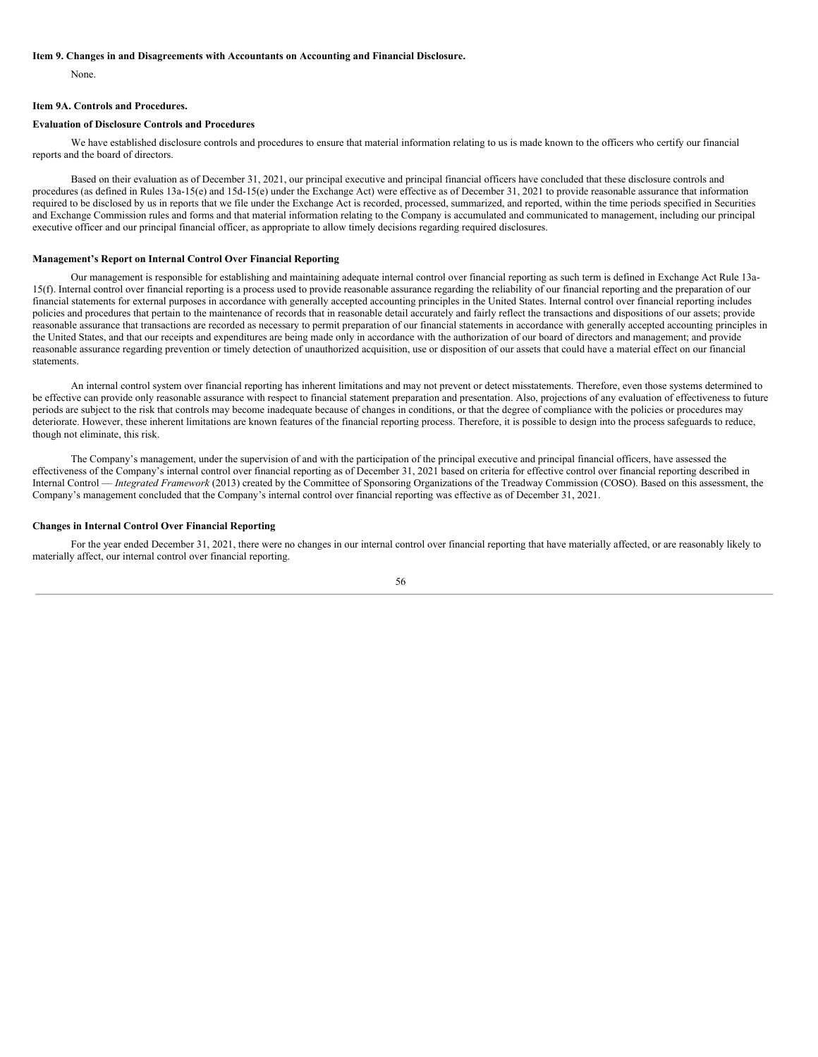## <span id="page-57-0"></span>**Item 9. Changes in and Disagreements with Accountants on Accounting and Financial Disclosure.**

None.

#### <span id="page-57-1"></span>**Item 9A. Controls and Procedures.**

## **Evaluation of Disclosure Controls and Procedures**

We have established disclosure controls and procedures to ensure that material information relating to us is made known to the officers who certify our financial reports and the board of directors.

Based on their evaluation as of December 31, 2021, our principal executive and principal financial officers have concluded that these disclosure controls and procedures (as defined in Rules 13a-15(e) and 15d-15(e) under the Exchange Act) were effective as of December 31, 2021 to provide reasonable assurance that information required to be disclosed by us in reports that we file under the Exchange Act is recorded, processed, summarized, and reported, within the time periods specified in Securities and Exchange Commission rules and forms and that material information relating to the Company is accumulated and communicated to management, including our principal executive officer and our principal financial officer, as appropriate to allow timely decisions regarding required disclosures.

#### **Management's Report on Internal Control Over Financial Reporting**

Our management is responsible for establishing and maintaining adequate internal control over financial reporting as such term is defined in Exchange Act Rule 13a-15(f). Internal control over financial reporting is a process used to provide reasonable assurance regarding the reliability of our financial reporting and the preparation of our financial statements for external purposes in accordance with generally accepted accounting principles in the United States. Internal control over financial reporting includes policies and procedures that pertain to the maintenance of records that in reasonable detail accurately and fairly reflect the transactions and dispositions of our assets; provide reasonable assurance that transactions are recorded as necessary to permit preparation of our financial statements in accordance with generally accepted accounting principles in the United States, and that our receipts and expenditures are being made only in accordance with the authorization of our board of directors and management; and provide reasonable assurance regarding prevention or timely detection of unauthorized acquisition, use or disposition of our assets that could have a material effect on our financial statements.

An internal control system over financial reporting has inherent limitations and may not prevent or detect misstatements. Therefore, even those systems determined to be effective can provide only reasonable assurance with respect to financial statement preparation and presentation. Also, projections of any evaluation of effectiveness to future periods are subject to the risk that controls may become inadequate because of changes in conditions, or that the degree of compliance with the policies or procedures may deteriorate. However, these inherent limitations are known features of the financial reporting process. Therefore, it is possible to design into the process safeguards to reduce, though not eliminate, this risk.

The Company's management, under the supervision of and with the participation of the principal executive and principal financial officers, have assessed the effectiveness of the Company's internal control over financial reporting as of December 31, 2021 based on criteria for effective control over financial reporting described in Internal Control — *Integrated Framework* (2013) created by the Committee of Sponsoring Organizations of the Treadway Commission (COSO). Based on this assessment, the Company's management concluded that the Company's internal control over financial reporting was effective as of December 31, 2021.

## **Changes in Internal Control Over Financial Reporting**

For the year ended December 31, 2021, there were no changes in our internal control over financial reporting that have materially affected, or are reasonably likely to materially affect, our internal control over financial reporting.

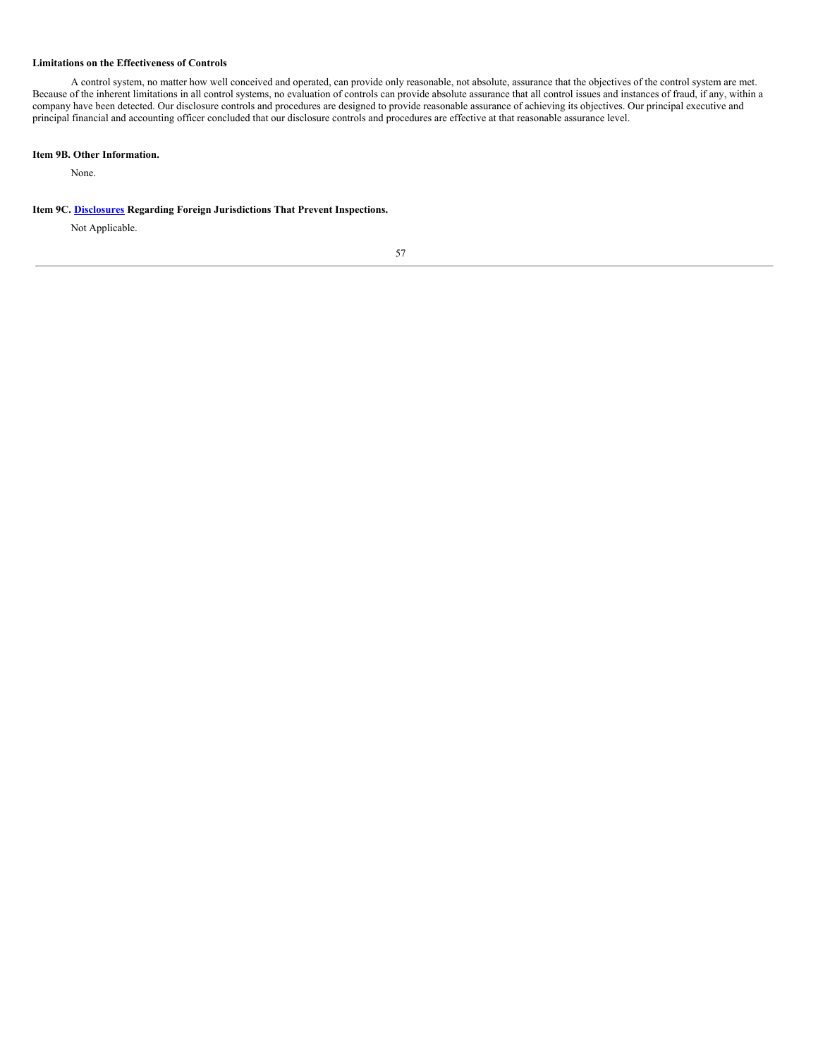## **Limitations on the Effectiveness of Controls**

A control system, no matter how well conceived and operated, can provide only reasonable, not absolute, assurance that the objectives of the control system are met. Because of the inherent limitations in all control systems, no evaluation of controls can provide absolute assurance that all control issues and instances of fraud, if any, within a company have been detected. Our disclosure controls and procedures are designed to provide reasonable assurance of achieving its objectives. Our principal executive and principal financial and accounting officer concluded that our disclosure controls and procedures are effective at that reasonable assurance level.

# <span id="page-58-0"></span>**Item 9B. Other Information.**

None.

# **Item 9C. [Disclosures](https://www.sec.gov/ix?doc=/Archives/edgar/data/1679363/000167936322000010/morf-20211231.htm#if9328197b99e46ad968879cffa507d0b_1514) Regarding Foreign Jurisdictions That Prevent Inspections.**

Not Applicable.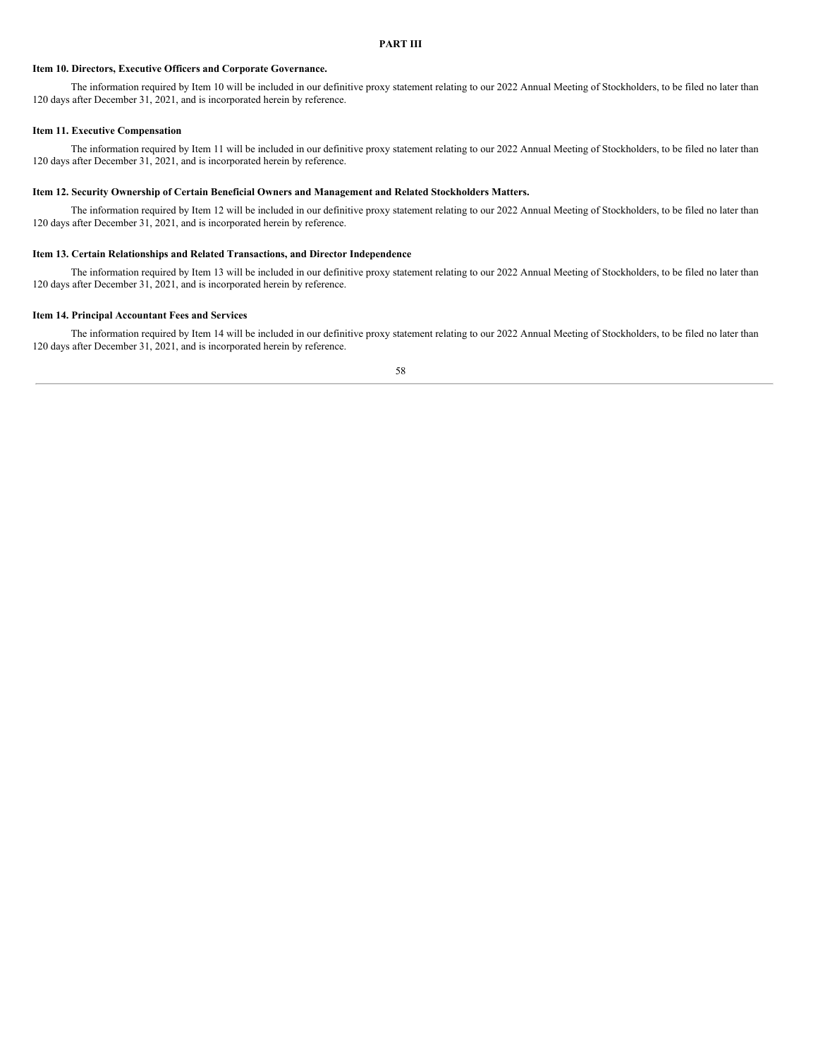#### **PART III**

## <span id="page-59-1"></span><span id="page-59-0"></span>**Item 10. Directors, Executive Officers and Corporate Governance.**

The information required by Item 10 will be included in our definitive proxy statement relating to our 2022 Annual Meeting of Stockholders, to be filed no later than 120 days after December 31, 2021, and is incorporated herein by reference.

# <span id="page-59-2"></span>**Item 11. Executive Compensation**

The information required by Item 11 will be included in our definitive proxy statement relating to our 2022 Annual Meeting of Stockholders, to be filed no later than 120 days after December 31, 2021, and is incorporated herein by reference.

#### <span id="page-59-3"></span>**Item 12. Security Ownership of Certain Beneficial Owners and Management and Related Stockholders Matters.**

The information required by Item 12 will be included in our definitive proxy statement relating to our 2022 Annual Meeting of Stockholders, to be filed no later than 120 days after December 31, 2021, and is incorporated herein by reference.

## <span id="page-59-4"></span>**Item 13. Certain Relationships and Related Transactions, and Director Independence**

The information required by Item 13 will be included in our definitive proxy statement relating to our 2022 Annual Meeting of Stockholders, to be filed no later than 120 days after December 31, 2021, and is incorporated herein by reference.

#### <span id="page-59-5"></span>**Item 14. Principal Accountant Fees and Services**

The information required by Item 14 will be included in our definitive proxy statement relating to our 2022 Annual Meeting of Stockholders, to be filed no later than 120 days after December 31, 2021, and is incorporated herein by reference.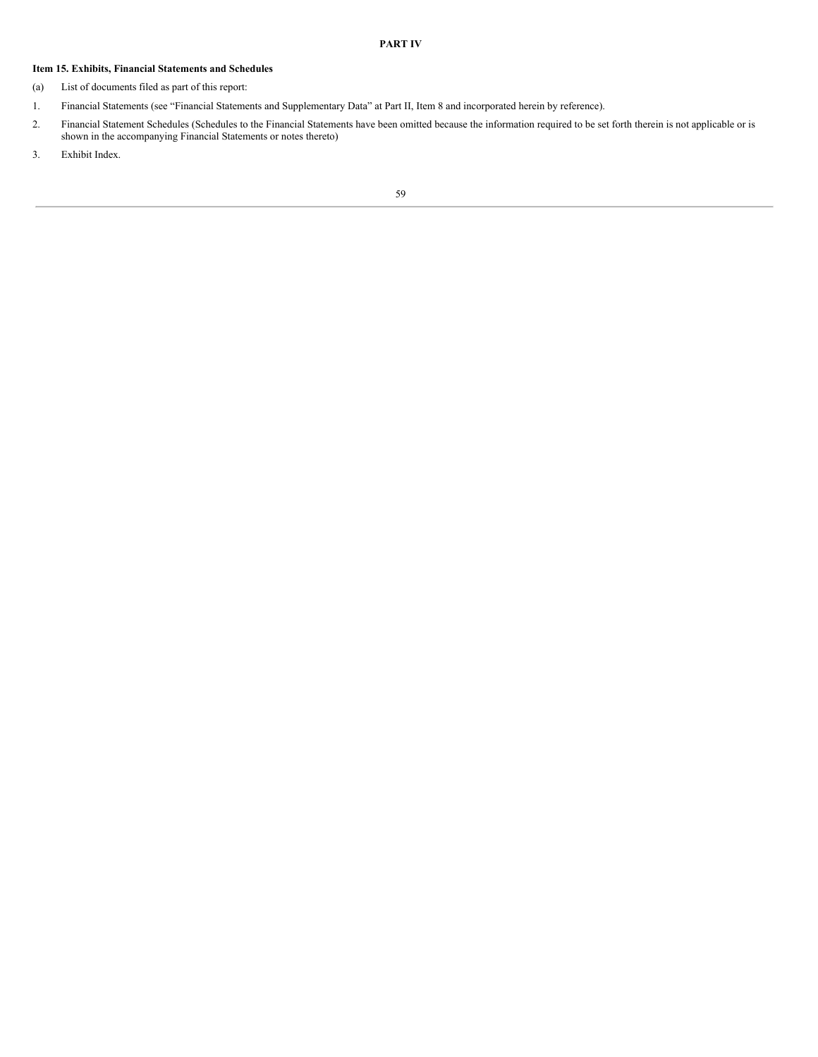# **PART IV**

# <span id="page-60-1"></span><span id="page-60-0"></span>**Item 15. Exhibits, Financial Statements and Schedules**

- (a) List of documents filed as part of this report:
- 1. Financial Statements (see "Financial Statements and Supplementary Data" at Part II, Item 8 and incorporated herein by reference).
- 2. Financial Statement Schedules (Schedules to the Financial Statements have been omitted because the information required to be set forth therein is not applicable or is shown in the accompanying Financial Statements or notes thereto)
- 3. Exhibit Index.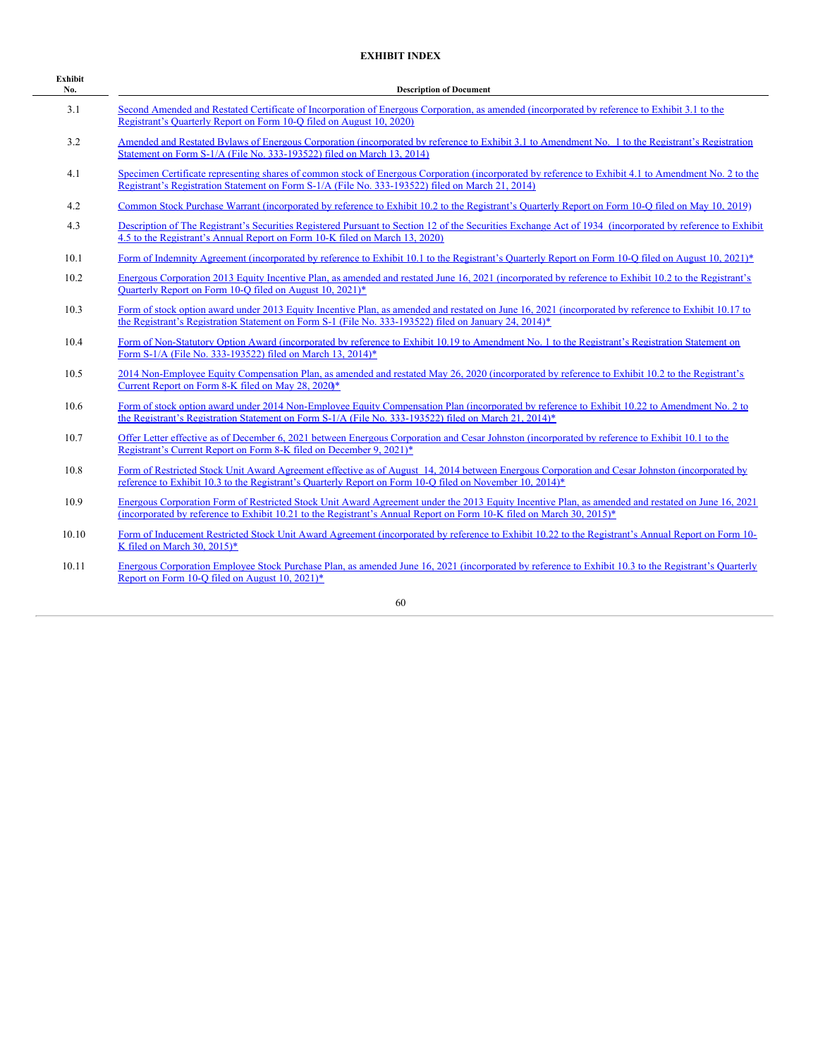# **EXHIBIT INDEX**

| <b>Exhibit</b><br>No. | <b>Description of Document</b>                                                                                                                                                                                                                                            |
|-----------------------|---------------------------------------------------------------------------------------------------------------------------------------------------------------------------------------------------------------------------------------------------------------------------|
| 3.1                   | Second Amended and Restated Certificate of Incorporation of Energous Corporation, as amended (incorporated by reference to Exhibit 3.1 to the<br>Registrant's Quarterly Report on Form 10-Q filed on August 10, 2020)                                                     |
| 3.2                   | Amended and Restated Bylaws of Energous Corporation (incorporated by reference to Exhibit 3.1 to Amendment No. 1 to the Registrant's Registration<br>Statement on Form S-1/A (File No. 333-193522) filed on March 13, 2014)                                               |
| 4.1                   | Specimen Certificate representing shares of common stock of Energous Corporation (incorporated by reference to Exhibit 4.1 to Amendment No. 2 to the<br>Registrant's Registration Statement on Form S-1/A (File No. 333-193522) filed on March 21, 2014)                  |
| 4.2                   | Common Stock Purchase Warrant (incorporated by reference to Exhibit 10.2 to the Registrant's Quarterly Report on Form 10-O filed on May 10, 2019)                                                                                                                         |
| 4.3                   | Description of The Registrant's Securities Registered Pursuant to Section 12 of the Securities Exchange Act of 1934 (incorporated by reference to Exhibit<br>4.5 to the Registrant's Annual Report on Form 10-K filed on March 13, 2020)                                  |
| 10.1                  | Form of Indemnity Agreement (incorporated by reference to Exhibit 10.1 to the Registrant's Quarterly Report on Form 10-O filed on August 10, 2021)*                                                                                                                       |
| 10.2                  | Energous Corporation 2013 Equity Incentive Plan, as amended and restated June 16, 2021 (incorporated by reference to Exhibit 10.2 to the Registrant's<br>Ouarterly Report on Form 10-O filed on August 10, 2021)*                                                         |
| 10.3                  | Form of stock option award under 2013 Equity Incentive Plan, as amended and restated on June 16, 2021 (incorporated by reference to Exhibit 10.17 to<br>the Registrant's Registration Statement on Form S-1 (File No. 333-193522) filed on January 24, 2014)*             |
| 10.4                  | Form of Non-Statutory Option Award (incorporated by reference to Exhibit 10.19 to Amendment No. 1 to the Registrant's Registration Statement on<br>Form S-1/A (File No. 333-193522) filed on March 13, 2014)*                                                             |
| 10.5                  | 2014 Non-Employee Equity Compensation Plan, as amended and restated May 26, 2020 (incorporated by reference to Exhibit 10.2 to the Registrant's<br>Current Report on Form 8-K filed on May 28, 2020 <sup>*</sup>                                                          |
| 10.6                  | Form of stock option award under 2014 Non-Employee Equity Compensation Plan (incorporated by reference to Exhibit 10.22 to Amendment No. 2 to<br>the Registrant's Registration Statement on Form S-1/A (File No. 333-193522) filed on March 21, 2014)*                    |
| 10.7                  | Offer Letter effective as of December 6, 2021 between Energous Corporation and Cesar Johnston (incorporated by reference to Exhibit 10.1 to the<br>Registrant's Current Report on Form 8-K filed on December 9, 2021)*                                                    |
| 10.8                  | Form of Restricted Stock Unit Award Agreement effective as of August 14, 2014 between Energous Corporation and Cesar Johnston (incorporated by<br>reference to Exhibit 10.3 to the Registrant's Quarterly Report on Form 10-O filed on November 10, 2014)*                |
| 10.9                  | Energous Corporation Form of Restricted Stock Unit Award Agreement under the 2013 Equity Incentive Plan, as amended and restated on June 16, 2021<br>(incorporated by reference to Exhibit 10.21 to the Registrant's Annual Report on Form 10-K filed on March 30, 2015)* |
| 10.10                 | Form of Inducement Restricted Stock Unit Award Agreement (incorporated by reference to Exhibit 10.22 to the Registrant's Annual Report on Form 10-<br>K filed on March 30, $2015$ <sup>*</sup>                                                                            |
| 10.11                 | Energous Corporation Employee Stock Purchase Plan, as amended June 16, 2021 (incorporated by reference to Exhibit 10.3 to the Registrant's Quarterly<br>Report on Form 10-Q filed on August 10, 2021)*                                                                    |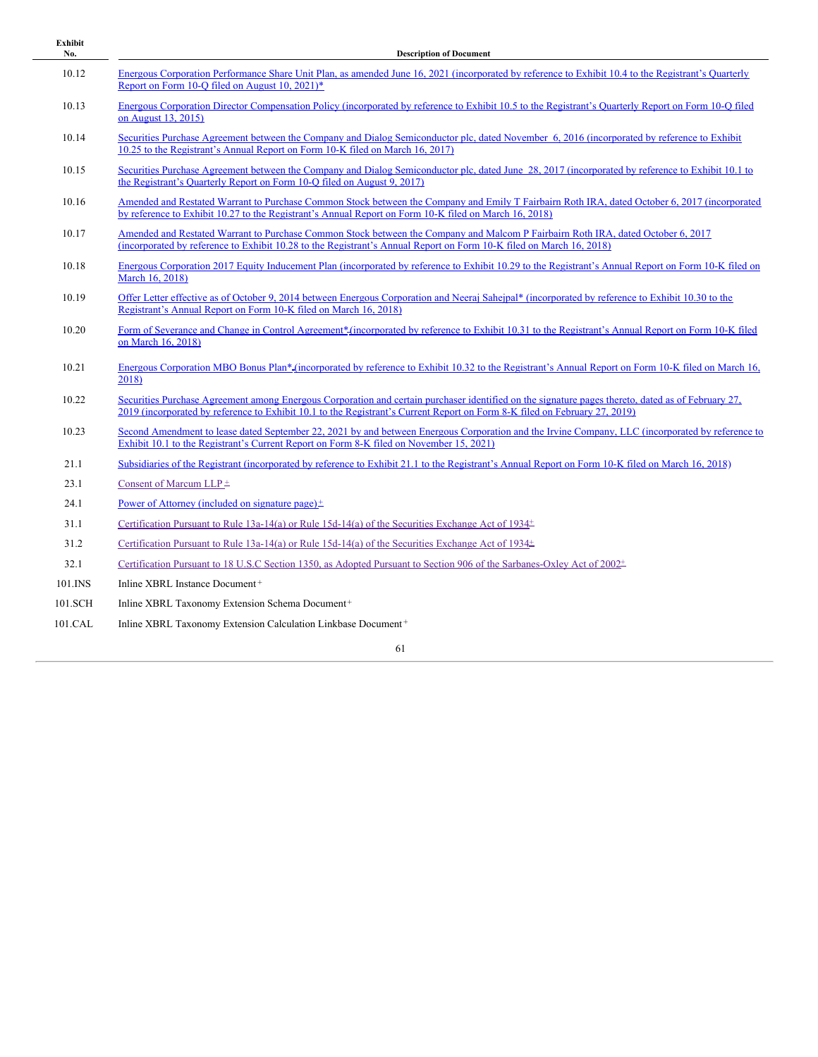| <b>Exhibit</b><br>No. | <b>Description of Document</b>                                                                                                                                                                                                                                                   |
|-----------------------|----------------------------------------------------------------------------------------------------------------------------------------------------------------------------------------------------------------------------------------------------------------------------------|
| 10.12                 | Energous Corporation Performance Share Unit Plan, as amended June 16, 2021 (incorporated by reference to Exhibit 10.4 to the Registrant's Quarterly<br>Report on Form 10-Q filed on August 10, 2021)*                                                                            |
| 10.13                 | Energous Corporation Director Compensation Policy (incorporated by reference to Exhibit 10.5 to the Registrant's Quarterly Report on Form 10-Q filed<br>on August 13, 2015)                                                                                                      |
| 10.14                 | Securities Purchase Agreement between the Company and Dialog Semiconductor plc, dated November 6, 2016 (incorporated by reference to Exhibit<br>10.25 to the Registrant's Annual Report on Form 10-K filed on March 16, 2017)                                                    |
| 10.15                 | Securities Purchase Agreement between the Company and Dialog Semiconductor plc, dated June 28, 2017 (incorporated by reference to Exhibit 10.1 to<br>the Registrant's Ouarterly Report on Form 10-O filed on August 9, 2017)                                                     |
| 10.16                 | Amended and Restated Warrant to Purchase Common Stock between the Company and Emily T Fairbairn Roth IRA, dated October 6, 2017 (incorporated<br>by reference to Exhibit 10.27 to the Registrant's Annual Report on Form 10-K filed on March 16, 2018)                           |
| 10.17                 | Amended and Restated Warrant to Purchase Common Stock between the Company and Malcom P Fairbairn Roth IRA, dated October 6, 2017<br>(incorporated by reference to Exhibit 10.28 to the Registrant's Annual Report on Form 10-K filed on March 16, 2018)                          |
| 10.18                 | Energous Corporation 2017 Equity Inducement Plan (incorporated by reference to Exhibit 10.29 to the Registrant's Annual Report on Form 10-K filed on<br>March 16, 2018)                                                                                                          |
| 10.19                 | Offer Letter effective as of October 9, 2014 between Energous Corporation and Neeraj Sahejpal* (incorporated by reference to Exhibit 10.30 to the<br>Registrant's Annual Report on Form 10-K filed on March 16, 2018)                                                            |
| 10.20                 | Form of Severance and Change in Control Agreement* (incorporated by reference to Exhibit 10.31 to the Registrant's Annual Report on Form 10-K filed<br>on March 16, 2018)                                                                                                        |
| 10.21                 | Energous Corporation MBO Bonus Plan*-(incorporated by reference to Exhibit 10.32 to the Registrant's Annual Report on Form 10-K filed on March 16,<br>2018)                                                                                                                      |
| 10.22                 | Securities Purchase Agreement among Energous Corporation and certain purchaser identified on the signature pages thereto, dated as of February 27,<br>2019 (incorporated by reference to Exhibit 10.1 to the Registrant's Current Report on Form 8-K filed on February 27, 2019) |
| 10.23                 | Second Amendment to lease dated September 22, 2021 by and between Energous Corporation and the Irvine Company, LLC (incorporated by reference to<br>Exhibit 10.1 to the Registrant's Current Report on Form 8-K filed on November 15, 2021)                                      |
| 21.1                  | Subsidiaries of the Registrant (incorporated by reference to Exhibit 21.1 to the Registrant's Annual Report on Form 10-K filed on March 16, 2018)                                                                                                                                |
| 23.1                  | Consent of Marcum LLP $\pm$                                                                                                                                                                                                                                                      |
| 24.1                  | Power of Attorney (included on signature page) $\pm$                                                                                                                                                                                                                             |
| 31.1                  | Certification Pursuant to Rule 13a-14(a) or Rule 15d-14(a) of the Securities Exchange Act of 1934 $\pm$                                                                                                                                                                          |
| 31.2                  | Certification Pursuant to Rule 13a-14(a) or Rule 15d-14(a) of the Securities Exchange Act of 1934 <sup><math>\pm</math></sup>                                                                                                                                                    |
| 32.1                  | Certification Pursuant to 18 U.S.C Section 1350, as Adopted Pursuant to Section 906 of the Sarbanes-Oxley Act of 2002±                                                                                                                                                           |
| 101.INS               | Inline XBRL Instance Document <sup>+</sup>                                                                                                                                                                                                                                       |
| 101.SCH               | Inline XBRL Taxonomy Extension Schema Document <sup>+</sup>                                                                                                                                                                                                                      |
| 101.CAL               | Inline XBRL Taxonomy Extension Calculation Linkbase Document <sup>+</sup>                                                                                                                                                                                                        |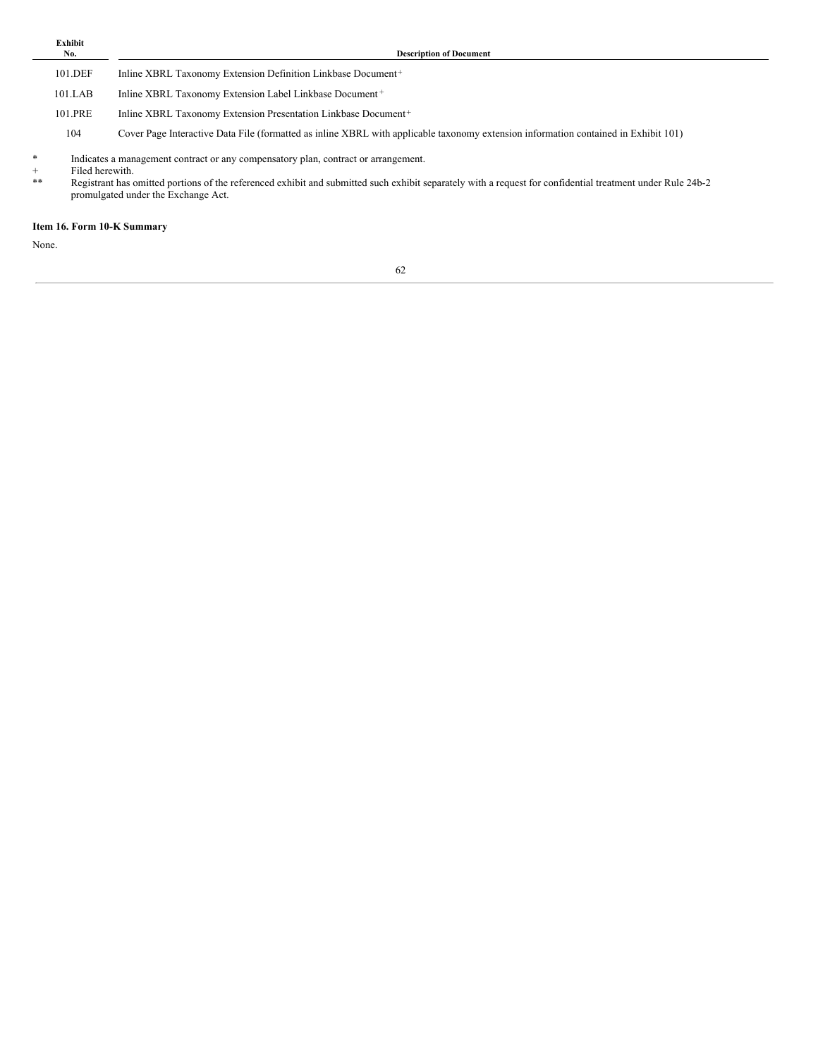| 101.DEF | Inline XBRL Taxonomy Extension Definition Linkbase Document <sup>+</sup>   |
|---------|----------------------------------------------------------------------------|
| 101.LAB | Inline XBRL Taxonomy Extension Label Linkbase Document +                   |
| 101.PRE | Inline XBRL Taxonomy Extension Presentation Linkbase Document <sup>+</sup> |

104 Cover Page Interactive Data File (formatted as inline XBRL with applicable taxonomy extension information contained in Exhibit 101)

\* Indicates a management contract or any compensatory plan, contract or arrangement.<br>  $\begin{array}{r} \n \text{Field herewithsmall\textbf{with}} \\
 * \times \n \end{array}$ Filed herewith.

\*\* Registrant has omitted portions of the referenced exhibit and submitted such exhibit separately with a request for confidential treatment under Rule 24b-2 promulgated under the Exchange Act.

# <span id="page-63-0"></span>**Item 16. Form 10-K Summary**

None.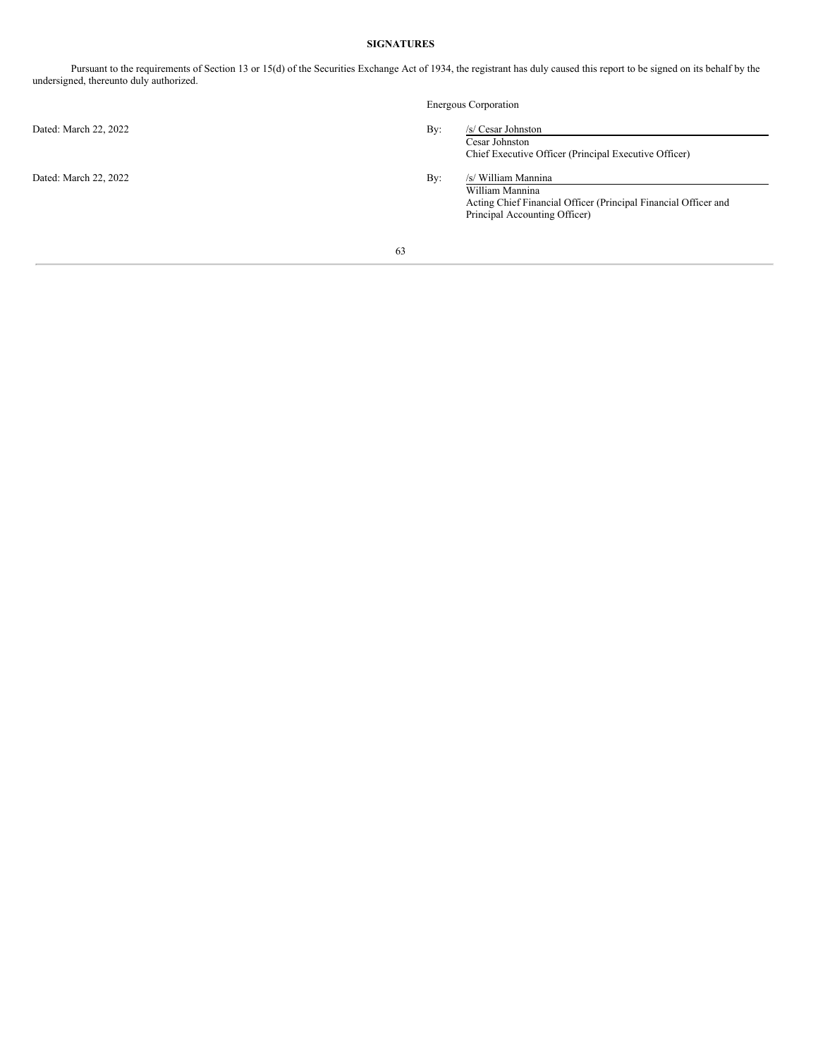# **SIGNATURES**

Pursuant to the requirements of Section 13 or 15(d) of the Securities Exchange Act of 1934, the registrant has duly caused this report to be signed on its behalf by the undersigned, thereunto duly authorized.

Energous Corporation Dated: March 22, 2022 By: /s/ Cesar Johnston Cesar Johnston Chief Executive Officer (Principal Executive Officer) Dated: March 22, 2022 By: /s/ William Mannina William Mannina Acting Chief Financial Officer (Principal Financial Officer and Principal Accounting Officer) 63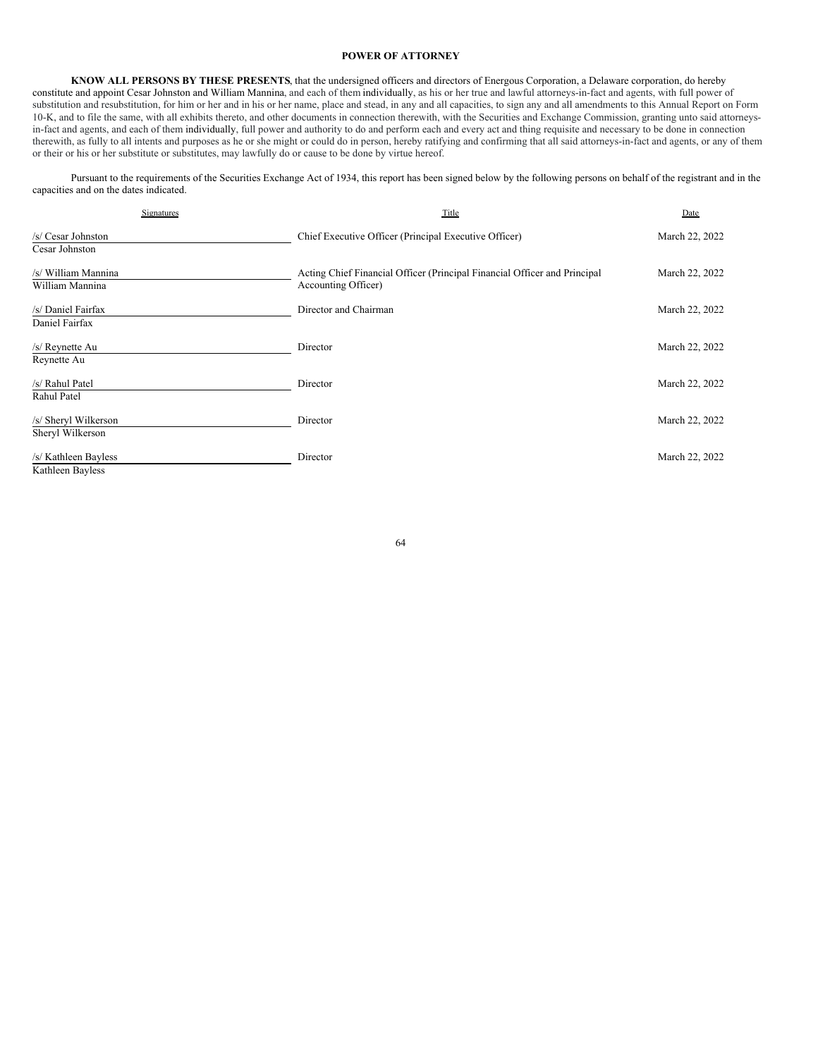### **POWER OF ATTORNEY**

<span id="page-65-0"></span>**KNOW ALL PERSONS BY THESE PRESENTS**, that the undersigned officers and directors of Energous Corporation, a Delaware corporation, do hereby constitute and appoint Cesar Johnston and William Mannina, and each of them individually, as his or her true and lawful attorneys-in-fact and agents, with full power of substitution and resubstitution, for him or her and in his or her name, place and stead, in any and all capacities, to sign any and all amendments to this Annual Report on Form 10-K, and to file the same, with all exhibits thereto, and other documents in connection therewith, with the Securities and Exchange Commission, granting unto said attorneysin-fact and agents, and each of them individually, full power and authority to do and perform each and every act and thing requisite and necessary to be done in connection therewith, as fully to all intents and purposes as he or she might or could do in person, hereby ratifying and confirming that all said attorneys-in-fact and agents, or any of them or their or his or her substitute or substitutes, may lawfully do or cause to be done by virtue hereof.

Pursuant to the requirements of the Securities Exchange Act of 1934, this report has been signed below by the following persons on behalf of the registrant and in the capacities and on the dates indicated.

| Signatures                               | Title                                                                                            | Date           |
|------------------------------------------|--------------------------------------------------------------------------------------------------|----------------|
| /s/ Cesar Johnston<br>Cesar Johnston     | Chief Executive Officer (Principal Executive Officer)                                            | March 22, 2022 |
| /s/ William Mannina<br>William Mannina   | Acting Chief Financial Officer (Principal Financial Officer and Principal<br>Accounting Officer) | March 22, 2022 |
| /s/ Daniel Fairfax<br>Daniel Fairfax     | Director and Chairman                                                                            | March 22, 2022 |
| /s/ Reynette Au<br>Reynette Au           | Director                                                                                         | March 22, 2022 |
| /s/ Rahul Patel<br>Rahul Patel           | Director                                                                                         | March 22, 2022 |
| /s/ Sheryl Wilkerson<br>Sheryl Wilkerson | Director                                                                                         | March 22, 2022 |
| /s/ Kathleen Bayless<br>Kathleen Bayless | Director                                                                                         | March 22, 2022 |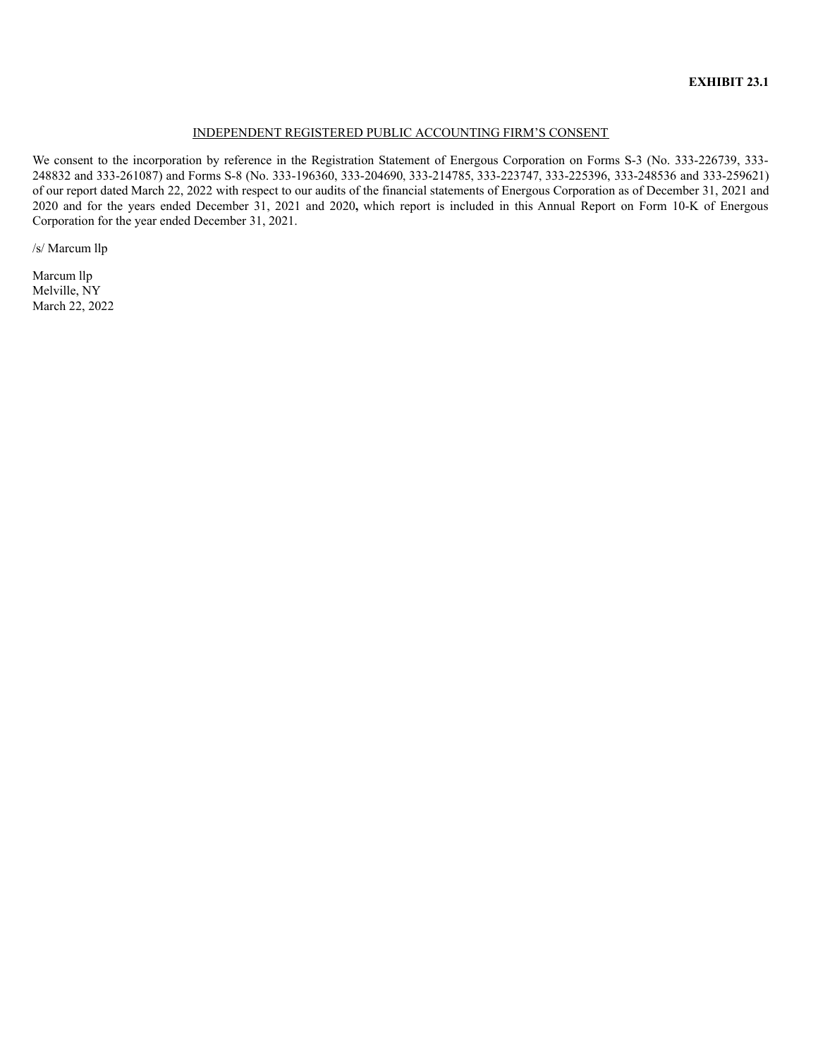# INDEPENDENT REGISTERED PUBLIC ACCOUNTING FIRM'S CONSENT

<span id="page-66-0"></span>We consent to the incorporation by reference in the Registration Statement of Energous Corporation on Forms S-3 (No. 333-226739, 333- 248832 and 333-261087) and Forms S-8 (No. 333-196360, 333-204690, 333-214785, 333-223747, 333-225396, 333-248536 and 333-259621) of our report dated March 22, 2022 with respect to our audits of the financial statements of Energous Corporation as of December 31, 2021 and 2020 and for the years ended December 31, 2021 and 2020**,** which report is included in this Annual Report on Form 10-K of Energous Corporation for the year ended December 31, 2021.

/s/ Marcum llp

Marcum llp Melville, NY March 22, 2022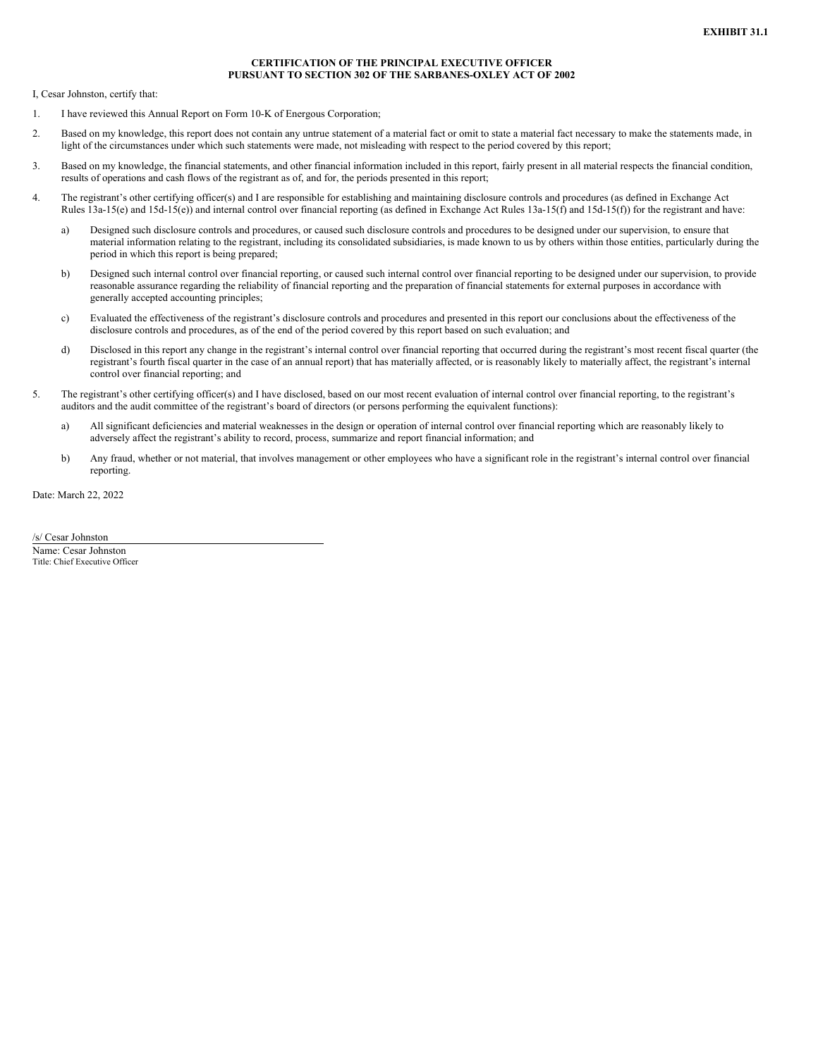## **CERTIFICATION OF THE PRINCIPAL EXECUTIVE OFFICER PURSUANT TO SECTION 302 OF THE SARBANES-OXLEY ACT OF 2002**

<span id="page-67-0"></span>I, Cesar Johnston, certify that:

- 1. I have reviewed this Annual Report on Form 10-K of Energous Corporation;
- 2. Based on my knowledge, this report does not contain any untrue statement of a material fact or omit to state a material fact necessary to make the statements made, in light of the circumstances under which such statements were made, not misleading with respect to the period covered by this report;
- 3. Based on my knowledge, the financial statements, and other financial information included in this report, fairly present in all material respects the financial condition, results of operations and cash flows of the registrant as of, and for, the periods presented in this report;
- 4. The registrant's other certifying officer(s) and I are responsible for establishing and maintaining disclosure controls and procedures (as defined in Exchange Act Rules 13a-15(e) and 15d-15(e)) and internal control over financial reporting (as defined in Exchange Act Rules 13a-15(f) and 15d-15(f)) for the registrant and have:
	- a) Designed such disclosure controls and procedures, or caused such disclosure controls and procedures to be designed under our supervision, to ensure that material information relating to the registrant, including its consolidated subsidiaries, is made known to us by others within those entities, particularly during the period in which this report is being prepared;
	- b) Designed such internal control over financial reporting, or caused such internal control over financial reporting to be designed under our supervision, to provide reasonable assurance regarding the reliability of financial reporting and the preparation of financial statements for external purposes in accordance with generally accepted accounting principles;
	- c) Evaluated the effectiveness of the registrant's disclosure controls and procedures and presented in this report our conclusions about the effectiveness of the disclosure controls and procedures, as of the end of the period covered by this report based on such evaluation; and
	- d) Disclosed in this report any change in the registrant's internal control over financial reporting that occurred during the registrant's most recent fiscal quarter (the registrant's fourth fiscal quarter in the case of an annual report) that has materially affected, or is reasonably likely to materially affect, the registrant's internal control over financial reporting; and
- 5. The registrant's other certifying officer(s) and I have disclosed, based on our most recent evaluation of internal control over financial reporting, to the registrant's auditors and the audit committee of the registrant's board of directors (or persons performing the equivalent functions):
	- a) All significant deficiencies and material weaknesses in the design or operation of internal control over financial reporting which are reasonably likely to adversely affect the registrant's ability to record, process, summarize and report financial information; and
	- b) Any fraud, whether or not material, that involves management or other employees who have a significant role in the registrant's internal control over financial reporting.

Date: March 22, 2022

/s/ Cesar Johnston Name: Cesar Johnston Title: Chief Executive Officer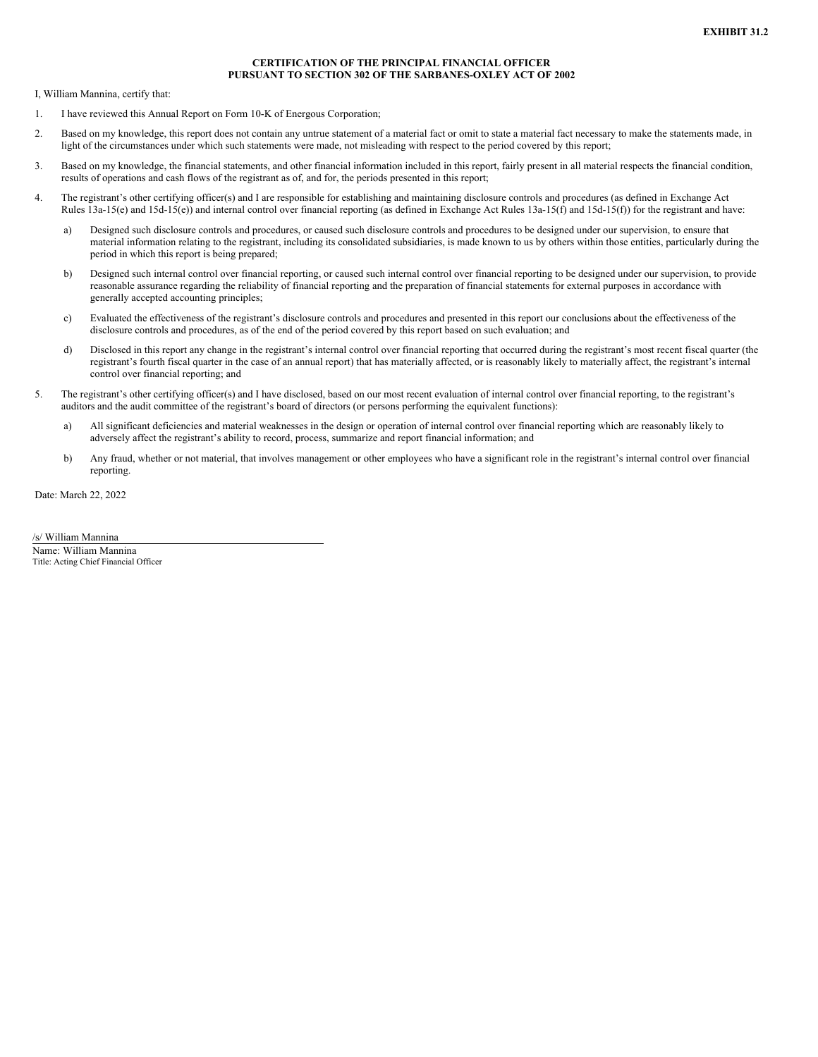## **CERTIFICATION OF THE PRINCIPAL FINANCIAL OFFICER PURSUANT TO SECTION 302 OF THE SARBANES-OXLEY ACT OF 2002**

<span id="page-68-0"></span>I, William Mannina, certify that:

- 1. I have reviewed this Annual Report on Form 10-K of Energous Corporation;
- 2. Based on my knowledge, this report does not contain any untrue statement of a material fact or omit to state a material fact necessary to make the statements made, in light of the circumstances under which such statements were made, not misleading with respect to the period covered by this report;
- 3. Based on my knowledge, the financial statements, and other financial information included in this report, fairly present in all material respects the financial condition, results of operations and cash flows of the registrant as of, and for, the periods presented in this report;
- 4. The registrant's other certifying officer(s) and I are responsible for establishing and maintaining disclosure controls and procedures (as defined in Exchange Act Rules 13a-15(e) and 15d-15(e)) and internal control over financial reporting (as defined in Exchange Act Rules 13a-15(f) and 15d-15(f)) for the registrant and have:
	- a) Designed such disclosure controls and procedures, or caused such disclosure controls and procedures to be designed under our supervision, to ensure that material information relating to the registrant, including its consolidated subsidiaries, is made known to us by others within those entities, particularly during the period in which this report is being prepared;
	- b) Designed such internal control over financial reporting, or caused such internal control over financial reporting to be designed under our supervision, to provide reasonable assurance regarding the reliability of financial reporting and the preparation of financial statements for external purposes in accordance with generally accepted accounting principles;
	- c) Evaluated the effectiveness of the registrant's disclosure controls and procedures and presented in this report our conclusions about the effectiveness of the disclosure controls and procedures, as of the end of the period covered by this report based on such evaluation; and
	- d) Disclosed in this report any change in the registrant's internal control over financial reporting that occurred during the registrant's most recent fiscal quarter (the registrant's fourth fiscal quarter in the case of an annual report) that has materially affected, or is reasonably likely to materially affect, the registrant's internal control over financial reporting; and
- 5. The registrant's other certifying officer(s) and I have disclosed, based on our most recent evaluation of internal control over financial reporting, to the registrant's auditors and the audit committee of the registrant's board of directors (or persons performing the equivalent functions):
	- a) All significant deficiencies and material weaknesses in the design or operation of internal control over financial reporting which are reasonably likely to adversely affect the registrant's ability to record, process, summarize and report financial information; and
	- b) Any fraud, whether or not material, that involves management or other employees who have a significant role in the registrant's internal control over financial reporting.

Date: March 22, 2022

/s/ William Mannina Name: William Mannina Title: Acting Chief Financial Officer